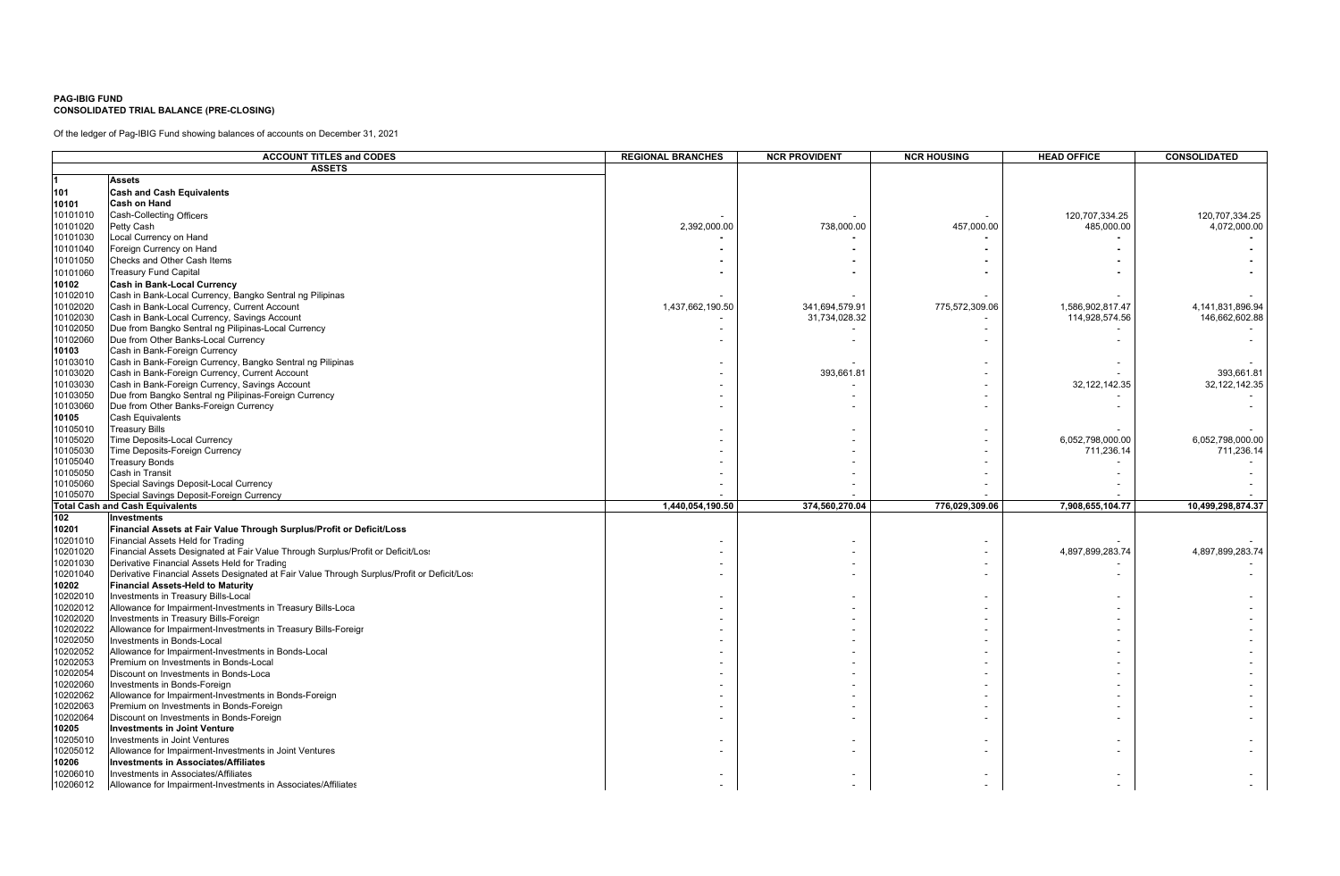## **PAG-IBIG FUNDCONSOLIDATED TRIAL BALANCE (PRE-CLOSING)**

Of the ledger of Pag-IBIG Fund showing balances of accounts on December 31, 2021

|          | <b>ACCOUNT TITLES and CODES</b>                                                             | <b>REGIONAL BRANCHES</b> | <b>NCR PROVIDENT</b> | <b>NCR HOUSING</b> | <b>HEAD OFFICE</b> | CONSOLIDATED      |
|----------|---------------------------------------------------------------------------------------------|--------------------------|----------------------|--------------------|--------------------|-------------------|
|          | <b>ASSETS</b>                                                                               |                          |                      |                    |                    |                   |
|          | <b>Assets</b>                                                                               |                          |                      |                    |                    |                   |
| 101      | <b>Cash and Cash Equivalents</b>                                                            |                          |                      |                    |                    |                   |
| 10101    | <b>Cash on Hand</b>                                                                         |                          |                      |                    |                    |                   |
| 10101010 | Cash-Collecting Officers                                                                    |                          |                      |                    | 120,707,334.25     | 120.707.334.25    |
| 10101020 | Petty Cash                                                                                  | 2,392,000.00             | 738,000.00           | 457.000.00         | 485,000.00         | 4.072.000.00      |
| 10101030 | Local Currency on Hand                                                                      |                          |                      |                    |                    |                   |
| 10101040 | Foreign Currency on Hand                                                                    |                          |                      |                    |                    |                   |
| 10101050 | Checks and Other Cash Items                                                                 |                          |                      |                    |                    |                   |
| 10101060 | <b>Treasury Fund Capital</b>                                                                |                          |                      |                    |                    |                   |
| 10102    | <b>Cash in Bank-Local Currency</b>                                                          |                          |                      |                    |                    |                   |
| 10102010 | Cash in Bank-Local Currency, Bangko Sentral ng Pilipinas                                    |                          |                      |                    |                    |                   |
| 10102020 | Cash in Bank-Local Currency, Current Account                                                | 1,437,662,190.50         | 341,694,579.91       | 775,572,309.06     | 1,586,902,817.47   | 4,141,831,896.94  |
| 10102030 | Cash in Bank-Local Currency, Savings Account                                                |                          | 31,734,028.32        |                    | 114,928,574.56     | 146,662,602.88    |
| 10102050 | Due from Bangko Sentral ng Pilipinas-Local Currency                                         |                          |                      |                    |                    |                   |
| 10102060 | Due from Other Banks-Local Currency                                                         |                          |                      |                    |                    |                   |
| 10103    | Cash in Bank-Foreign Currency                                                               |                          |                      |                    |                    |                   |
| 10103010 | Cash in Bank-Foreign Currency, Bangko Sentral ng Pilipinas                                  |                          |                      |                    |                    |                   |
| 10103020 | Cash in Bank-Foreign Currency, Current Account                                              |                          | 393,661.81           |                    |                    | 393,661.81        |
| 10103030 | Cash in Bank-Foreign Currency, Savings Account                                              |                          |                      |                    | 32, 122, 142. 35   | 32, 122, 142. 35  |
| 10103050 | Due from Bangko Sentral ng Pilipinas-Foreign Currency                                       |                          |                      |                    |                    |                   |
| 10103060 | Due from Other Banks-Foreign Currency                                                       |                          |                      |                    |                    |                   |
| 10105    | Cash Equivalents                                                                            |                          |                      |                    |                    |                   |
| 10105010 | <b>Treasury Bills</b>                                                                       |                          |                      |                    |                    |                   |
| 10105020 | Time Deposits-Local Currency                                                                |                          |                      |                    | 6,052,798,000.00   | 6,052,798,000.00  |
| 10105030 | Time Deposits-Foreign Currency                                                              |                          |                      |                    | 711,236.14         | 711,236.14        |
| 10105040 | <b>Treasury Bonds</b>                                                                       |                          |                      |                    |                    |                   |
| 10105050 | Cash in Transit                                                                             |                          |                      |                    |                    |                   |
| 10105060 | Special Savings Deposit-Local Currency                                                      |                          |                      |                    |                    |                   |
| 10105070 | Special Savings Deposit-Foreign Currency                                                    |                          |                      |                    |                    |                   |
|          | <b>Total Cash and Cash Equivalents</b>                                                      | 1,440,054,190.50         | 374,560,270.04       | 776,029,309.06     | 7,908,655,104.77   | 10,499,298,874.37 |
| 102      | <b>Investments</b>                                                                          |                          |                      |                    |                    |                   |
| 10201    | Financial Assets at Fair Value Through Surplus/Profit or Deficit/Loss                       |                          |                      |                    |                    |                   |
| 10201010 | Financial Assets Held for Trading                                                           |                          |                      |                    |                    |                   |
| 10201020 | Financial Assets Designated at Fair Value Through Surplus/Profit or Deficit/Los:            |                          |                      |                    | 4,897,899,283.74   | 4,897,899,283.74  |
| 10201030 | Derivative Financial Assets Held for Trading                                                |                          |                      |                    |                    |                   |
| 10201040 | Derivative Financial Assets Designated at Fair Value Through Surplus/Profit or Deficit/Los: |                          |                      |                    |                    |                   |
| 10202    | <b>Financial Assets-Held to Maturity</b>                                                    |                          |                      |                    |                    |                   |
| 10202010 | Investments in Treasury Bills-Local                                                         |                          |                      |                    |                    |                   |
| 10202012 | Allowance for Impairment-Investments in Treasury Bills-Loca                                 |                          |                      |                    |                    |                   |
| 10202020 | Investments in Treasury Bills-Foreign                                                       |                          |                      |                    |                    |                   |
| 10202022 | Allowance for Impairment-Investments in Treasury Bills-Foreigr                              |                          |                      |                    |                    |                   |
| 10202050 | Investments in Bonds-Local                                                                  |                          |                      |                    |                    |                   |
| 10202052 | Allowance for Impairment-Investments in Bonds-Local                                         |                          |                      |                    |                    |                   |
| 10202053 | Premium on Investments in Bonds-Local                                                       |                          |                      |                    |                    |                   |
| 10202054 | Discount on Investments in Bonds-Loca                                                       |                          |                      |                    |                    |                   |
| 10202060 | Investments in Bonds-Foreign                                                                |                          |                      |                    |                    |                   |
| 10202062 | Allowance for Impairment-Investments in Bonds-Foreign                                       |                          |                      |                    |                    |                   |
| 10202063 | Premium on Investments in Bonds-Foreign                                                     |                          |                      |                    |                    |                   |
| 10202064 | Discount on Investments in Bonds-Foreign                                                    |                          |                      |                    |                    |                   |
| 10205    | <b>Investments in Joint Venture</b>                                                         |                          |                      |                    |                    |                   |
| 10205010 | Investments in Joint Ventures                                                               |                          |                      |                    |                    |                   |
| 10205012 | Allowance for Impairment-Investments in Joint Ventures                                      |                          |                      |                    |                    |                   |
| 10206    | <b>Investments in Associates/Affiliates</b>                                                 |                          |                      |                    |                    |                   |
| 10206010 | Investments in Associates/Affiliates                                                        |                          |                      |                    |                    |                   |
| 10206012 | Allowance for Impairment-Investments in Associates/Affiliates                               |                          |                      |                    |                    |                   |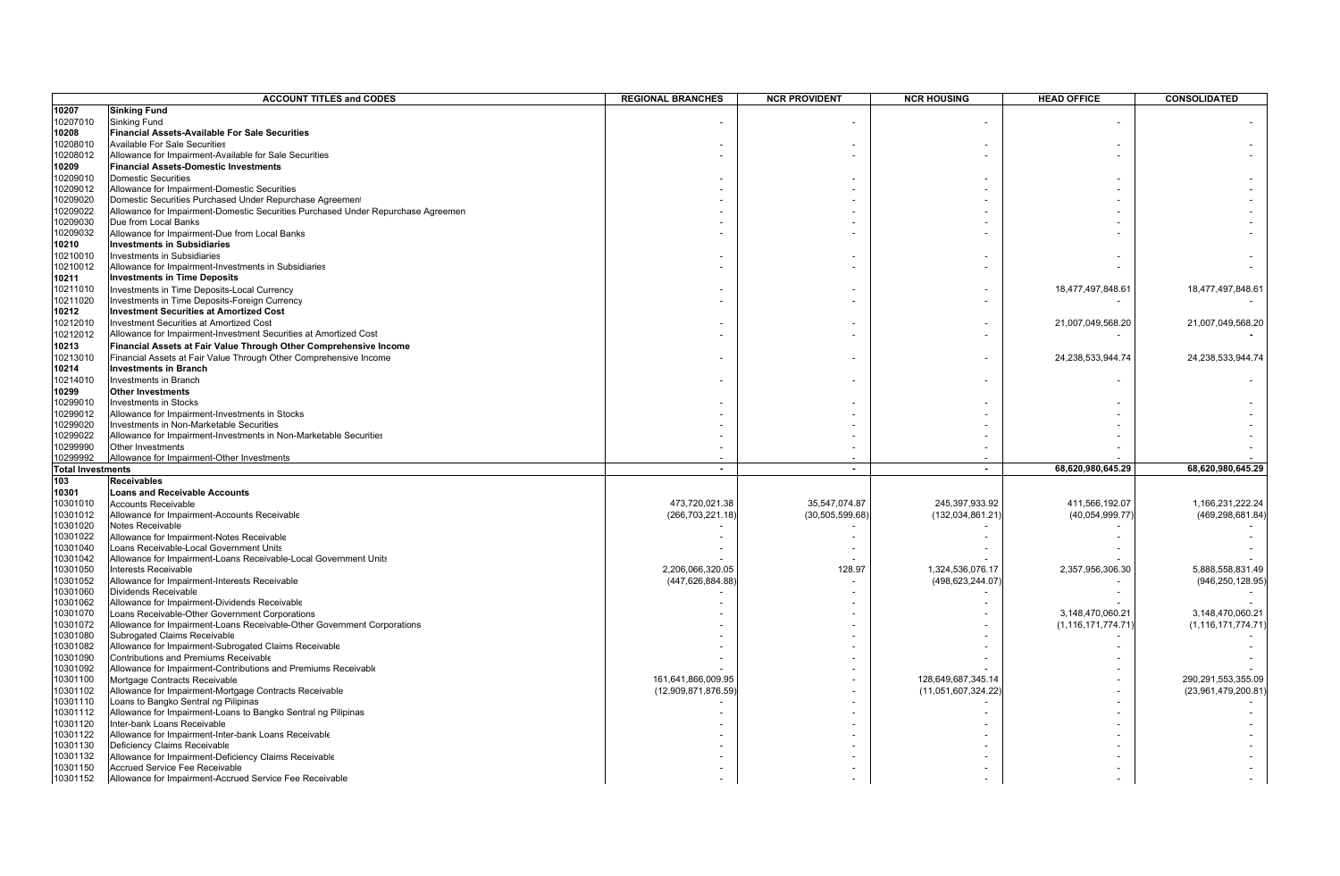|                          | <b>ACCOUNT TITLES and CODES</b>                                                  | <b>REGIONAL BRANCHES</b> | <b>NCR PROVIDENT</b> | <b>NCR HOUSING</b>  | <b>HEAD OFFICE</b>    | CONSOLIDATED          |
|--------------------------|----------------------------------------------------------------------------------|--------------------------|----------------------|---------------------|-----------------------|-----------------------|
| 10207                    | <b>Sinking Fund</b>                                                              |                          |                      |                     |                       |                       |
| 10207010                 | Sinking Fund                                                                     |                          |                      |                     |                       |                       |
| 10208                    | <b>Financial Assets-Available For Sale Securities</b>                            |                          |                      |                     |                       |                       |
| 10208010                 | <b>Available For Sale Securities</b>                                             |                          |                      |                     |                       |                       |
| 10208012                 | Allowance for Impairment-Available for Sale Securities                           |                          |                      |                     |                       |                       |
|                          |                                                                                  |                          |                      |                     |                       |                       |
| 10209                    | <b>Financial Assets-Domestic Investments</b>                                     |                          |                      |                     |                       |                       |
| 10209010                 | <b>Domestic Securities</b>                                                       |                          |                      |                     |                       |                       |
| 10209012                 | Allowance for Impairment-Domestic Securities                                     |                          |                      |                     |                       |                       |
| 10209020                 | Domestic Securities Purchased Under Repurchase Agreement                         |                          |                      |                     |                       |                       |
| 10209022                 | Allowance for Impairment-Domestic Securities Purchased Under Repurchase Agreemen |                          |                      |                     |                       |                       |
| 10209030                 | Due from Local Banks                                                             |                          |                      |                     |                       |                       |
| 10209032                 | Allowance for Impairment-Due from Local Banks                                    |                          |                      |                     |                       |                       |
| 10210                    | <b>Investments in Subsidiaries</b>                                               |                          |                      |                     |                       |                       |
| 10210010                 | Investments in Subsidiaries                                                      |                          |                      |                     |                       |                       |
| 10210012                 | Allowance for Impairment-Investments in Subsidiaries                             |                          |                      |                     |                       |                       |
| 10211                    | <b>Investments in Time Deposits</b>                                              |                          |                      |                     |                       |                       |
| 10211010                 | Investments in Time Deposits-Local Currency                                      |                          |                      |                     | 18,477,497,848.61     | 18,477,497,848.6      |
| 10211020                 | Investments in Time Deposits-Foreign Currency                                    |                          |                      |                     |                       |                       |
| 10212                    | <b>Investment Securities at Amortized Cost</b>                                   |                          |                      |                     |                       |                       |
| 10212010                 | Investment Securities at Amortized Cost                                          |                          |                      |                     | 21,007,049,568.20     | 21,007,049,568.20     |
| 10212012                 | Allowance for Impairment-Investment Securities at Amortized Cost                 |                          |                      |                     |                       |                       |
| 10213                    | Financial Assets at Fair Value Through Other Comprehensive Income                |                          |                      |                     |                       |                       |
| 10213010                 | Financial Assets at Fair Value Through Other Comprehensive Income                |                          |                      |                     | 24,238,533,944.74     | 24,238,533,944.74     |
| 10214                    | <b>Investments in Branch</b>                                                     |                          |                      |                     |                       |                       |
| 10214010                 | Investments in Branch                                                            |                          |                      |                     |                       |                       |
| 10299                    | <b>Other Investments</b>                                                         |                          |                      |                     |                       |                       |
| 10299010                 | <b>Investments in Stocks</b>                                                     |                          |                      |                     |                       |                       |
| 10299012                 | Allowance for Impairment-Investments in Stocks                                   |                          |                      |                     |                       |                       |
| 10299020                 | Investments in Non-Marketable Securities                                         |                          |                      |                     |                       |                       |
| 10299022                 | Allowance for Impairment-Investments in Non-Marketable Securities                |                          |                      |                     |                       |                       |
| 10299990                 | Other Investments                                                                |                          |                      |                     |                       |                       |
| 10299992                 | Allowance for Impairment-Other Investments                                       |                          |                      |                     |                       |                       |
| <b>Total Investments</b> |                                                                                  | $\blacksquare$           | $\blacksquare$       | $\blacksquare$      | 68,620,980,645.29     | 68,620,980,645.29     |
| 103                      | <b>Receivables</b>                                                               |                          |                      |                     |                       |                       |
| 10301                    | <b>Loans and Receivable Accounts</b>                                             |                          |                      |                     |                       |                       |
| 10301010                 | <b>Accounts Receivable</b>                                                       | 473,720,021.38           | 35,547,074.87        | 245,397,933.92      | 411,566,192.07        | 1,166,231,222.24      |
| 10301012                 | Allowance for Impairment-Accounts Receivable                                     | (266,703,221.18          | (30, 505, 599.68)    | (132,034,861.21)    | (40,054,999.77)       | (469, 298, 681.84)    |
|                          | Notes Receivable                                                                 |                          |                      |                     |                       |                       |
| 10301020<br>10301022     | Allowance for Impairment-Notes Receivable                                        |                          |                      |                     |                       |                       |
| 10301040                 | Loans Receivable-Local Government Units                                          |                          |                      |                     |                       |                       |
| 10301042                 | Allowance for Impairment-Loans Receivable-Local Government Units                 |                          |                      |                     |                       |                       |
|                          |                                                                                  |                          |                      |                     |                       |                       |
| 10301050<br>10301052     | Interests Receivable<br>Allowance for Impairment-Interests Receivable            | 2,206,066,320.05         | 128.97               | 1,324,536,076.17    | 2,357,956,306.30      | 5,888,558,831.49      |
|                          |                                                                                  | (447,626,884.88          |                      | (498,623,244.07     |                       | (946, 250, 128.95)    |
| 10301060                 | Dividends Receivable                                                             |                          |                      |                     |                       |                       |
| 10301062                 | Allowance for Impairment-Dividends Receivable                                    |                          |                      |                     |                       |                       |
| 10301070                 | Loans Receivable-Other Government Corporations                                   |                          |                      |                     | 3,148,470,060.21      | 3,148,470,060.21      |
| 10301072                 | Allowance for Impairment-Loans Receivable-Other Government Corporations          |                          |                      |                     | (1, 116, 171, 774.71) | (1, 116, 171, 774.71) |
| 10301080                 | Subrogated Claims Receivable                                                     |                          |                      |                     |                       |                       |
| 10301082                 | Allowance for Impairment-Subrogated Claims Receivable                            |                          |                      |                     |                       |                       |
| 10301090                 | Contributions and Premiums Receivable                                            |                          |                      |                     |                       |                       |
| 10301092                 | Allowance for Impairment-Contributions and Premiums Receivable                   |                          |                      |                     |                       |                       |
| 10301100                 | Mortgage Contracts Receivable                                                    | 161,641,866,009.95       |                      | 128,649,687,345.14  |                       | 290,291,553,355.09    |
| 10301102                 | Allowance for Impairment-Mortgage Contracts Receivable                           | (12,909,871,876.59)      |                      | (11,051,607,324.22) |                       | (23,961,479,200.81)   |
| 10301110                 | Loans to Bangko Sentral ng Pilipinas                                             |                          |                      |                     |                       |                       |
| 10301112                 | Allowance for Impairment-Loans to Bangko Sentral ng Pilipinas                    |                          |                      |                     |                       |                       |
| 10301120                 | Inter-bank Loans Receivable                                                      |                          |                      |                     |                       |                       |
| 10301122                 | Allowance for Impairment-Inter-bank Loans Receivable                             |                          |                      |                     |                       |                       |
| 10301130                 | Deficiency Claims Receivable                                                     |                          |                      |                     |                       |                       |
| 10301132                 | Allowance for Impairment-Deficiency Claims Receivable                            |                          |                      |                     |                       |                       |
| 10301150                 | Accrued Service Fee Receivable                                                   |                          |                      |                     |                       |                       |
| 10301152                 | Allowance for Impairment-Accrued Service Fee Receivable                          |                          |                      |                     |                       |                       |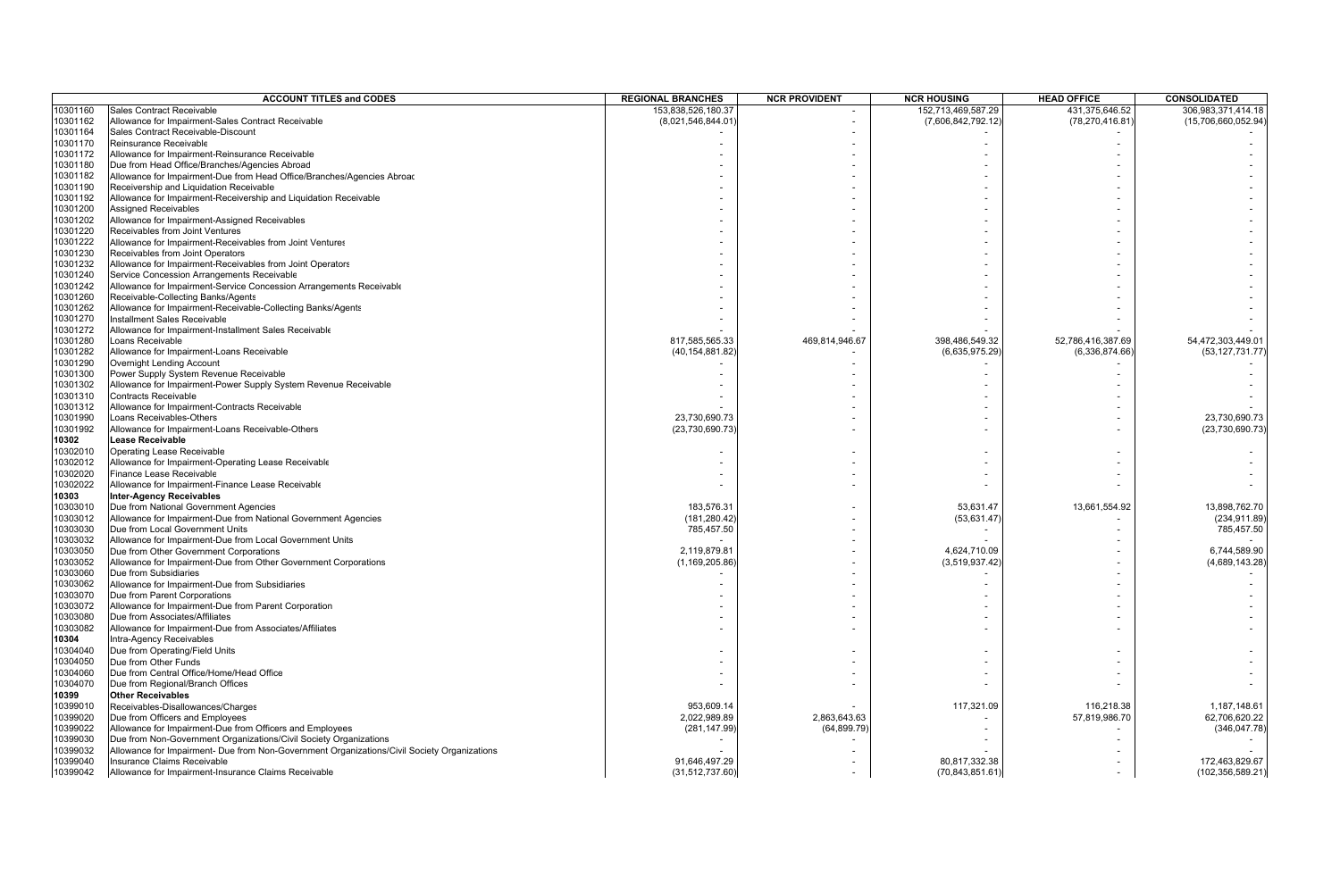|                      | <b>ACCOUNT TITLES and CODES</b>                                                             | <b>REGIONAL BRANCHES</b> | <b>NCR PROVIDENT</b> | <b>NCR HOUSING</b> | <b>HEAD OFFICE</b> | <b>CONSOLIDATED</b> |
|----------------------|---------------------------------------------------------------------------------------------|--------------------------|----------------------|--------------------|--------------------|---------------------|
| 10301160             | Sales Contract Receivable                                                                   | 153,838,526,180.37       |                      | 152,713,469,587.29 | 431,375,646.52     | 306,983,371,414.18  |
| 10301162             | Allowance for Impairment-Sales Contract Receivable                                          | (8,021,546,844.01)       |                      | (7,606,842,792.12) | (78, 270, 416.81)  | (15,706,660,052.94) |
| 10301164             | Sales Contract Receivable-Discount                                                          |                          |                      |                    |                    |                     |
| 10301170             | Reinsurance Receivable                                                                      |                          |                      |                    |                    |                     |
| 10301172             | Allowance for Impairment-Reinsurance Receivable                                             |                          |                      |                    |                    |                     |
| 10301180             | Due from Head Office/Branches/Agencies Abroad                                               |                          |                      |                    |                    |                     |
| 10301182             | Allowance for Impairment-Due from Head Office/Branches/Agencies Abroac                      |                          |                      |                    |                    |                     |
| 10301190             | Receivership and Liquidation Receivable                                                     |                          |                      |                    |                    |                     |
| 10301192             | Allowance for Impairment-Receivership and Liquidation Receivable                            |                          |                      |                    |                    |                     |
| 10301200             | <b>Assigned Receivables</b>                                                                 |                          |                      |                    |                    |                     |
| 10301202             | Allowance for Impairment-Assigned Receivables                                               |                          |                      |                    |                    |                     |
| 10301220             | Receivables from Joint Ventures                                                             |                          |                      |                    |                    |                     |
| 10301222             | Allowance for Impairment-Receivables from Joint Ventures                                    |                          |                      |                    |                    |                     |
| 10301230             | Receivables from Joint Operators                                                            |                          |                      |                    |                    |                     |
| 10301232             | Allowance for Impairment-Receivables from Joint Operators                                   |                          |                      |                    |                    |                     |
| 10301240             | Service Concession Arrangements Receivable                                                  |                          |                      |                    |                    |                     |
| 10301242             | Allowance for Impairment-Service Concession Arrangements Receivable                         |                          |                      |                    |                    |                     |
| 10301260             | Receivable-Collecting Banks/Agents                                                          |                          |                      |                    |                    |                     |
| 10301262             | Allowance for Impairment-Receivable-Collecting Banks/Agents                                 |                          |                      |                    |                    |                     |
| 10301270             | Installment Sales Receivable                                                                |                          |                      |                    |                    |                     |
| 10301272             | Allowance for Impairment-Installment Sales Receivable                                       |                          |                      |                    |                    |                     |
| 10301280             | Loans Receivable                                                                            | 817,585,565.33           | 469,814,946.67       | 398,486,549.32     | 52,786,416,387.69  | 54,472,303,449.01   |
| 10301282             | Allowance for Impairment-Loans Receivable                                                   | (40, 154, 881.82         |                      | (6,635,975.29)     | (6,336,874.66)     | (53, 127, 731.77)   |
| 10301290             | Overnight Lending Account                                                                   |                          |                      |                    |                    |                     |
| 10301300             | Power Supply System Revenue Receivable                                                      |                          |                      |                    |                    |                     |
| 10301302             | Allowance for Impairment-Power Supply System Revenue Receivable                             |                          |                      |                    |                    |                     |
| 10301310             | <b>Contracts Receivable</b>                                                                 |                          |                      |                    |                    |                     |
| 10301312             | Allowance for Impairment-Contracts Receivable                                               |                          |                      |                    |                    |                     |
| 10301990             | Loans Receivables-Others                                                                    | 23,730,690.73            |                      |                    |                    | 23,730,690.73       |
| 10301992             | Allowance for Impairment-Loans Receivable-Others                                            | (23, 730, 690.73)        |                      |                    |                    | (23,730,690.73)     |
| 10302                | <b>Lease Receivable</b>                                                                     |                          |                      |                    |                    |                     |
| 10302010             | Operating Lease Receivable                                                                  |                          |                      |                    |                    |                     |
| 10302012             | Allowance for Impairment-Operating Lease Receivable                                         |                          |                      |                    |                    |                     |
| 10302020             | Finance Lease Receivable                                                                    |                          |                      |                    |                    |                     |
| 10302022             | Allowance for Impairment-Finance Lease Receivable                                           |                          |                      |                    |                    |                     |
| 10303                | <b>Inter-Agency Receivables</b>                                                             |                          |                      |                    |                    |                     |
| 10303010             | Due from National Government Agencies                                                       | 183,576.31               |                      | 53,631.47          | 13,661,554.92      | 13,898,762.70       |
| 10303012             | Allowance for Impairment-Due from National Government Agencies                              | (181, 280.42)            |                      | (53, 631.47)       |                    | (234, 911.89)       |
| 10303030             | Due from Local Government Units                                                             | 785,457.50               |                      |                    |                    | 785,457.50          |
| 10303032             | Allowance for Impairment-Due from Local Government Units                                    |                          |                      |                    |                    |                     |
| 10303050             | Due from Other Government Corporations                                                      | 2,119,879.81             |                      | 4,624,710.09       |                    | 6,744,589.90        |
| 10303052             | Allowance for Impairment-Due from Other Government Corporations<br>Due from Subsidiaries    | (1, 169, 205.86)         |                      | (3,519,937.42)     |                    | (4,689,143.28)      |
| 10303060<br>10303062 | Allowance for Impairment-Due from Subsidiaries                                              |                          |                      |                    |                    |                     |
| 10303070             | Due from Parent Corporations                                                                |                          |                      |                    |                    |                     |
| 10303072             | Allowance for Impairment-Due from Parent Corporation                                        |                          |                      |                    |                    |                     |
| 10303080             | Due from Associates/Affiliates                                                              |                          |                      |                    |                    |                     |
| 10303082             | Allowance for Impairment-Due from Associates/Affiliates                                     |                          |                      |                    |                    |                     |
| 10304                | Intra-Agency Receivables                                                                    |                          |                      |                    |                    |                     |
| 10304040             | Due from Operating/Field Units                                                              |                          |                      |                    |                    |                     |
| 10304050             | Due from Other Funds                                                                        |                          |                      |                    |                    |                     |
| 10304060             | Due from Central Office/Home/Head Office                                                    |                          |                      |                    |                    |                     |
| 10304070             | Due from Regional/Branch Offices                                                            |                          |                      |                    |                    |                     |
| 10399                | Other Receivables                                                                           |                          |                      |                    |                    |                     |
| 10399010             | Receivables-Disallowances/Charges                                                           | 953,609.14               |                      |                    | 116,218.38         | 1,187,148.61        |
|                      | Due from Officers and Employees                                                             | 2,022,989.89             | 2,863,643.63         | 117,321.09         |                    | 62,706,620.22       |
| 10399020<br>10399022 | Allowance for Impairment-Due from Officers and Employees                                    | (281, 147.99             | (64, 899.79)         |                    | 57,819,986.70      |                     |
| 10399030             | Due from Non-Government Organizations/Civil Society Organizations                           |                          |                      |                    |                    | (346, 047.78)       |
| 10399032             | Allowance for Impairment- Due from Non-Government Organizations/Civil Society Organizations |                          |                      |                    |                    |                     |
| 10399040             | Insurance Claims Receivable                                                                 | 91,646,497.29            |                      | 80,817,332.38      |                    | 172,463,829.67      |
| 10399042             | Allowance for Impairment-Insurance Claims Receivable                                        | (31, 512, 737.60)        |                      | (70,843,851.61     |                    | (102, 356, 589.21)  |
|                      |                                                                                             |                          |                      |                    |                    |                     |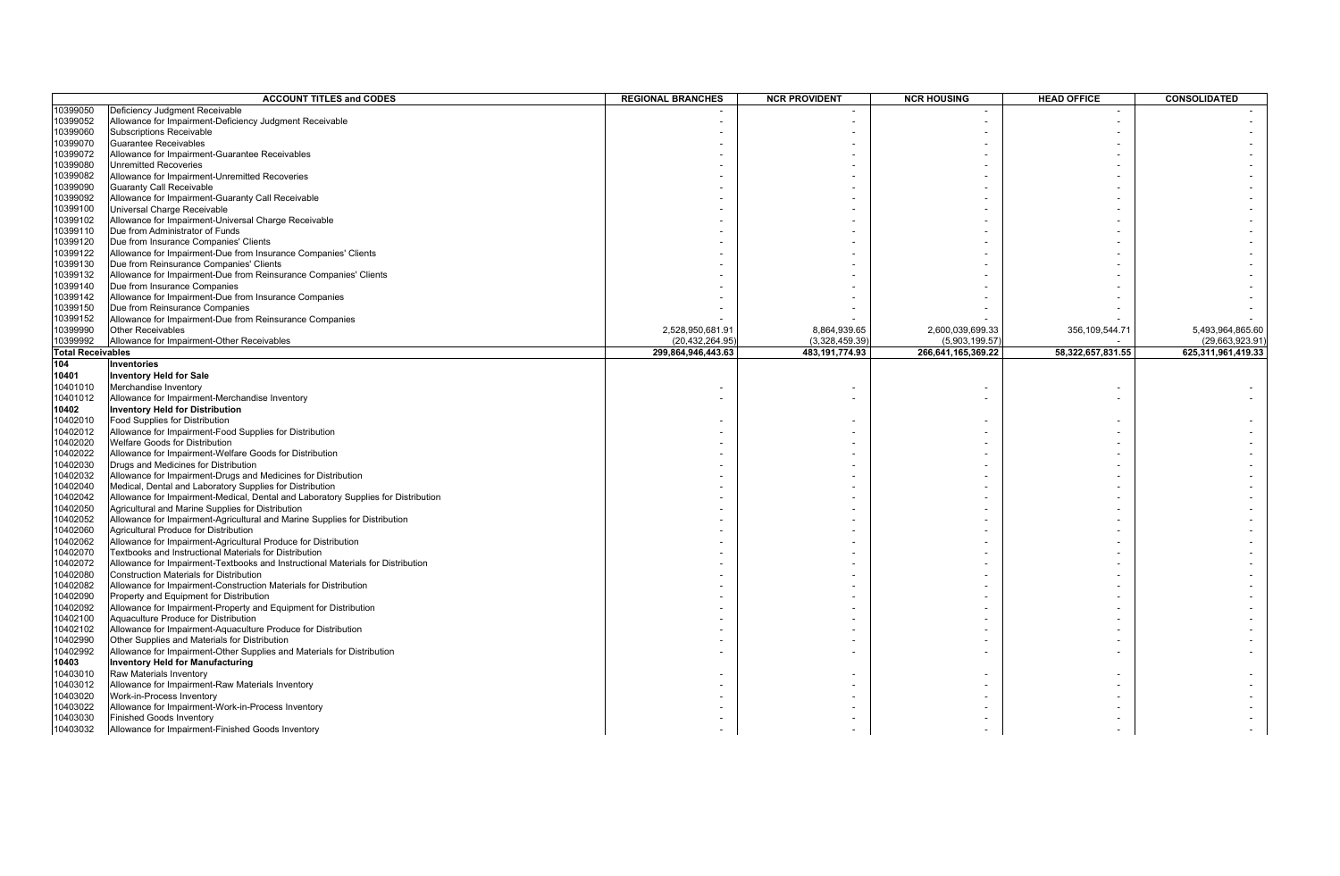|                          | <b>ACCOUNT TITLES and CODES</b>                                                           | <b>REGIONAL BRANCHES</b> | <b>NCR PROVIDENT</b> | <b>NCR HOUSING</b> | <b>HEAD OFFICE</b> | CONSOLIDATED       |
|--------------------------|-------------------------------------------------------------------------------------------|--------------------------|----------------------|--------------------|--------------------|--------------------|
| 10399050                 | Deficiency Judgment Receivable                                                            |                          |                      |                    |                    |                    |
| 10399052                 | Allowance for Impairment-Deficiency Judgment Receivable                                   |                          |                      |                    |                    |                    |
| 10399060                 | <b>Subscriptions Receivable</b>                                                           |                          |                      |                    |                    |                    |
| 10399070                 | Guarantee Receivables                                                                     |                          |                      |                    |                    |                    |
| 10399072                 | Allowance for Impairment-Guarantee Receivables                                            |                          |                      |                    |                    |                    |
| 10399080                 | <b>Unremitted Recoveries</b>                                                              |                          |                      |                    |                    |                    |
| 10399082                 | Allowance for Impairment-Unremitted Recoveries                                            |                          |                      |                    |                    |                    |
| 10399090                 | <b>Guaranty Call Receivable</b>                                                           |                          |                      |                    |                    |                    |
| 10399092                 | Allowance for Impairment-Guaranty Call Receivable                                         |                          |                      |                    |                    |                    |
| 10399100                 | Universal Charge Receivable                                                               |                          |                      |                    |                    |                    |
| 10399102                 | Allowance for Impairment-Universal Charge Receivable                                      |                          |                      |                    |                    |                    |
| 10399110                 | Due from Administrator of Funds                                                           |                          |                      |                    |                    |                    |
| 10399120                 | Due from Insurance Companies' Clients                                                     |                          |                      |                    |                    |                    |
| 10399122                 | Allowance for Impairment-Due from Insurance Companies' Clients                            |                          |                      |                    |                    |                    |
| 10399130                 | Due from Reinsurance Companies' Clients                                                   |                          |                      |                    |                    |                    |
| 10399132                 | Allowance for Impairment-Due from Reinsurance Companies' Clients                          |                          |                      |                    |                    |                    |
| 10399140                 | Due from Insurance Companies                                                              |                          |                      |                    |                    |                    |
| 10399142                 | Allowance for Impairment-Due from Insurance Companies                                     |                          |                      |                    |                    |                    |
| 10399150                 | Due from Reinsurance Companies                                                            |                          |                      |                    |                    |                    |
| 10399152                 | Allowance for Impairment-Due from Reinsurance Companies                                   |                          |                      |                    |                    |                    |
| 10399990                 | <b>Other Receivables</b>                                                                  | 2,528,950,681.91         | 8,864,939.65         | 2,600,039,699.33   | 356,109,544.71     | 5,493,964,865.60   |
| 10399992                 | Allowance for Impairment-Other Receivables                                                | (20,432,264.95           | (3,328,459.39)       | (5,903,199.57)     |                    | (29,663,923.91     |
| <b>Total Receivables</b> |                                                                                           | 299,864,946,443.63       | 483, 191, 774.93     | 266,641,165,369.22 | 58,322,657,831.55  | 625,311,961,419.33 |
| 104                      | Inventories                                                                               |                          |                      |                    |                    |                    |
| 10401                    | <b>Inventory Held for Sale</b>                                                            |                          |                      |                    |                    |                    |
| 10401010                 | Merchandise Inventory                                                                     |                          |                      |                    |                    |                    |
| 10401012                 | Allowance for Impairment-Merchandise Inventory                                            |                          |                      |                    |                    |                    |
| 10402                    | <b>Inventory Held for Distribution</b>                                                    |                          |                      |                    |                    |                    |
|                          |                                                                                           |                          |                      |                    |                    |                    |
| 10402010<br>10402012     | Food Supplies for Distribution<br>Allowance for Impairment-Food Supplies for Distribution |                          |                      |                    |                    |                    |
|                          | Welfare Goods for Distribution                                                            |                          |                      |                    |                    |                    |
| 10402020<br>10402022     | Allowance for Impairment-Welfare Goods for Distribution                                   |                          |                      |                    |                    |                    |
| 10402030                 | Drugs and Medicines for Distribution                                                      |                          |                      |                    |                    |                    |
| 10402032                 | Allowance for Impairment-Drugs and Medicines for Distribution                             |                          |                      |                    |                    |                    |
| 10402040                 | Medical, Dental and Laboratory Supplies for Distribution                                  |                          |                      |                    |                    |                    |
| 10402042                 | Allowance for Impairment-Medical, Dental and Laboratory Supplies for Distribution         |                          |                      |                    |                    |                    |
| 10402050                 | Agricultural and Marine Supplies for Distribution                                         |                          |                      |                    |                    |                    |
| 10402052                 | Allowance for Impairment-Agricultural and Marine Supplies for Distribution                |                          |                      |                    |                    |                    |
| 10402060                 | Agricultural Produce for Distribution                                                     |                          |                      |                    |                    |                    |
| 10402062                 | Allowance for Impairment-Agricultural Produce for Distribution                            |                          |                      |                    |                    |                    |
| 10402070                 | Textbooks and Instructional Materials for Distribution                                    |                          |                      |                    |                    |                    |
| 10402072                 | Allowance for Impairment-Textbooks and Instructional Materials for Distribution           |                          |                      |                    |                    |                    |
| 10402080                 | Construction Materials for Distribution                                                   |                          |                      |                    |                    |                    |
| 10402082                 | Allowance for Impairment-Construction Materials for Distribution                          |                          |                      |                    |                    |                    |
| 10402090                 | Property and Equipment for Distribution                                                   |                          |                      |                    |                    |                    |
| 10402092                 | Allowance for Impairment-Property and Equipment for Distribution                          |                          |                      |                    |                    |                    |
| 10402100                 | Aquaculture Produce for Distribution                                                      |                          |                      |                    |                    |                    |
| 10402102                 | Allowance for Impairment-Aquaculture Produce for Distribution                             |                          |                      |                    |                    |                    |
| 10402990                 | Other Supplies and Materials for Distribution                                             |                          |                      |                    |                    |                    |
| 10402992                 | Allowance for Impairment-Other Supplies and Materials for Distribution                    |                          |                      |                    |                    |                    |
| 10403                    | <b>Inventory Held for Manufacturing</b>                                                   |                          |                      |                    |                    |                    |
|                          | Raw Materials Inventory                                                                   |                          |                      |                    |                    |                    |
| 10403010                 | Allowance for Impairment-Raw Materials Inventory                                          |                          |                      |                    |                    |                    |
| 10403012                 |                                                                                           |                          |                      |                    |                    |                    |
| 10403020<br>10403022     | Work-in-Process Inventory<br>Allowance for Impairment-Work-in-Process Inventory           |                          |                      |                    |                    |                    |
| 10403030                 | <b>Finished Goods Inventory</b>                                                           |                          |                      |                    |                    |                    |
| 10403032                 | Allowance for Impairment-Finished Goods Inventory                                         |                          |                      |                    |                    |                    |
|                          |                                                                                           |                          |                      |                    |                    |                    |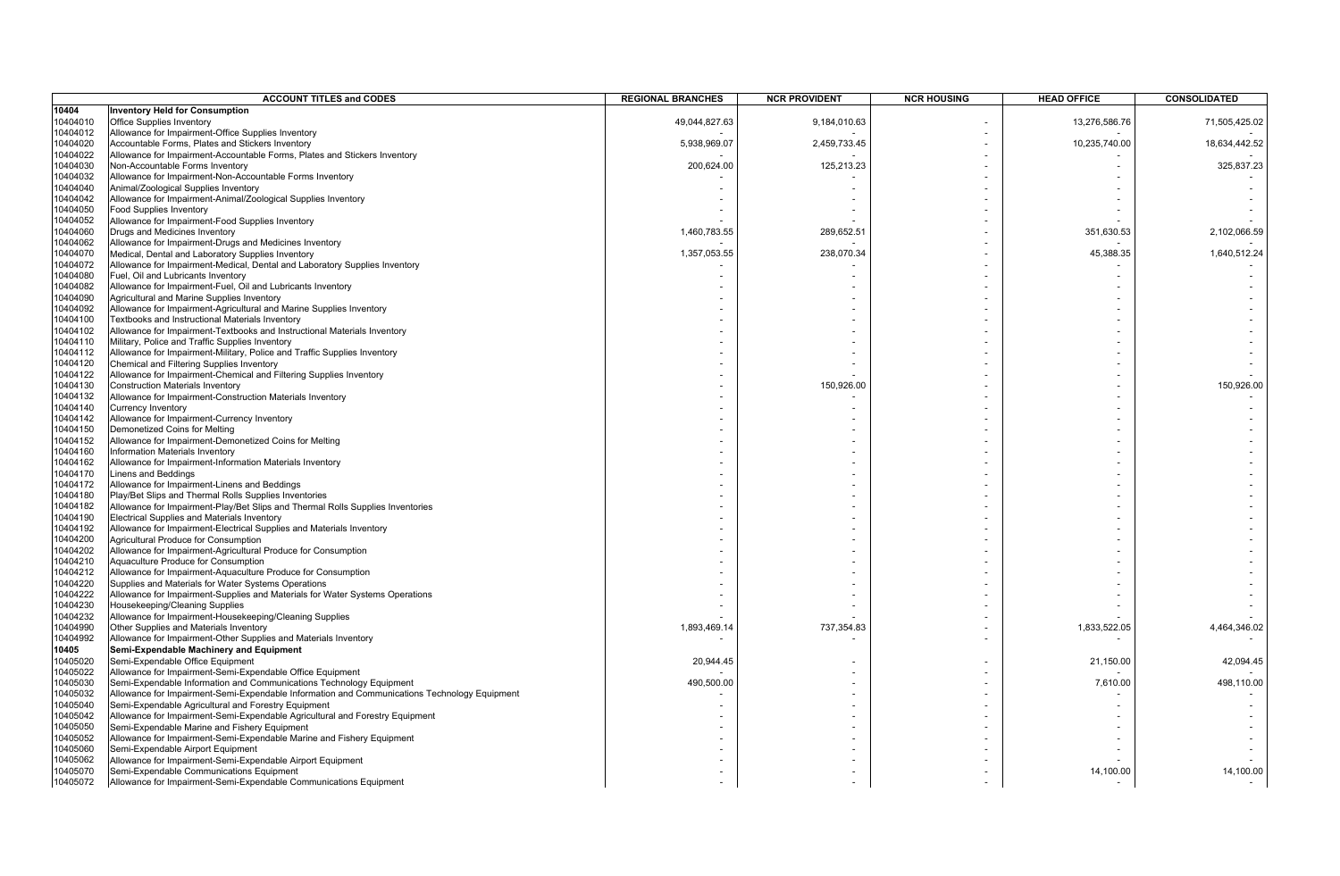|          | <b>ACCOUNT TITLES and CODES</b>                                                              | <b>REGIONAL BRANCHES</b> | <b>NCR PROVIDENT</b> | <b>NCR HOUSING</b> | <b>HEAD OFFICE</b> | <b>CONSOLIDATED</b> |
|----------|----------------------------------------------------------------------------------------------|--------------------------|----------------------|--------------------|--------------------|---------------------|
| 10404    | <b>Inventory Held for Consumption</b>                                                        |                          |                      |                    |                    |                     |
| 10404010 | <b>Office Supplies Inventory</b>                                                             | 49,044,827.63            | 9,184,010.63         |                    | 13,276,586.76      | 71,505,425.02       |
| 10404012 | Allowance for Impairment-Office Supplies Inventory                                           |                          |                      |                    |                    |                     |
| 10404020 | Accountable Forms, Plates and Stickers Inventory                                             | 5,938,969.07             | 2,459,733.45         |                    | 10,235,740.00      | 18,634,442.52       |
| 10404022 | Allowance for Impairment-Accountable Forms, Plates and Stickers Inventory                    |                          |                      |                    |                    |                     |
| 10404030 | Non-Accountable Forms Inventory                                                              | 200,624.00               | 125,213.23           |                    |                    | 325,837.23          |
| 10404032 | Allowance for Impairment-Non-Accountable Forms Inventory                                     |                          |                      |                    |                    |                     |
| 10404040 | Animal/Zoological Supplies Inventory                                                         |                          |                      |                    |                    |                     |
| 10404042 | Allowance for Impairment-Animal/Zoological Supplies Inventory                                |                          |                      |                    |                    |                     |
| 10404050 | Food Supplies Inventory                                                                      |                          |                      |                    |                    |                     |
| 10404052 | Allowance for Impairment-Food Supplies Inventory                                             |                          |                      |                    |                    |                     |
| 10404060 | Drugs and Medicines Inventory                                                                | 1,460,783.55             | 289,652.51           |                    | 351,630.53         | 2,102,066.59        |
| 10404062 | Allowance for Impairment-Drugs and Medicines Inventory                                       |                          |                      |                    |                    |                     |
| 10404070 | Medical, Dental and Laboratory Supplies Inventory                                            | 1,357,053.55             | 238,070.34           |                    | 45,388.35          | 1,640,512.24        |
| 10404072 | Allowance for Impairment-Medical, Dental and Laboratory Supplies Inventory                   |                          |                      |                    |                    |                     |
| 10404080 | Fuel, Oil and Lubricants Inventory                                                           |                          |                      |                    |                    |                     |
| 10404082 | Allowance for Impairment-Fuel, Oil and Lubricants Inventory                                  |                          |                      |                    |                    |                     |
| 10404090 | Agricultural and Marine Supplies Inventory                                                   |                          |                      |                    |                    |                     |
| 10404092 | Allowance for Impairment-Agricultural and Marine Supplies Inventory                          |                          |                      |                    |                    |                     |
| 10404100 | Textbooks and Instructional Materials Inventory                                              |                          |                      |                    |                    |                     |
| 10404102 | Allowance for Impairment-Textbooks and Instructional Materials Inventory                     |                          |                      |                    |                    |                     |
| 10404110 | Military, Police and Traffic Supplies Inventory                                              |                          |                      |                    |                    |                     |
| 10404112 | Allowance for Impairment-Military, Police and Traffic Supplies Inventory                     |                          |                      |                    |                    |                     |
| 10404120 | Chemical and Filtering Supplies Inventory                                                    |                          |                      |                    |                    |                     |
| 10404122 | Allowance for Impairment-Chemical and Filtering Supplies Inventory                           |                          |                      |                    |                    |                     |
| 10404130 | <b>Construction Materials Inventory</b>                                                      |                          | 150,926.00           |                    |                    | 150,926.00          |
| 10404132 | Allowance for Impairment-Construction Materials Inventory                                    |                          |                      |                    |                    |                     |
| 10404140 | Currency Inventory                                                                           |                          |                      |                    |                    |                     |
| 10404142 | Allowance for Impairment-Currency Inventory                                                  |                          |                      |                    |                    |                     |
| 10404150 | Demonetized Coins for Melting                                                                |                          |                      |                    |                    |                     |
| 10404152 | Allowance for Impairment-Demonetized Coins for Melting                                       |                          |                      |                    |                    |                     |
| 10404160 | Information Materials Inventory                                                              |                          |                      |                    |                    |                     |
| 10404162 | Allowance for Impairment-Information Materials Inventory                                     |                          |                      |                    |                    |                     |
| 10404170 | Linens and Beddings                                                                          |                          |                      |                    |                    |                     |
| 10404172 | Allowance for Impairment-Linens and Beddings                                                 |                          |                      |                    |                    |                     |
| 10404180 | Play/Bet Slips and Thermal Rolls Supplies Inventories                                        |                          |                      |                    |                    |                     |
| 10404182 | Allowance for Impairment-Play/Bet Slips and Thermal Rolls Supplies Inventories               |                          |                      |                    |                    |                     |
| 10404190 | Electrical Supplies and Materials Inventory                                                  |                          |                      |                    |                    |                     |
| 10404192 | Allowance for Impairment-Electrical Supplies and Materials Inventory                         |                          |                      |                    |                    |                     |
| 10404200 | Agricultural Produce for Consumption                                                         |                          |                      |                    |                    |                     |
| 10404202 | Allowance for Impairment-Agricultural Produce for Consumption                                |                          |                      |                    |                    |                     |
| 10404210 | Aquaculture Produce for Consumption                                                          |                          |                      |                    |                    |                     |
| 10404212 | Allowance for Impairment-Aquaculture Produce for Consumption                                 |                          |                      |                    |                    |                     |
| 10404220 | Supplies and Materials for Water Systems Operations                                          |                          |                      |                    |                    |                     |
| 10404222 | Allowance for Impairment-Supplies and Materials for Water Systems Operations                 |                          |                      |                    |                    |                     |
| 10404230 | Housekeeping/Cleaning Supplies                                                               |                          |                      |                    |                    |                     |
| 10404232 | Allowance for Impairment-Housekeeping/Cleaning Supplies                                      |                          |                      |                    |                    |                     |
| 10404990 | Other Supplies and Materials Inventory                                                       | 1,893,469.14             | 737,354.83           |                    | 1,833,522.05       | 4,464,346.02        |
| 10404992 | Allowance for Impairment-Other Supplies and Materials Inventory                              |                          |                      |                    |                    |                     |
| 10405    | Semi-Expendable Machinery and Equipment                                                      |                          |                      |                    |                    |                     |
|          |                                                                                              |                          |                      |                    |                    |                     |
| 10405020 | Semi-Expendable Office Equipment                                                             | 20,944.45                |                      |                    | 21,150.00          | 42,094.45           |
| 10405022 | Allowance for Impairment-Semi-Expendable Office Equipment                                    |                          |                      |                    |                    |                     |
| 10405030 | Semi-Expendable Information and Communications Technology Equipment                          | 490,500.00               |                      |                    | 7,610.00           | 498,110.00          |
| 10405032 | Allowance for Impairment-Semi-Expendable Information and Communications Technology Equipment |                          |                      |                    |                    |                     |
| 10405040 | Semi-Expendable Agricultural and Forestry Equipment                                          |                          |                      |                    |                    |                     |
| 10405042 | Allowance for Impairment-Semi-Expendable Agricultural and Forestry Equipment                 |                          |                      |                    |                    |                     |
| 10405050 | Semi-Expendable Marine and Fishery Equipment                                                 |                          |                      |                    |                    |                     |
| 10405052 | Allowance for Impairment-Semi-Expendable Marine and Fishery Equipment                        |                          |                      |                    |                    |                     |
| 10405060 | Semi-Expendable Airport Equipment                                                            |                          |                      |                    |                    |                     |
| 0405062  | Allowance for Impairment-Semi-Expendable Airport Equipment                                   |                          |                      |                    |                    |                     |
| 10405070 | Semi-Expendable Communications Equipment                                                     |                          |                      |                    | 14,100.00          | 14,100.00           |
| 10405072 | Allowance for Impairment-Semi-Expendable Communications Equipment                            |                          |                      |                    |                    |                     |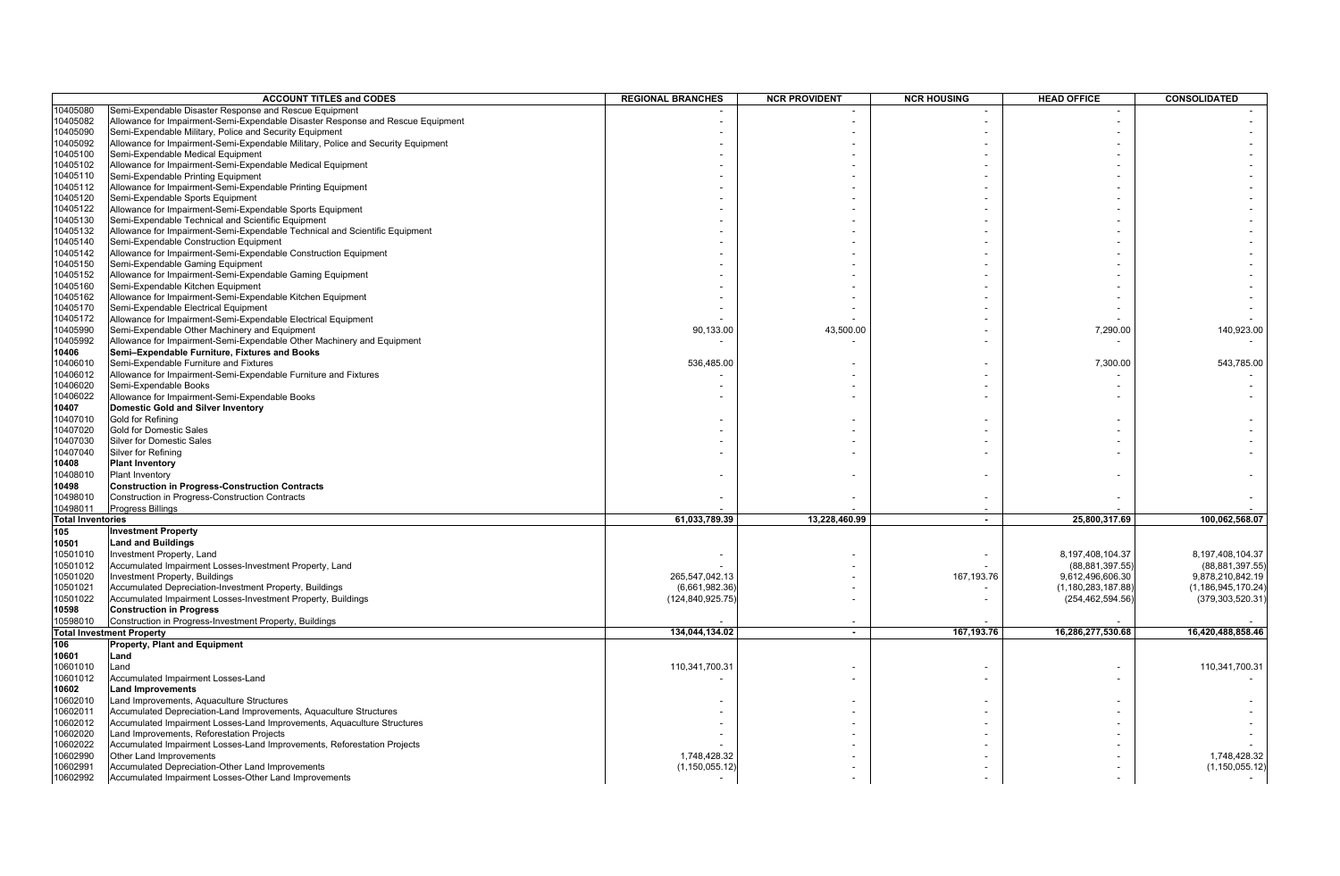|                          | <b>ACCOUNT TITLES and CODES</b>                                                  | <b>REGIONAL BRANCHES</b> | <b>NCR PROVIDENT</b> | <b>NCR HOUSING</b> | <b>HEAD OFFICE</b>    | <b>CONSOLIDATED</b>   |
|--------------------------|----------------------------------------------------------------------------------|--------------------------|----------------------|--------------------|-----------------------|-----------------------|
| 10405080                 | Semi-Expendable Disaster Response and Rescue Equipment                           |                          |                      |                    |                       |                       |
| 10405082                 | Allowance for Impairment-Semi-Expendable Disaster Response and Rescue Equipment  |                          |                      |                    |                       |                       |
| 10405090                 | Semi-Expendable Military, Police and Security Equipment                          |                          |                      |                    |                       |                       |
| 10405092                 | Allowance for Impairment-Semi-Expendable Military, Police and Security Equipment |                          |                      |                    |                       |                       |
| 10405100                 | Semi-Expendable Medical Equipment                                                |                          |                      |                    |                       |                       |
| 10405102                 | Allowance for Impairment-Semi-Expendable Medical Equipment                       |                          |                      |                    |                       |                       |
| 10405110                 | Semi-Expendable Printing Equipment                                               |                          |                      |                    |                       |                       |
| 10405112                 | Allowance for Impairment-Semi-Expendable Printing Equipment                      |                          |                      |                    |                       |                       |
| 10405120                 | Semi-Expendable Sports Equipment                                                 |                          |                      |                    |                       |                       |
| 10405122                 | Allowance for Impairment-Semi-Expendable Sports Equipment                        |                          |                      |                    |                       |                       |
| 10405130                 | Semi-Expendable Technical and Scientific Equipment                               |                          |                      |                    |                       |                       |
| 10405132                 | Allowance for Impairment-Semi-Expendable Technical and Scientific Equipment      |                          |                      |                    |                       |                       |
| 10405140                 | Semi-Expendable Construction Equipment                                           |                          |                      |                    |                       |                       |
| 10405142                 | Allowance for Impairment-Semi-Expendable Construction Equipment                  |                          |                      |                    |                       |                       |
| 10405150                 | Semi-Expendable Gaming Equipment                                                 |                          |                      |                    |                       |                       |
| 10405152                 | Allowance for Impairment-Semi-Expendable Gaming Equipment                        |                          |                      |                    |                       |                       |
| 10405160                 | Semi-Expendable Kitchen Equipment                                                |                          |                      |                    |                       |                       |
| 10405162                 | Allowance for Impairment-Semi-Expendable Kitchen Equipment                       |                          |                      |                    |                       |                       |
| 10405170                 | Semi-Expendable Electrical Equipment                                             |                          |                      |                    |                       |                       |
| 10405172                 | Allowance for Impairment-Semi-Expendable Electrical Equipment                    |                          |                      |                    |                       |                       |
| 10405990                 | Semi-Expendable Other Machinery and Equipment                                    | 90,133.00                | 43,500.00            |                    | 7,290.00              | 140,923.00            |
| 10405992                 | Allowance for Impairment-Semi-Expendable Other Machinery and Equipment           |                          |                      |                    |                       |                       |
| 10406                    | Semi-Expendable Furniture, Fixtures and Books                                    |                          |                      |                    |                       |                       |
| 10406010                 | Semi-Expendable Furniture and Fixtures                                           | 536,485.00               |                      |                    | 7,300.00              | 543,785.00            |
| 10406012                 | Allowance for Impairment-Semi-Expendable Furniture and Fixtures                  |                          |                      |                    |                       |                       |
| 10406020                 | Semi-Expendable Books                                                            |                          |                      |                    |                       |                       |
| 10406022                 | Allowance for Impairment-Semi-Expendable Books                                   |                          |                      |                    |                       |                       |
| 10407                    | <b>Domestic Gold and Silver Inventory</b>                                        |                          |                      |                    |                       |                       |
| 10407010                 | Gold for Refining                                                                |                          |                      |                    |                       |                       |
| 10407020                 | <b>Gold for Domestic Sales</b>                                                   |                          |                      |                    |                       |                       |
| 10407030                 | <b>Silver for Domestic Sales</b>                                                 |                          |                      |                    |                       |                       |
| 10407040                 | Silver for Refining                                                              |                          |                      |                    |                       |                       |
| 10408                    | <b>Plant Inventory</b>                                                           |                          |                      |                    |                       |                       |
| 10408010                 | <b>Plant Inventory</b>                                                           |                          |                      |                    |                       |                       |
| 10498                    | <b>Construction in Progress-Construction Contracts</b>                           |                          |                      |                    |                       |                       |
| 10498010                 | Construction in Progress-Construction Contracts                                  |                          |                      |                    |                       |                       |
| 10498011                 | <b>Progress Billings</b>                                                         |                          |                      |                    |                       |                       |
| <b>Total Inventories</b> |                                                                                  | 61,033,789.39            | 13,228,460.99        | $\overline{a}$     | 25,800,317.69         | 100,062,568.07        |
| 105                      | <b>Investment Property</b>                                                       |                          |                      |                    |                       |                       |
| 10501                    | <b>Land and Buildings</b>                                                        |                          |                      |                    |                       |                       |
| 10501010                 | Investment Property, Land                                                        |                          |                      |                    | 8,197,408,104.37      | 8,197,408,104.37      |
| 10501012                 | Accumulated Impairment Losses-Investment Property, Land                          |                          |                      |                    | (88, 881, 397.55)     | (88, 881, 397.55)     |
| 10501020                 | Investment Property, Buildings                                                   | 265,547,042.13           |                      | 167,193.76         | 9,612,496,606.30      | 9,878,210,842.19      |
| 10501021                 | Accumulated Depreciation-Investment Property, Buildings                          | (6,661,982.36)           |                      |                    | (1, 180, 283, 187.88) | (1, 186, 945, 170.24) |
| 10501022                 | Accumulated Impairment Losses-Investment Property, Buildings                     | (124, 840, 925.75)       |                      |                    | (254,462,594.56)      | (379, 303, 520.31)    |
| 10598                    | <b>Construction in Progress</b>                                                  |                          |                      |                    |                       |                       |
| 10598010                 | Construction in Progress-Investment Property, Buildings                          |                          |                      |                    |                       |                       |
|                          | <b>Total Investment Property</b>                                                 | 134,044,134.02           | $\sim$               | 167,193.76         | 16,286,277,530.68     | 16,420,488,858.46     |
| 106                      | <b>Property, Plant and Equipment</b>                                             |                          |                      |                    |                       |                       |
| 10601                    | Land                                                                             |                          |                      |                    |                       |                       |
| 10601010                 | Land                                                                             | 110,341,700.3            |                      |                    |                       | 110,341,700.31        |
| 10601012                 | Accumulated Impairment Losses-Land                                               |                          |                      |                    |                       |                       |
| 10602                    | <b>Land Improvements</b>                                                         |                          |                      |                    |                       |                       |
| 10602010                 | Land Improvements, Aquaculture Structures                                        |                          |                      |                    |                       |                       |
|                          |                                                                                  |                          |                      |                    |                       |                       |
| 10602011                 | Accumulated Depreciation-Land Improvements, Aquaculture Structures               |                          |                      |                    |                       |                       |
| 10602012                 | Accumulated Impairment Losses-Land Improvements, Aquaculture Structures          |                          |                      |                    |                       |                       |
| 10602020                 | Land Improvements, Reforestation Projects                                        |                          |                      |                    |                       |                       |
| 10602022                 | Accumulated Impairment Losses-Land Improvements, Reforestation Projects          |                          |                      |                    |                       |                       |
| 10602990                 | Other Land Improvements                                                          | 1,748,428.32             |                      |                    |                       | 1,748,428.32          |
| 10602991                 | Accumulated Depreciation-Other Land Improvements                                 | (1, 150, 055.12)         |                      |                    |                       | (1, 150, 055.12)      |
| 10602992                 | Accumulated Impairment Losses-Other Land Improvements                            |                          |                      |                    |                       |                       |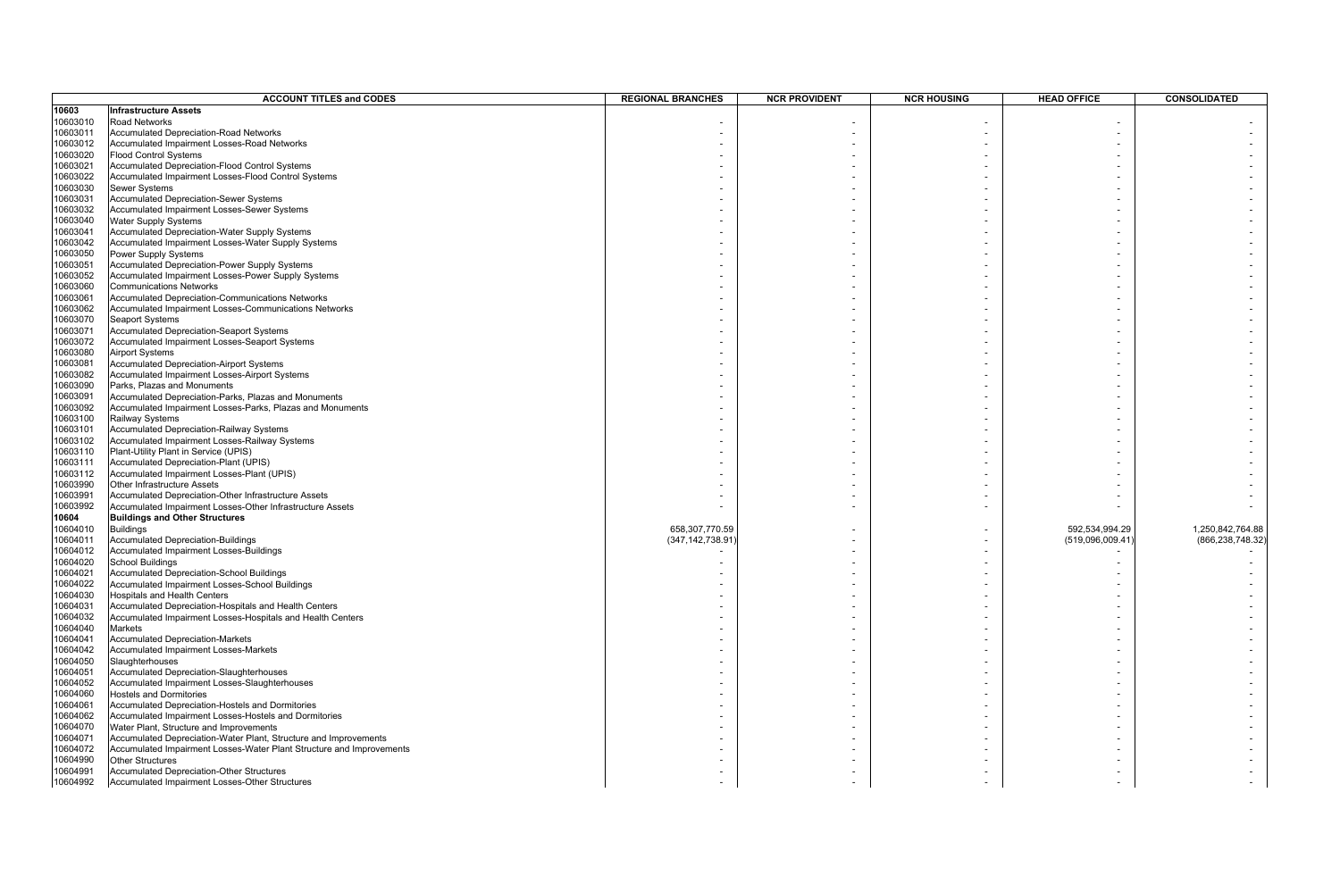|                      | <b>ACCOUNT TITLES and CODES</b>                                                        | <b>REGIONAL BRANCHES</b> | <b>NCR PROVIDENT</b> | <b>NCR HOUSING</b> | <b>HEAD OFFICE</b> | <b>CONSOLIDATED</b> |
|----------------------|----------------------------------------------------------------------------------------|--------------------------|----------------------|--------------------|--------------------|---------------------|
| 10603                | <b>Infrastructure Assets</b>                                                           |                          |                      |                    |                    |                     |
| 10603010             | Road Networks                                                                          |                          |                      |                    |                    |                     |
| 10603011             | <b>Accumulated Depreciation-Road Networks</b>                                          |                          |                      |                    |                    |                     |
| 10603012             | Accumulated Impairment Losses-Road Networks                                            |                          |                      |                    |                    |                     |
| 10603020             | <b>Flood Control Systems</b>                                                           |                          |                      |                    |                    |                     |
| 10603021             | Accumulated Depreciation-Flood Control Systems                                         |                          |                      |                    |                    |                     |
| 10603022             | Accumulated Impairment Losses-Flood Control Systems                                    |                          |                      |                    |                    |                     |
| 10603030             | <b>Sewer Systems</b>                                                                   |                          |                      |                    |                    |                     |
| 10603031             | <b>Accumulated Depreciation-Sewer Systems</b>                                          |                          |                      |                    |                    |                     |
| 10603032             | Accumulated Impairment Losses-Sewer Systems                                            |                          |                      |                    |                    |                     |
| 10603040             | Water Supply Systems                                                                   |                          |                      |                    |                    |                     |
| 10603041             | Accumulated Depreciation-Water Supply Systems                                          |                          |                      |                    |                    |                     |
| 10603042             | Accumulated Impairment Losses-Water Supply Systems                                     |                          |                      |                    |                    |                     |
| 10603050             | Power Supply Systems                                                                   |                          |                      |                    |                    |                     |
| 10603051             | Accumulated Depreciation-Power Supply Systems                                          |                          |                      |                    |                    |                     |
| 10603052             | Accumulated Impairment Losses-Power Supply Systems                                     |                          |                      |                    |                    |                     |
| 10603060             | <b>Communications Networks</b>                                                         |                          |                      |                    |                    |                     |
| 10603061             | Accumulated Depreciation-Communications Networks                                       |                          |                      |                    |                    |                     |
| 10603062             | Accumulated Impairment Losses-Communications Networks                                  |                          |                      |                    |                    |                     |
| 10603070             | <b>Seaport Systems</b>                                                                 |                          |                      |                    |                    |                     |
| 10603071             | Accumulated Depreciation-Seaport Systems                                               |                          |                      |                    |                    |                     |
| 10603072             | Accumulated Impairment Losses-Seaport Systems                                          |                          |                      |                    |                    |                     |
| 10603080             | <b>Airport Systems</b>                                                                 |                          |                      |                    |                    |                     |
| 10603081             | Accumulated Depreciation-Airport Systems                                               |                          |                      |                    |                    |                     |
| 10603082             | Accumulated Impairment Losses-Airport Systems                                          |                          |                      |                    |                    |                     |
| 10603090             | Parks, Plazas and Monuments                                                            |                          |                      |                    |                    |                     |
| 10603091             | Accumulated Depreciation-Parks, Plazas and Monuments                                   |                          |                      |                    |                    |                     |
| 10603092             | Accumulated Impairment Losses-Parks, Plazas and Monuments                              |                          |                      |                    |                    |                     |
| 10603100             | Railway Systems                                                                        |                          |                      |                    |                    |                     |
| 10603101<br>10603102 | Accumulated Depreciation-Railway Systems                                               |                          |                      |                    |                    |                     |
| 10603110             | Accumulated Impairment Losses-Railway Systems<br>Plant-Utility Plant in Service (UPIS) |                          |                      |                    |                    |                     |
| 10603111             | Accumulated Depreciation-Plant (UPIS)                                                  |                          |                      |                    |                    |                     |
| 10603112             | Accumulated Impairment Losses-Plant (UPIS)                                             |                          |                      |                    |                    |                     |
| 10603990             | Other Infrastructure Assets                                                            |                          |                      |                    |                    |                     |
| 10603991             | Accumulated Depreciation-Other Infrastructure Assets                                   |                          |                      |                    |                    |                     |
| 10603992             | Accumulated Impairment Losses-Other Infrastructure Assets                              |                          |                      |                    |                    |                     |
| 10604                | <b>Buildings and Other Structures</b>                                                  |                          |                      |                    |                    |                     |
| 10604010             | <b>Buildings</b>                                                                       | 658,307,770.59           |                      |                    | 592,534,994.29     | 1,250,842,764.88    |
| 10604011             | <b>Accumulated Depreciation-Buildings</b>                                              | (347, 142, 738.91        |                      |                    | (519,096,009.41    | (866, 238, 748.32)  |
| 10604012             | Accumulated Impairment Losses-Buildings                                                |                          |                      |                    |                    |                     |
| 10604020             | <b>School Buildings</b>                                                                |                          |                      |                    |                    |                     |
| 10604021             | Accumulated Depreciation-School Buildings                                              |                          |                      |                    |                    |                     |
| 10604022             | Accumulated Impairment Losses-School Buildings                                         |                          |                      |                    |                    |                     |
| 10604030             | Hospitals and Health Centers                                                           |                          |                      |                    |                    |                     |
| 10604031             | Accumulated Depreciation-Hospitals and Health Centers                                  |                          |                      |                    |                    |                     |
| 10604032             | Accumulated Impairment Losses-Hospitals and Health Centers                             |                          |                      |                    |                    |                     |
| 10604040             | Markets                                                                                |                          |                      |                    |                    |                     |
| 10604041             | <b>Accumulated Depreciation-Markets</b>                                                |                          |                      |                    |                    |                     |
| 10604042             | Accumulated Impairment Losses-Markets                                                  |                          |                      |                    |                    |                     |
| 10604050             | Slaughterhouses                                                                        |                          |                      |                    |                    |                     |
| 10604051             | Accumulated Depreciation-Slaughterhouses                                               |                          |                      |                    |                    |                     |
| 10604052             | Accumulated Impairment Losses-Slaughterhouses                                          |                          |                      |                    |                    |                     |
| 10604060             | <b>Hostels and Dormitories</b>                                                         |                          |                      |                    |                    |                     |
| 10604061             | Accumulated Depreciation-Hostels and Dormitories                                       |                          |                      |                    |                    |                     |
| 10604062             | Accumulated Impairment Losses-Hostels and Dormitories                                  |                          |                      |                    |                    |                     |
| 10604070             | Water Plant, Structure and Improvements                                                |                          |                      |                    |                    |                     |
| 10604071             | Accumulated Depreciation-Water Plant, Structure and Improvements                       |                          |                      |                    |                    |                     |
| 10604072             | Accumulated Impairment Losses-Water Plant Structure and Improvements                   |                          |                      |                    |                    |                     |
| 10604990             | <b>Other Structures</b>                                                                |                          |                      |                    |                    |                     |
| 10604991             | Accumulated Depreciation-Other Structures                                              |                          |                      |                    |                    |                     |
| 10604992             | Accumulated Impairment Losses-Other Structures                                         |                          |                      |                    |                    |                     |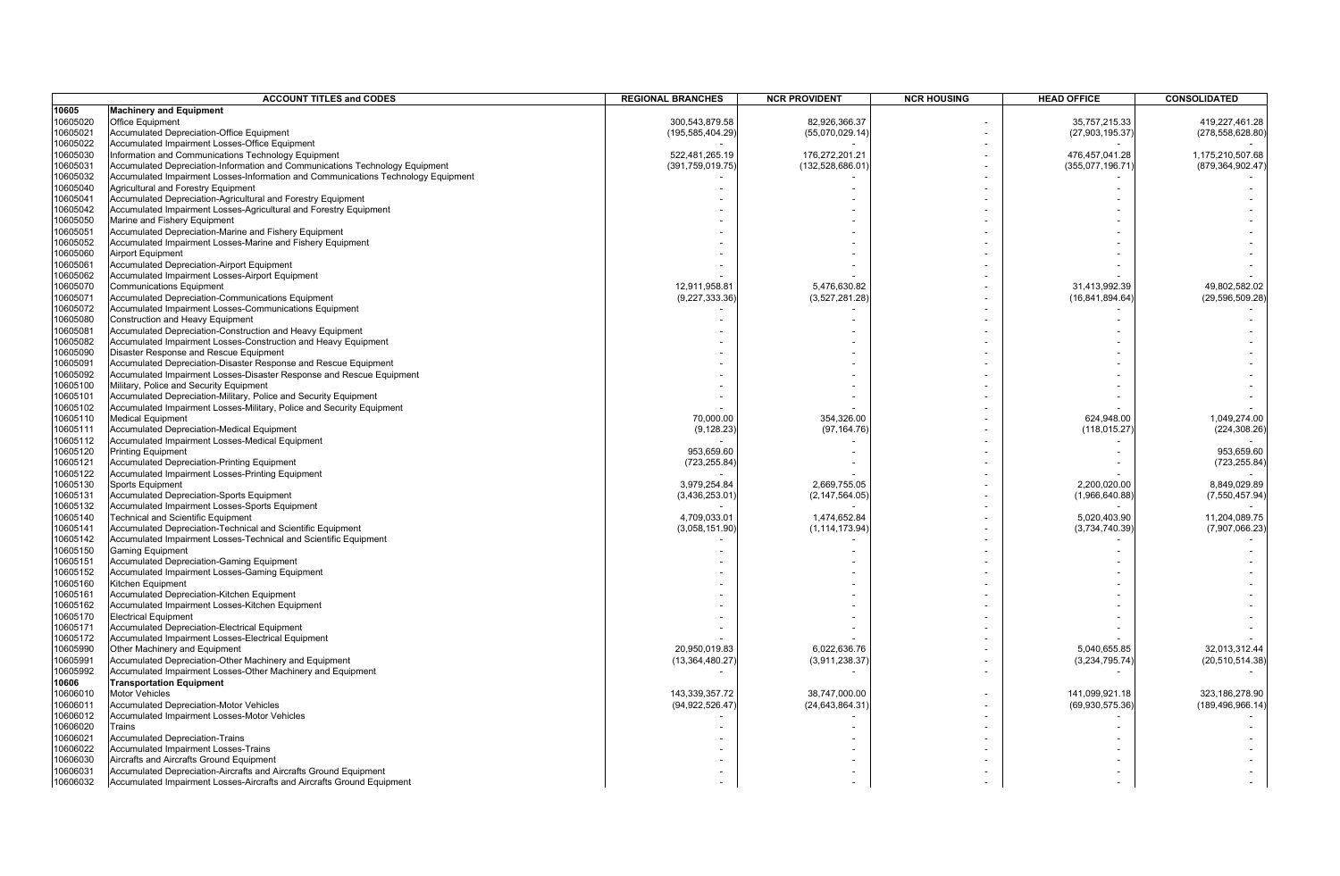|          | <b>ACCOUNT TITLES and CODES</b>                                                   | <b>REGIONAL BRANCHES</b> | <b>NCR PROVIDENT</b> | <b>NCR HOUSING</b> | <b>HEAD OFFICE</b> | <b>CONSOLIDATED</b> |
|----------|-----------------------------------------------------------------------------------|--------------------------|----------------------|--------------------|--------------------|---------------------|
| 10605    | <b>Machinery and Equipment</b>                                                    |                          |                      |                    |                    |                     |
| 10605020 | <b>Office Equipment</b>                                                           | 300,543,879.58           | 82,926,366.37        |                    | 35,757,215.33      | 419,227,461.28      |
| 10605021 | <b>Accumulated Depreciation-Office Equipment</b>                                  | (195, 585, 404.29)       | (55,070,029.14)      |                    | (27, 903, 195.37)  | (278, 558, 628.80)  |
| 10605022 | Accumulated Impairment Losses-Office Equipment                                    |                          |                      |                    |                    |                     |
| 10605030 | Information and Communications Technology Equipment                               | 522,481,265.19           | 176,272,201.21       |                    | 476,457,041.28     | 1,175,210,507.68    |
| 10605031 | Accumulated Depreciation-Information and Communications Technology Equipment      | (391,759,019.75          | (132,528,686.01      |                    | (355,077,196.71    | (879, 364, 902.47)  |
| 10605032 | Accumulated Impairment Losses-Information and Communications Technology Equipment |                          |                      |                    |                    |                     |
| 10605040 | Agricultural and Forestry Equipment                                               |                          |                      |                    |                    |                     |
| 10605041 | Accumulated Depreciation-Agricultural and Forestry Equipment                      |                          |                      |                    |                    |                     |
| 10605042 | Accumulated Impairment Losses-Agricultural and Forestry Equipment                 |                          |                      |                    |                    |                     |
| 10605050 | Marine and Fishery Equipment                                                      |                          |                      |                    |                    |                     |
| 10605051 | Accumulated Depreciation-Marine and Fishery Equipment                             |                          |                      |                    |                    |                     |
| 10605052 | Accumulated Impairment Losses-Marine and Fishery Equipment                        |                          |                      |                    |                    |                     |
| 10605060 | <b>Airport Equipment</b>                                                          |                          |                      |                    |                    |                     |
| 10605061 | Accumulated Depreciation-Airport Equipment                                        |                          |                      |                    |                    |                     |
| 10605062 | Accumulated Impairment Losses-Airport Equipment                                   |                          |                      |                    |                    |                     |
| 10605070 | <b>Communications Equipment</b>                                                   | 12,911,958.81            | 5,476,630.82         |                    | 31,413,992.39      | 49,802,582.02       |
| 10605071 | Accumulated Depreciation-Communications Equipment                                 | (9,227,333.36)           | (3,527,281.28)       |                    | (16, 841, 894.64)  | (29, 596, 509.28)   |
| 10605072 | Accumulated Impairment Losses-Communications Equipment                            |                          |                      |                    |                    |                     |
| 10605080 | Construction and Heavy Equipment                                                  |                          |                      |                    |                    |                     |
| 10605081 | Accumulated Depreciation-Construction and Heavy Equipment                         |                          |                      |                    |                    |                     |
| 10605082 | Accumulated Impairment Losses-Construction and Heavy Equipment                    |                          |                      |                    |                    |                     |
| 10605090 | Disaster Response and Rescue Equipment                                            |                          |                      |                    |                    |                     |
| 10605091 | Accumulated Depreciation-Disaster Response and Rescue Equipment                   |                          |                      |                    |                    |                     |
| 10605092 | Accumulated Impairment Losses-Disaster Response and Rescue Equipment              |                          |                      |                    |                    |                     |
| 10605100 | Military, Police and Security Equipment                                           |                          |                      |                    |                    |                     |
| 10605101 | Accumulated Depreciation-Military, Police and Security Equipment                  |                          |                      |                    |                    |                     |
| 10605102 | Accumulated Impairment Losses-Military, Police and Security Equipment             |                          |                      |                    |                    |                     |
| 10605110 | <b>Medical Equipment</b>                                                          | 70,000.00                | 354,326.00           |                    | 624,948.00         | 1,049,274.00        |
| 10605111 | Accumulated Depreciation-Medical Equipment                                        | (9, 128.23)              | (97, 164.76)         |                    | (118, 015.27)      | (224, 308.26)       |
| 10605112 | Accumulated Impairment Losses-Medical Equipment                                   |                          |                      |                    |                    |                     |
| 10605120 | <b>Printing Equipment</b>                                                         | 953,659.60               |                      |                    |                    | 953,659.60          |
| 10605121 | <b>Accumulated Depreciation-Printing Equipment</b>                                | (723,255.84)             |                      |                    |                    | (723, 255.84)       |
| 10605122 | Accumulated Impairment Losses-Printing Equipment                                  |                          |                      |                    |                    |                     |
| 10605130 | <b>Sports Equipment</b>                                                           | 3,979,254.84             | 2,669,755.05         |                    | 2,200,020.00       | 8,849,029.89        |
| 10605131 | Accumulated Depreciation-Sports Equipment                                         | (3,436,253.01)           | (2, 147, 564.05)     |                    | (1,966,640.88)     | (7, 550, 457.94)    |
| 10605132 | Accumulated Impairment Losses-Sports Equipment                                    |                          |                      |                    |                    |                     |
| 10605140 | Technical and Scientific Equipment                                                | 4,709,033.01             | 1,474,652.84         |                    | 5,020,403.90       | 11,204,089.75       |
| 10605141 | Accumulated Depreciation-Technical and Scientific Equipment                       | (3,058,151.90)           | (1, 114, 173.94)     |                    | (3,734,740.39)     | (7,907,066.23)      |
| 10605142 | Accumulated Impairment Losses-Technical and Scientific Equipment                  |                          |                      |                    |                    |                     |
| 10605150 | <b>Gaming Equipment</b>                                                           |                          |                      |                    |                    |                     |
| 10605151 | <b>Accumulated Depreciation-Gaming Equipment</b>                                  |                          |                      |                    |                    |                     |
| 10605152 | Accumulated Impairment Losses-Gaming Equipment                                    |                          |                      |                    |                    |                     |
| 10605160 | Kitchen Equipment                                                                 |                          |                      |                    |                    |                     |
| 10605161 | Accumulated Depreciation-Kitchen Equipment                                        |                          |                      |                    |                    |                     |
| 10605162 | Accumulated Impairment Losses-Kitchen Equipment                                   |                          |                      |                    |                    |                     |
| 10605170 | <b>Electrical Equipment</b>                                                       |                          |                      |                    |                    |                     |
| 10605171 | Accumulated Depreciation-Electrical Equipment                                     |                          |                      |                    |                    |                     |
| 10605172 | Accumulated Impairment Losses-Electrical Equipment                                |                          |                      |                    |                    |                     |
| 10605990 | Other Machinery and Equipment                                                     | 20,950,019.83            | 6,022,636.76         |                    | 5,040,655.85       | 32,013,312.44       |
| 10605991 | Accumulated Depreciation-Other Machinery and Equipment                            | (13, 364, 480.27)        | (3,911,238.37)       |                    | (3,234,795.74)     | (20, 510, 514.38)   |
| 10605992 | Accumulated Impairment Losses-Other Machinery and Equipment                       |                          |                      |                    |                    |                     |
| 10606    | <b>Transportation Equipment</b>                                                   |                          |                      |                    |                    |                     |
| 10606010 | <b>Motor Vehicles</b>                                                             | 143,339,357.72           | 38,747,000.00        |                    | 141,099,921.18     | 323,186,278.90      |
| 10606011 | <b>Accumulated Depreciation-Motor Vehicles</b>                                    | (94,922,526.47           | (24,643,864.31       |                    | (69, 930, 575.36)  | (189, 496, 966, 14) |
| 10606012 | Accumulated Impairment Losses-Motor Vehicles                                      |                          |                      |                    |                    |                     |
| 10606020 | Trains                                                                            |                          |                      |                    |                    |                     |
| 10606021 | <b>Accumulated Depreciation-Trains</b>                                            |                          |                      |                    |                    |                     |
| 10606022 | Accumulated Impairment Losses-Trains                                              |                          |                      |                    |                    |                     |
| 10606030 | Aircrafts and Aircrafts Ground Equipment                                          |                          |                      |                    |                    |                     |
| 10606031 | Accumulated Depreciation-Aircrafts and Aircrafts Ground Equipment                 |                          |                      |                    |                    |                     |
| 10606032 | Accumulated Impairment Losses-Aircrafts and Aircrafts Ground Equipment            |                          |                      |                    |                    |                     |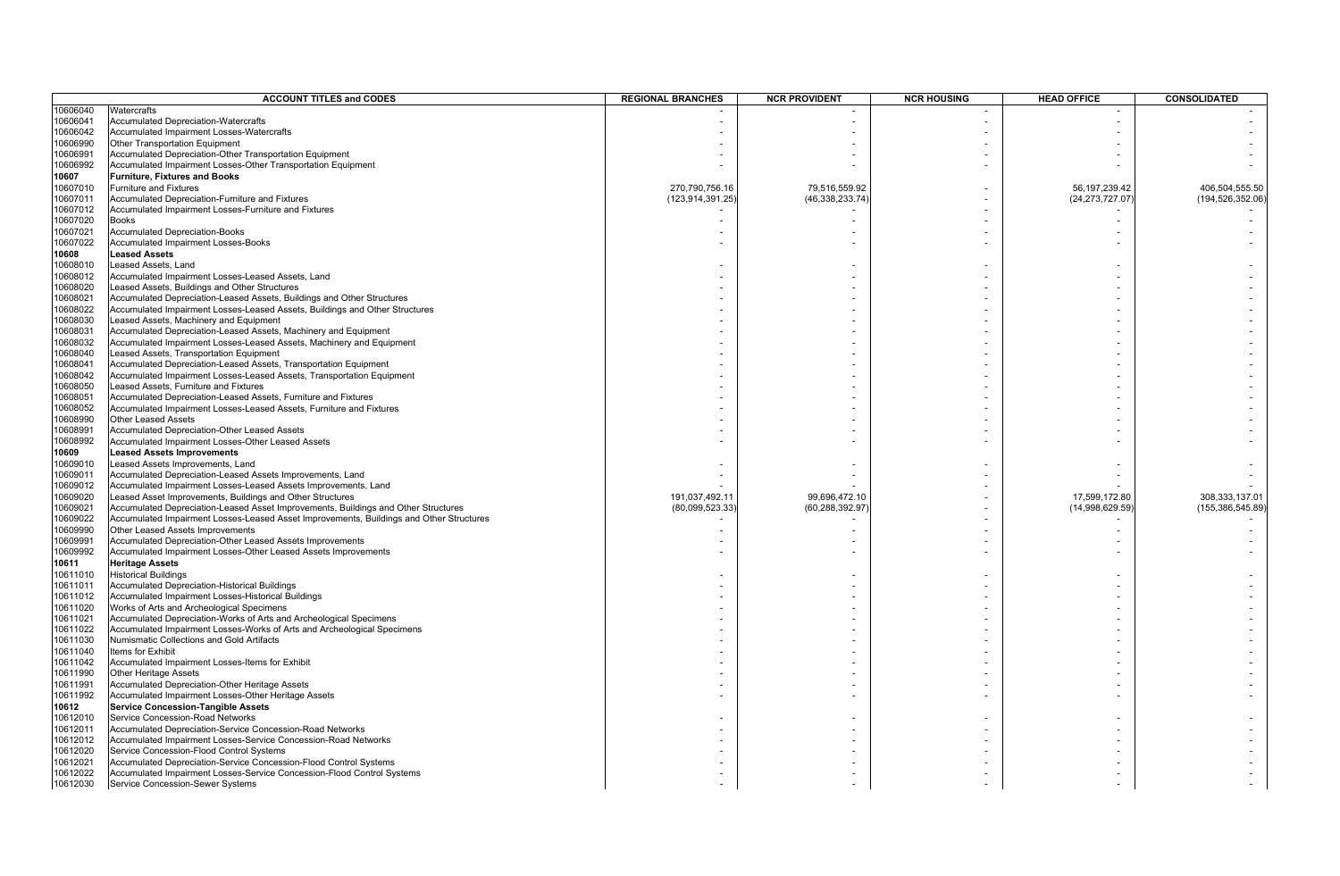|          | <b>ACCOUNT TITLES and CODES</b>                                                         | <b>REGIONAL BRANCHES</b> | <b>NCR PROVIDENT</b> | <b>NCR HOUSING</b> | <b>HEAD OFFICE</b> | <b>CONSOLIDATED</b> |
|----------|-----------------------------------------------------------------------------------------|--------------------------|----------------------|--------------------|--------------------|---------------------|
| 10606040 | Watercrafts                                                                             |                          |                      |                    |                    |                     |
| 10606041 | <b>Accumulated Depreciation-Watercrafts</b>                                             |                          |                      |                    |                    |                     |
| 10606042 | Accumulated Impairment Losses-Watercrafts                                               |                          |                      |                    |                    |                     |
| 10606990 | Other Transportation Equipment                                                          |                          |                      |                    |                    |                     |
| 10606991 | Accumulated Depreciation-Other Transportation Equipment                                 |                          |                      |                    |                    |                     |
| 10606992 | Accumulated Impairment Losses-Other Transportation Equipment                            |                          |                      |                    |                    |                     |
| 10607    | <b>Furniture, Fixtures and Books</b>                                                    |                          |                      |                    |                    |                     |
| 10607010 | <b>Furniture and Fixtures</b>                                                           | 270,790,756.16           | 79,516,559.92        |                    | 56, 197, 239. 42   | 406,504,555.50      |
| 10607011 | Accumulated Depreciation-Furniture and Fixtures                                         | (123,914,391.25)         | (46,338,233.74)      |                    | (24, 273, 727.07)  | (194, 526, 352.06)  |
| 10607012 | Accumulated Impairment Losses-Furniture and Fixtures                                    |                          |                      |                    |                    |                     |
| 10607020 | <b>Books</b>                                                                            |                          |                      |                    |                    |                     |
| 10607021 | <b>Accumulated Depreciation-Books</b>                                                   |                          |                      |                    |                    |                     |
| 10607022 | Accumulated Impairment Losses-Books                                                     |                          |                      |                    |                    |                     |
| 10608    | <b>Leased Assets</b>                                                                    |                          |                      |                    |                    |                     |
| 10608010 | Leased Assets, Land                                                                     |                          |                      |                    |                    |                     |
| 10608012 | Accumulated Impairment Losses-Leased Assets, Land                                       |                          |                      |                    |                    |                     |
| 10608020 | Leased Assets, Buildings and Other Structures                                           |                          |                      |                    |                    |                     |
| 10608021 | Accumulated Depreciation-Leased Assets, Buildings and Other Structures                  |                          |                      |                    |                    |                     |
| 10608022 | Accumulated Impairment Losses-Leased Assets, Buildings and Other Structures             |                          |                      |                    |                    |                     |
| 10608030 | Leased Assets, Machinery and Equipment                                                  |                          |                      |                    |                    |                     |
| 10608031 | Accumulated Depreciation-Leased Assets, Machinery and Equipment                         |                          |                      |                    |                    |                     |
| 10608032 | Accumulated Impairment Losses-Leased Assets, Machinery and Equipment                    |                          |                      |                    |                    |                     |
| 10608040 | Leased Assets, Transportation Equipment                                                 |                          |                      |                    |                    |                     |
| 10608041 | Accumulated Depreciation-Leased Assets, Transportation Equipment                        |                          |                      |                    |                    |                     |
| 10608042 | Accumulated Impairment Losses-Leased Assets, Transportation Equipment                   |                          |                      |                    |                    |                     |
| 10608050 | Leased Assets, Furniture and Fixtures                                                   |                          |                      |                    |                    |                     |
| 10608051 | Accumulated Depreciation-Leased Assets, Furniture and Fixtures                          |                          |                      |                    |                    |                     |
| 10608052 | Accumulated Impairment Losses-Leased Assets, Furniture and Fixtures                     |                          |                      |                    |                    |                     |
| 10608990 | <b>Other Leased Assets</b>                                                              |                          |                      |                    |                    |                     |
| 10608991 | Accumulated Depreciation-Other Leased Assets                                            |                          |                      |                    |                    |                     |
| 10608992 | Accumulated Impairment Losses-Other Leased Assets                                       |                          |                      |                    |                    |                     |
| 10609    | <b>Leased Assets Improvements</b>                                                       |                          |                      |                    |                    |                     |
| 10609010 | Leased Assets Improvements, Land                                                        |                          |                      |                    |                    |                     |
| 10609011 | Accumulated Depreciation-Leased Assets Improvements, Land                               |                          |                      |                    |                    |                     |
| 10609012 | Accumulated Impairment Losses-Leased Assets Improvements, Land                          |                          |                      |                    |                    |                     |
| 10609020 | Leased Asset Improvements, Buildings and Other Structures                               | 191,037,492.11           | 99,696,472.10        |                    | 17,599,172.80      | 308,333,137.01      |
| 10609021 | Accumulated Depreciation-Leased Asset Improvements, Buildings and Other Structures      | (80,099,523.33)          | (60,288,392.97       |                    | (14,998,629.59)    | (155, 386, 545.89)  |
| 10609022 | Accumulated Impairment Losses-Leased Asset Improvements, Buildings and Other Structures |                          |                      |                    |                    |                     |
| 10609990 | Other Leased Assets Improvements                                                        |                          |                      |                    |                    |                     |
| 10609991 | Accumulated Depreciation-Other Leased Assets Improvements                               |                          |                      |                    |                    |                     |
| 10609992 | Accumulated Impairment Losses-Other Leased Assets Improvements                          |                          |                      |                    |                    |                     |
| 10611    | <b>Heritage Assets</b>                                                                  |                          |                      |                    |                    |                     |
| 10611010 | <b>Historical Buildings</b>                                                             |                          |                      |                    |                    |                     |
| 10611011 | Accumulated Depreciation-Historical Buildings                                           |                          |                      |                    |                    |                     |
| 10611012 | Accumulated Impairment Losses-Historical Buildings                                      |                          |                      |                    |                    |                     |
| 10611020 | Works of Arts and Archeological Specimens                                               |                          |                      |                    |                    |                     |
| 10611021 | Accumulated Depreciation-Works of Arts and Archeological Specimens                      |                          |                      |                    |                    |                     |
| 10611022 | Accumulated Impairment Losses-Works of Arts and Archeological Specimens                 |                          |                      |                    |                    |                     |
| 10611030 | Numismatic Collections and Gold Artifacts                                               |                          |                      |                    |                    |                     |
| 10611040 | Items for Exhibit                                                                       |                          |                      |                    |                    |                     |
| 10611042 | Accumulated Impairment Losses-Items for Exhibit                                         |                          |                      |                    |                    |                     |
| 10611990 | <b>Other Heritage Assets</b>                                                            |                          |                      |                    |                    |                     |
| 10611991 | Accumulated Depreciation-Other Heritage Assets                                          |                          |                      |                    |                    |                     |
| 10611992 | Accumulated Impairment Losses-Other Heritage Assets                                     |                          |                      |                    |                    |                     |
| 10612    | <b>Service Concession-Tangible Assets</b>                                               |                          |                      |                    |                    |                     |
| 10612010 | Service Concession-Road Networks                                                        |                          |                      |                    |                    |                     |
| 10612011 | Accumulated Depreciation-Service Concession-Road Networks                               |                          |                      |                    |                    |                     |
| 10612012 | Accumulated Impairment Losses-Service Concession-Road Networks                          |                          |                      |                    |                    |                     |
| 10612020 | Service Concession-Flood Control Systems                                                |                          |                      |                    |                    |                     |
| 10612021 | Accumulated Depreciation-Service Concession-Flood Control Systems                       |                          |                      |                    |                    |                     |
| 10612022 | Accumulated Impairment Losses-Service Concession-Flood Control Systems                  |                          |                      |                    |                    |                     |
| 10612030 | Service Concession-Sewer Systems                                                        |                          |                      |                    |                    |                     |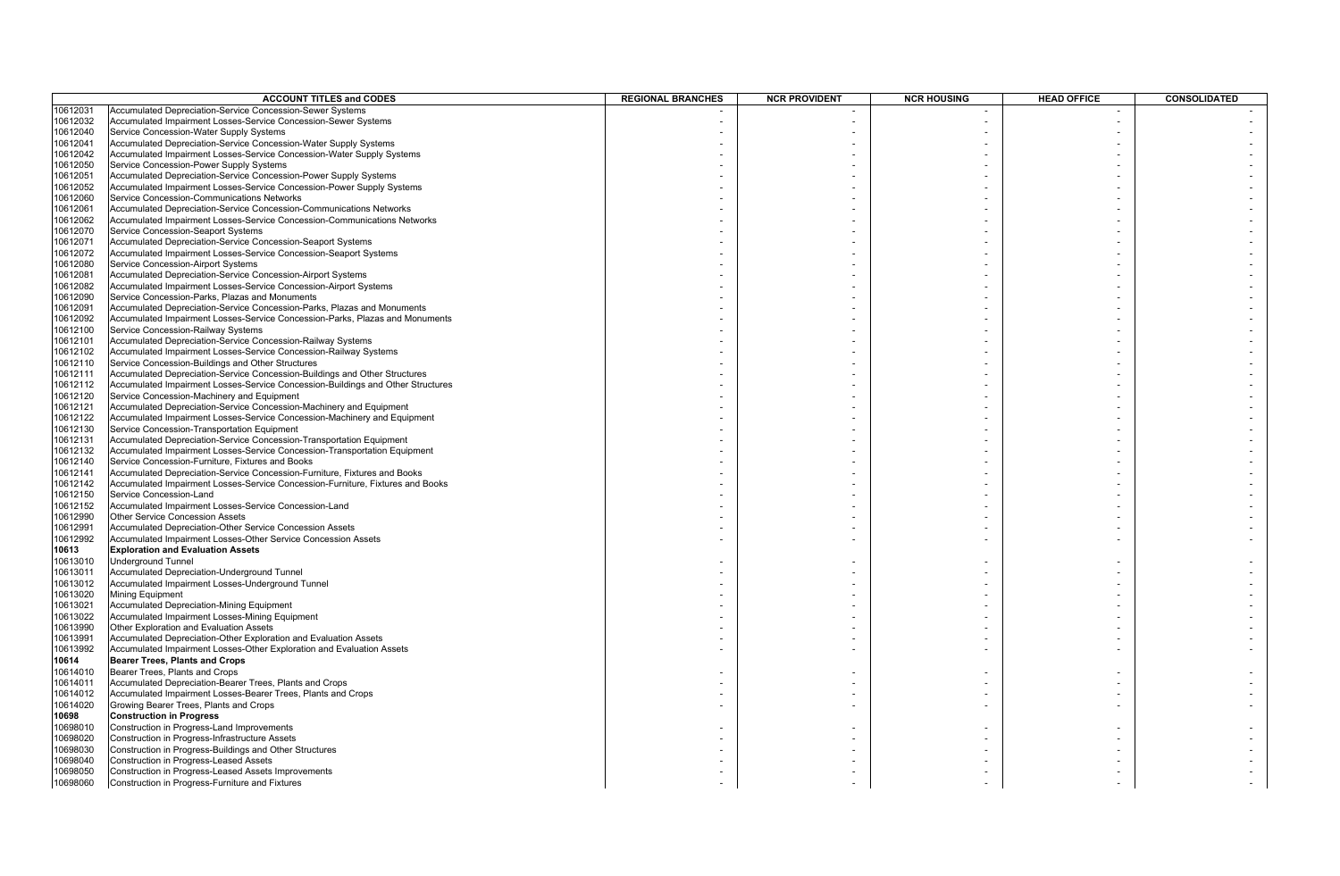|          | <b>ACCOUNT TITLES and CODES</b>                                                 | <b>REGIONAL BRANCHES</b> | <b>NCR PROVIDENT</b> | <b>NCR HOUSING</b> | <b>HEAD OFFICE</b> | <b>CONSOLIDATED</b> |
|----------|---------------------------------------------------------------------------------|--------------------------|----------------------|--------------------|--------------------|---------------------|
| 10612031 | <b>Accumulated Depreciation-Service Concession-Sewer Systems</b>                |                          |                      |                    |                    |                     |
| 10612032 | Accumulated Impairment Losses-Service Concession-Sewer Systems                  |                          |                      |                    |                    |                     |
| 10612040 | Service Concession-Water Supply Systems                                         |                          |                      |                    |                    |                     |
|          | Accumulated Depreciation-Service Concession-Water Supply Systems                |                          |                      |                    |                    |                     |
| 10612041 |                                                                                 |                          |                      |                    |                    |                     |
| 10612042 | Accumulated Impairment Losses-Service Concession-Water Supply Systems           |                          |                      |                    |                    |                     |
| 10612050 | Service Concession-Power Supply Systems                                         |                          |                      |                    |                    |                     |
| 10612051 | Accumulated Depreciation-Service Concession-Power Supply Systems                |                          |                      |                    |                    |                     |
| 10612052 | Accumulated Impairment Losses-Service Concession-Power Supply Systems           |                          |                      |                    |                    |                     |
| 10612060 | Service Concession-Communications Networks                                      |                          |                      |                    |                    |                     |
| 10612061 | Accumulated Depreciation-Service Concession-Communications Networks             |                          |                      |                    |                    |                     |
| 10612062 | Accumulated Impairment Losses-Service Concession-Communications Networks        |                          |                      |                    |                    |                     |
| 10612070 | Service Concession-Seaport Systems                                              |                          |                      |                    |                    |                     |
| 10612071 | Accumulated Depreciation-Service Concession-Seaport Systems                     |                          |                      |                    |                    |                     |
| 10612072 | Accumulated Impairment Losses-Service Concession-Seaport Systems                |                          |                      |                    |                    |                     |
| 10612080 | Service Concession-Airport Systems                                              |                          |                      |                    |                    |                     |
|          |                                                                                 |                          |                      |                    |                    |                     |
| 10612081 | Accumulated Depreciation-Service Concession-Airport Systems                     |                          |                      |                    |                    |                     |
| 10612082 | Accumulated Impairment Losses-Service Concession-Airport Systems                |                          |                      |                    |                    |                     |
| 10612090 | Service Concession-Parks, Plazas and Monuments                                  |                          |                      |                    |                    |                     |
| 10612091 | Accumulated Depreciation-Service Concession-Parks, Plazas and Monuments         |                          |                      |                    |                    |                     |
| 10612092 | Accumulated Impairment Losses-Service Concession-Parks, Plazas and Monuments    |                          |                      |                    |                    |                     |
| 10612100 | Service Concession-Railway Systems                                              |                          |                      |                    |                    |                     |
| 10612101 | Accumulated Depreciation-Service Concession-Railway Systems                     |                          |                      |                    |                    |                     |
| 10612102 | Accumulated Impairment Losses-Service Concession-Railway Systems                |                          |                      |                    |                    |                     |
| 10612110 | Service Concession-Buildings and Other Structures                               |                          |                      |                    |                    |                     |
| 10612111 | Accumulated Depreciation-Service Concession-Buildings and Other Structures      |                          |                      |                    |                    |                     |
| 10612112 | Accumulated Impairment Losses-Service Concession-Buildings and Other Structures |                          |                      |                    |                    |                     |
| 10612120 | Service Concession-Machinery and Equipment                                      |                          |                      |                    |                    |                     |
| 10612121 | Accumulated Depreciation-Service Concession-Machinery and Equipment             |                          |                      |                    |                    |                     |
| 10612122 | Accumulated Impairment Losses-Service Concession-Machinery and Equipment        |                          |                      |                    |                    |                     |
| 10612130 | Service Concession-Transportation Equipment                                     |                          |                      |                    |                    |                     |
|          |                                                                                 |                          |                      |                    |                    |                     |
| 10612131 | Accumulated Depreciation-Service Concession-Transportation Equipment            |                          |                      |                    |                    |                     |
| 10612132 | Accumulated Impairment Losses-Service Concession-Transportation Equipment       |                          |                      |                    |                    |                     |
| 10612140 | Service Concession-Furniture, Fixtures and Books                                |                          |                      |                    |                    |                     |
| 10612141 | Accumulated Depreciation-Service Concession-Furniture, Fixtures and Books       |                          |                      |                    |                    |                     |
| 10612142 | Accumulated Impairment Losses-Service Concession-Furniture, Fixtures and Books  |                          |                      |                    |                    |                     |
| 10612150 | Service Concession-Land                                                         |                          |                      |                    |                    |                     |
| 10612152 | Accumulated Impairment Losses-Service Concession-Land                           |                          |                      |                    |                    |                     |
| 10612990 | <b>Other Service Concession Assets</b>                                          |                          |                      |                    |                    |                     |
| 10612991 | Accumulated Depreciation-Other Service Concession Assets                        |                          |                      |                    |                    |                     |
| 10612992 | Accumulated Impairment Losses-Other Service Concession Assets                   |                          |                      |                    |                    |                     |
| 10613    | <b>Exploration and Evaluation Assets</b>                                        |                          |                      |                    |                    |                     |
| 10613010 | <b>Underground Tunnel</b>                                                       |                          |                      |                    |                    |                     |
| 10613011 | Accumulated Depreciation-Underground Tunnel                                     |                          |                      |                    |                    |                     |
| 10613012 | Accumulated Impairment Losses-Underground Tunnel                                |                          |                      |                    |                    |                     |
| 10613020 | Mining Equipment                                                                |                          |                      |                    |                    |                     |
| 10613021 | <b>Accumulated Depreciation-Mining Equipment</b>                                |                          |                      |                    |                    |                     |
| 10613022 | Accumulated Impairment Losses-Mining Equipment                                  |                          |                      |                    |                    |                     |
| 10613990 | Other Exploration and Evaluation Assets                                         |                          |                      |                    |                    |                     |
|          |                                                                                 |                          |                      |                    |                    |                     |
| 10613991 | Accumulated Depreciation-Other Exploration and Evaluation Assets                |                          |                      |                    |                    |                     |
| 10613992 | Accumulated Impairment Losses-Other Exploration and Evaluation Assets           |                          |                      |                    |                    |                     |
| 10614    | <b>Bearer Trees, Plants and Crops</b>                                           |                          |                      |                    |                    |                     |
| 10614010 | Bearer Trees, Plants and Crops                                                  |                          |                      |                    |                    |                     |
| 10614011 | Accumulated Depreciation-Bearer Trees, Plants and Crops                         |                          |                      |                    |                    |                     |
| 10614012 | Accumulated Impairment Losses-Bearer Trees, Plants and Crops                    |                          |                      |                    |                    |                     |
| 10614020 | Growing Bearer Trees, Plants and Crops                                          |                          |                      |                    |                    |                     |
| 10698    | <b>Construction in Progress</b>                                                 |                          |                      |                    |                    |                     |
| 10698010 | Construction in Progress-Land Improvements                                      |                          |                      |                    |                    |                     |
| 10698020 | Construction in Progress-Infrastructure Assets                                  |                          |                      |                    |                    |                     |
| 10698030 | Construction in Progress-Buildings and Other Structures                         |                          |                      |                    |                    |                     |
| 0698040  | Construction in Progress-Leased Assets                                          |                          |                      |                    |                    |                     |
| 10698050 | Construction in Progress-Leased Assets Improvements                             |                          |                      |                    |                    |                     |
| 10698060 | Construction in Progress-Furniture and Fixtures                                 |                          |                      |                    |                    |                     |
|          |                                                                                 |                          |                      |                    |                    |                     |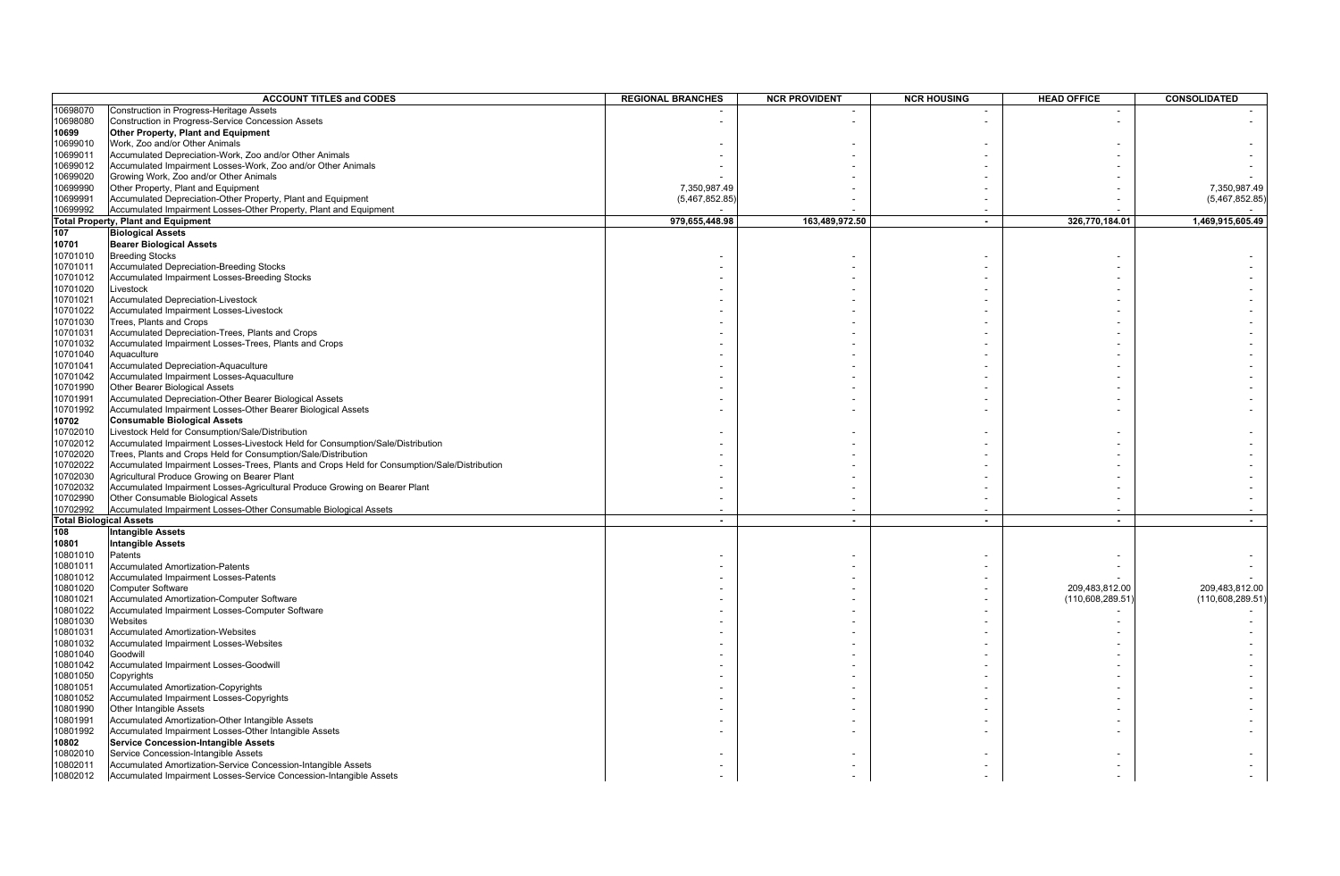|          | <b>ACCOUNT TITLES and CODES</b>                                                              | <b>REGIONAL BRANCHES</b> | <b>NCR PROVIDENT</b> | <b>NCR HOUSING</b> | <b>HEAD OFFICE</b> | CONSOLIDATED     |
|----------|----------------------------------------------------------------------------------------------|--------------------------|----------------------|--------------------|--------------------|------------------|
| 10698070 | Construction in Progress-Heritage Assets                                                     |                          |                      |                    |                    |                  |
| 10698080 | Construction in Progress-Service Concession Assets                                           |                          |                      |                    |                    |                  |
| 10699    | Other Property, Plant and Equipment                                                          |                          |                      |                    |                    |                  |
| 10699010 | Work, Zoo and/or Other Animals                                                               |                          |                      |                    |                    |                  |
|          |                                                                                              |                          |                      |                    |                    |                  |
| 10699011 | Accumulated Depreciation-Work, Zoo and/or Other Animals                                      |                          |                      |                    |                    |                  |
| 10699012 | Accumulated Impairment Losses-Work, Zoo and/or Other Animals                                 |                          |                      |                    |                    |                  |
| 10699020 | Growing Work, Zoo and/or Other Animals                                                       |                          |                      |                    |                    |                  |
| 10699990 | Other Property, Plant and Equipment                                                          | 7,350,987.49             |                      |                    |                    | 7,350,987.49     |
| 10699991 | Accumulated Depreciation-Other Property, Plant and Equipment                                 | (5,467,852.85)           |                      |                    |                    | (5,467,852.85)   |
| 10699992 | Accumulated Impairment Losses-Other Property, Plant and Equipment                            |                          |                      |                    |                    |                  |
|          | <b>Total Property, Plant and Equipment</b>                                                   | 979,655,448.98           | 163,489,972.50       | $\blacksquare$     | 326,770,184.01     | 1,469,915,605.49 |
| 107      | <b>Biological Assets</b>                                                                     |                          |                      |                    |                    |                  |
| 10701    | <b>Bearer Biological Assets</b>                                                              |                          |                      |                    |                    |                  |
| 10701010 | <b>Breeding Stocks</b>                                                                       |                          |                      |                    |                    |                  |
| 10701011 | <b>Accumulated Depreciation-Breeding Stocks</b>                                              |                          |                      |                    |                    |                  |
| 10701012 | Accumulated Impairment Losses-Breeding Stocks                                                |                          |                      |                    |                    |                  |
| 10701020 | Livestock                                                                                    |                          |                      |                    |                    |                  |
| 10701021 | Accumulated Depreciation-Livestock                                                           |                          |                      |                    |                    |                  |
| 10701022 | Accumulated Impairment Losses-Livestock                                                      |                          |                      |                    |                    |                  |
| 10701030 | Trees, Plants and Crops                                                                      |                          |                      |                    |                    |                  |
| 10701031 | Accumulated Depreciation-Trees, Plants and Crops                                             |                          |                      |                    |                    |                  |
| 10701032 | Accumulated Impairment Losses-Trees, Plants and Crops                                        |                          |                      |                    |                    |                  |
| 10701040 | Aquaculture                                                                                  |                          |                      |                    |                    |                  |
| 10701041 | Accumulated Depreciation-Aquaculture                                                         |                          |                      |                    |                    |                  |
| 10701042 | Accumulated Impairment Losses-Aquaculture                                                    |                          |                      |                    |                    |                  |
| 10701990 | Other Bearer Biological Assets                                                               |                          |                      |                    |                    |                  |
|          |                                                                                              |                          |                      |                    |                    |                  |
| 10701991 | Accumulated Depreciation-Other Bearer Biological Assets                                      |                          |                      |                    |                    |                  |
| 10701992 | Accumulated Impairment Losses-Other Bearer Biological Assets                                 |                          |                      |                    |                    |                  |
| 10702    | <b>Consumable Biological Assets</b>                                                          |                          |                      |                    |                    |                  |
| 10702010 | Livestock Held for Consumption/Sale/Distribution                                             |                          |                      |                    |                    |                  |
| 10702012 | Accumulated Impairment Losses-Livestock Held for Consumption/Sale/Distribution               |                          |                      |                    |                    |                  |
| 10702020 | Trees, Plants and Crops Held for Consumption/Sale/Distribution                               |                          |                      |                    |                    |                  |
| 10702022 | Accumulated Impairment Losses-Trees, Plants and Crops Held for Consumption/Sale/Distribution |                          |                      |                    |                    |                  |
| 10702030 | Agricultural Produce Growing on Bearer Plant                                                 |                          |                      |                    |                    |                  |
| 10702032 | Accumulated Impairment Losses-Agricultural Produce Growing on Bearer Plant                   |                          |                      |                    |                    |                  |
| 10702990 | Other Consumable Biological Assets                                                           |                          |                      |                    |                    |                  |
| 10702992 | Accumulated Impairment Losses-Other Consumable Biological Assets                             |                          |                      |                    |                    |                  |
|          | <b>Total Biological Assets</b>                                                               | $\overline{\phantom{a}}$ | $\sim$               | $\sim$             | $\sim$             | $\blacksquare$   |
| 108      | <b>Intangible Assets</b>                                                                     |                          |                      |                    |                    |                  |
| 10801    | <b>Intangible Assets</b>                                                                     |                          |                      |                    |                    |                  |
| 10801010 | Patents                                                                                      |                          |                      |                    |                    |                  |
| 10801011 | <b>Accumulated Amortization-Patents</b>                                                      |                          |                      |                    |                    |                  |
| 10801012 | Accumulated Impairment Losses-Patents                                                        |                          |                      |                    |                    |                  |
| 10801020 | <b>Computer Software</b>                                                                     |                          |                      |                    | 209,483,812.00     | 209,483,812.00   |
| 10801021 | Accumulated Amortization-Computer Software                                                   |                          |                      |                    | (110,608,289.51)   | (110,608,289.51) |
| 10801022 | Accumulated Impairment Losses-Computer Software                                              |                          |                      |                    |                    |                  |
| 10801030 | Websites                                                                                     |                          |                      |                    |                    |                  |
| 10801031 | <b>Accumulated Amortization-Websites</b>                                                     |                          |                      |                    |                    |                  |
| 10801032 | Accumulated Impairment Losses-Websites                                                       |                          |                      |                    |                    |                  |
| 10801040 | Goodwill                                                                                     |                          |                      |                    |                    |                  |
| 10801042 | Accumulated Impairment Losses-Goodwill                                                       |                          |                      |                    |                    |                  |
| 10801050 |                                                                                              |                          |                      |                    |                    |                  |
| 10801051 | Copyrights<br>Accumulated Amortization-Copyrights                                            |                          |                      |                    |                    |                  |
|          |                                                                                              |                          |                      |                    |                    |                  |
| 10801052 | Accumulated Impairment Losses-Copyrights                                                     |                          |                      |                    |                    |                  |
| 10801990 | Other Intangible Assets                                                                      |                          |                      |                    |                    |                  |
| 10801991 | Accumulated Amortization-Other Intangible Assets                                             |                          |                      |                    |                    |                  |
| 10801992 | Accumulated Impairment Losses-Other Intangible Assets                                        |                          |                      |                    |                    |                  |
| 10802    | <b>Service Concession-Intangible Assets</b>                                                  |                          |                      |                    |                    |                  |
| 10802010 | Service Concession-Intangible Assets                                                         |                          |                      |                    |                    |                  |
| 10802011 | Accumulated Amortization-Service Concession-Intangible Assets                                |                          |                      |                    |                    |                  |
| 10802012 | Accumulated Impairment Losses-Service Concession-Intangible Assets                           |                          |                      |                    |                    |                  |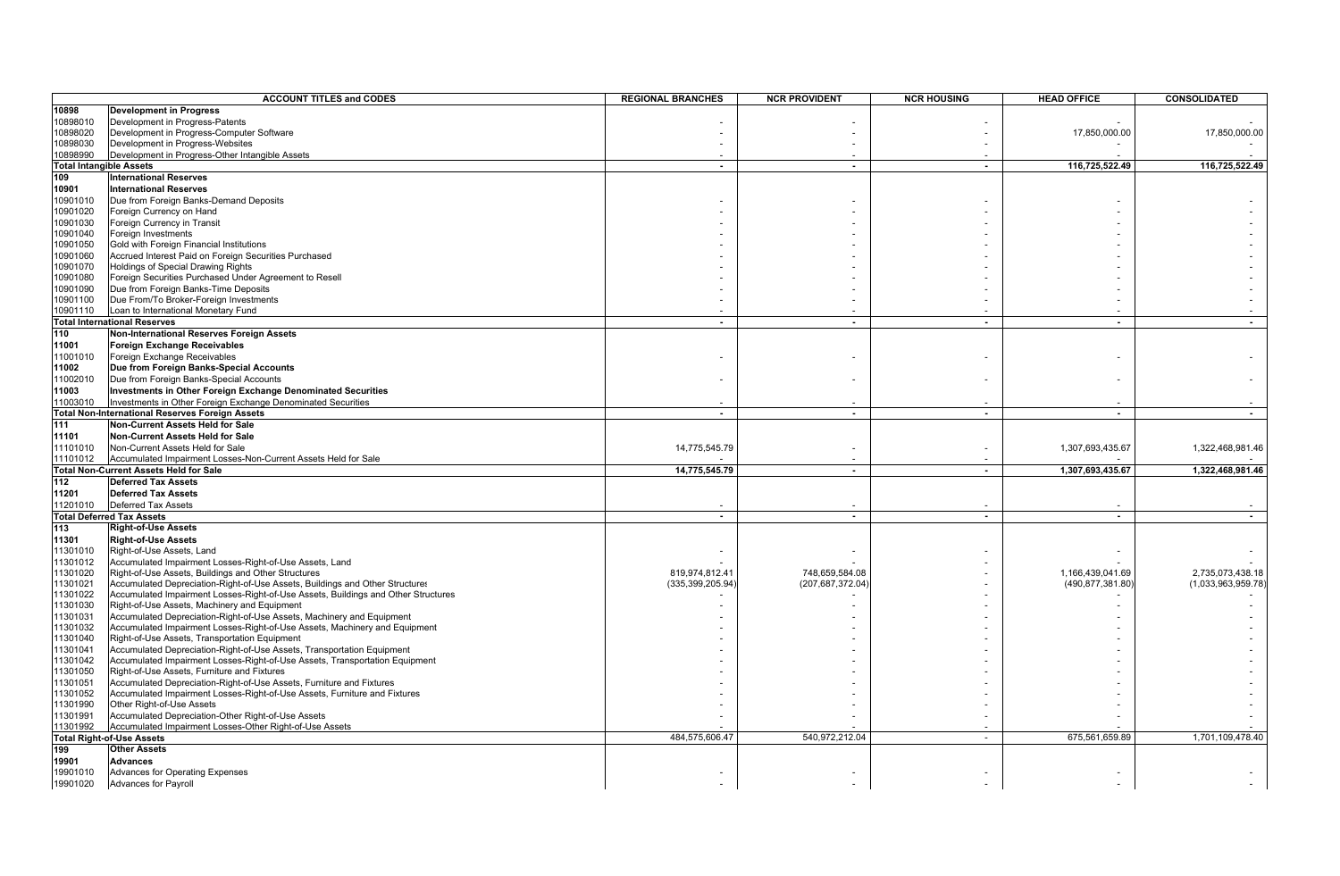|          | <b>ACCOUNT TITLES and CODES</b>                                                   | <b>REGIONAL BRANCHES</b> | <b>NCR PROVIDENT</b> | <b>NCR HOUSING</b> | <b>HEAD OFFICE</b>       | <b>CONSOLIDATED</b>      |
|----------|-----------------------------------------------------------------------------------|--------------------------|----------------------|--------------------|--------------------------|--------------------------|
| 10898    | <b>Development in Progress</b>                                                    |                          |                      |                    |                          |                          |
| 10898010 | Development in Progress-Patents                                                   |                          |                      |                    |                          |                          |
| 10898020 | Development in Progress-Computer Software                                         |                          |                      |                    | 17,850,000.00            | 17,850,000.00            |
| 10898030 | Development in Progress-Websites                                                  |                          |                      |                    |                          |                          |
| 10898990 | Development in Progress-Other Intangible Assets                                   |                          |                      |                    |                          |                          |
|          | <b>Total Intangible Assets</b>                                                    | $\blacksquare$           | $\overline{a}$       | $\blacksquare$     | 116,725,522.49           | 116,725,522.49           |
| 109      | <b>International Reserves</b>                                                     |                          |                      |                    |                          |                          |
| 10901    | <b>International Reserves</b>                                                     |                          |                      |                    |                          |                          |
| 10901010 | Due from Foreign Banks-Demand Deposits                                            |                          |                      |                    |                          |                          |
| 10901020 | Foreign Currency on Hand                                                          |                          |                      |                    |                          |                          |
| 10901030 | Foreign Currency in Transit                                                       |                          |                      |                    |                          |                          |
| 10901040 | Foreign Investments                                                               |                          |                      |                    |                          |                          |
| 10901050 | Gold with Foreign Financial Institutions                                          |                          |                      |                    |                          |                          |
| 10901060 | Accrued Interest Paid on Foreign Securities Purchased                             |                          |                      |                    |                          |                          |
| 10901070 | Holdings of Special Drawing Rights                                                |                          |                      |                    |                          |                          |
| 10901080 | Foreign Securities Purchased Under Agreement to Resell                            |                          |                      |                    |                          |                          |
| 10901090 | Due from Foreign Banks-Time Deposits                                              |                          |                      |                    |                          |                          |
| 10901100 | Due From/To Broker-Foreign Investments                                            |                          |                      |                    |                          |                          |
| 10901110 | Loan to International Monetary Fund                                               |                          |                      |                    |                          |                          |
|          | <b>Total International Reserves</b>                                               | $\sim$                   | $\sim$               | $\sim$             | $\overline{a}$           | $\sim$                   |
| 110      | Non-International Reserves Foreign Assets                                         |                          |                      |                    |                          |                          |
|          |                                                                                   |                          |                      |                    |                          |                          |
| 11001    | Foreign Exchange Receivables                                                      |                          |                      |                    |                          |                          |
| 11001010 | Foreign Exchange Receivables                                                      |                          |                      |                    |                          |                          |
| 11002    | Due from Foreign Banks-Special Accounts                                           |                          |                      |                    |                          |                          |
| 11002010 | Due from Foreign Banks-Special Accounts                                           |                          |                      |                    |                          |                          |
| 11003    | Investments in Other Foreign Exchange Denominated Securities                      |                          |                      |                    |                          |                          |
| 11003010 | Investments in Other Foreign Exchange Denominated Securities                      |                          |                      |                    |                          |                          |
|          | Total Non-International Reserves Foreign Assets                                   | $\sim$                   | $\sim$               | $\sim$             | $\overline{\phantom{a}}$ | $\sim$                   |
| 111      | Non-Current Assets Held for Sale                                                  |                          |                      |                    |                          |                          |
| 11101    | Non-Current Assets Held for Sale                                                  |                          |                      |                    |                          |                          |
| 11101010 | Non-Current Assets Held for Sale                                                  | 14,775,545.79            |                      |                    | 1,307,693,435.67         | 1,322,468,981.46         |
| 11101012 | Accumulated Impairment Losses-Non-Current Assets Held for Sale                    |                          |                      |                    |                          |                          |
|          | Total Non-Current Assets Held for Sale                                            | 14,775,545.79            | $\sim$               | $\sim$             | 1,307,693,435.67         | 1,322,468,981.46         |
| 112      | <b>Deferred Tax Assets</b>                                                        |                          |                      |                    |                          |                          |
| 11201    | <b>Deferred Tax Assets</b>                                                        |                          |                      |                    |                          |                          |
| 11201010 | Deferred Tax Assets                                                               |                          |                      |                    |                          |                          |
|          | <b>Total Deferred Tax Assets</b>                                                  | $\overline{\phantom{a}}$ | $\overline{a}$       | $\blacksquare$     | $\overline{\phantom{a}}$ | $\overline{\phantom{a}}$ |
| 113      | <b>Right-of-Use Assets</b>                                                        |                          |                      |                    |                          |                          |
| 11301    | <b>Right-of-Use Assets</b>                                                        |                          |                      |                    |                          |                          |
| 11301010 | Right-of-Use Assets, Land                                                         |                          |                      |                    |                          |                          |
| 11301012 | Accumulated Impairment Losses-Right-of-Use Assets, Land                           |                          |                      |                    |                          |                          |
| 11301020 | Right-of-Use Assets, Buildings and Other Structures                               | 819,974,812.41           | 748,659,584.08       |                    | 1,166,439,041.69         | 2,735,073,438.18         |
| 11301021 | Accumulated Depreciation-Right-of-Use Assets, Buildings and Other Structures      | (335,399,205.94          | (207,687,372.04      |                    | (490,877,381.80)         | (1,033,963,959.78)       |
| 11301022 | Accumulated Impairment Losses-Right-of-Use Assets, Buildings and Other Structures |                          |                      |                    |                          |                          |
| 11301030 | Right-of-Use Assets, Machinery and Equipment                                      |                          |                      |                    |                          |                          |
| 11301031 | Accumulated Depreciation-Right-of-Use Assets, Machinery and Equipment             |                          |                      |                    |                          |                          |
| 11301032 | Accumulated Impairment Losses-Right-of-Use Assets, Machinery and Equipment        |                          |                      |                    |                          |                          |
| 11301040 | Right-of-Use Assets, Transportation Equipment                                     |                          |                      |                    |                          |                          |
| 11301041 | Accumulated Depreciation-Right-of-Use Assets, Transportation Equipment            |                          |                      |                    |                          |                          |
| 11301042 | Accumulated Impairment Losses-Right-of-Use Assets, Transportation Equipment       |                          |                      |                    |                          |                          |
| 11301050 | Right-of-Use Assets, Furniture and Fixtures                                       |                          |                      |                    |                          |                          |
| 11301051 | Accumulated Depreciation-Right-of-Use Assets, Furniture and Fixtures              |                          |                      |                    |                          |                          |
| 11301052 | Accumulated Impairment Losses-Right-of-Use Assets, Furniture and Fixtures         |                          |                      |                    |                          |                          |
| 11301990 | Other Right-of-Use Assets                                                         |                          |                      |                    |                          |                          |
| 11301991 | Accumulated Depreciation-Other Right-of-Use Assets                                |                          |                      |                    |                          |                          |
| 11301992 | Accumulated Impairment Losses-Other Right-of-Use Assets                           |                          |                      |                    |                          |                          |
|          | <b>Total Right-of-Use Assets</b>                                                  | 484,575,606.47           | 540,972,212.04       | $\blacksquare$     | 675,561,659.89           | 1,701,109,478.40         |
| 199      | <b>Other Assets</b>                                                               |                          |                      |                    |                          |                          |
| 19901    | <b>Advances</b>                                                                   |                          |                      |                    |                          |                          |
| 19901010 | Advances for Operating Expenses                                                   |                          |                      |                    |                          |                          |
| 19901020 | <b>Advances for Payroll</b>                                                       |                          |                      |                    |                          |                          |
|          |                                                                                   |                          |                      |                    |                          |                          |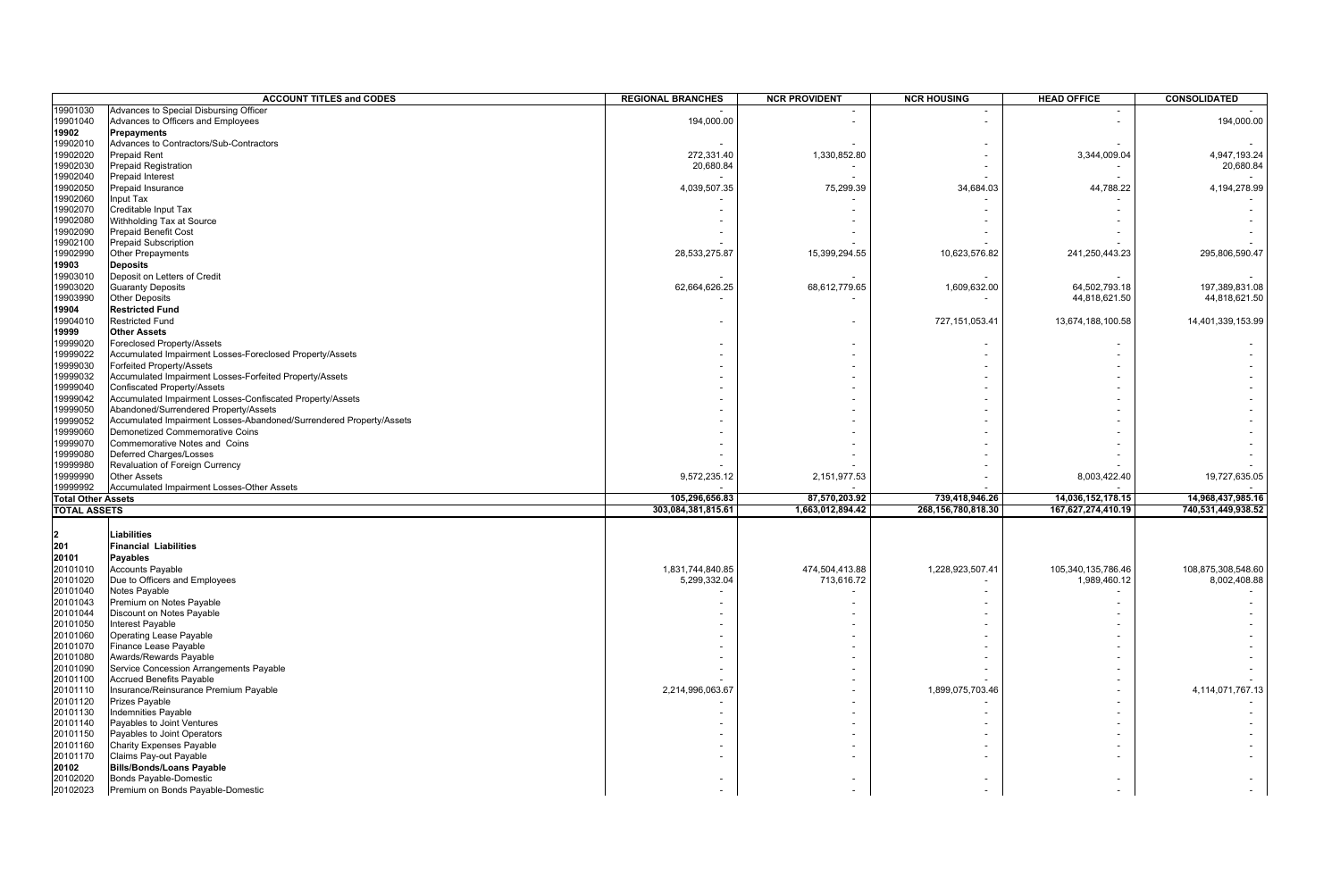|                           | <b>ACCOUNT TITLES and CODES</b>                                                                    | <b>REGIONAL BRANCHES</b> | <b>NCR PROVIDENT</b>     | <b>NCR HOUSING</b> | <b>HEAD OFFICE</b> | CONSOLIDATED       |
|---------------------------|----------------------------------------------------------------------------------------------------|--------------------------|--------------------------|--------------------|--------------------|--------------------|
| 19901030                  | Advances to Special Disbursing Officer                                                             |                          |                          |                    |                    |                    |
| 19901040                  | Advances to Officers and Employees                                                                 | 194,000.00               |                          |                    |                    | 194,000.00         |
| 19902                     | Prepayments                                                                                        |                          |                          |                    |                    |                    |
| 19902010                  | Advances to Contractors/Sub-Contractors                                                            |                          |                          |                    |                    |                    |
| 19902020                  | <b>Prepaid Rent</b>                                                                                | 272,331.40               | 1,330,852.80             |                    | 3,344,009.04       | 4,947,193.24       |
| 19902030                  | <b>Prepaid Registration</b>                                                                        | 20,680.84                | $\overline{\phantom{a}}$ |                    |                    | 20,680.84          |
| 19902040                  | <b>Prepaid Interest</b>                                                                            |                          |                          |                    |                    |                    |
| 19902050                  | Prepaid Insurance<br>Input Tax                                                                     | 4,039,507.35             | 75,299.39                | 34,684.03          | 44,788.22          | 4,194,278.99       |
| 19902060<br>19902070      | Creditable Input Tax                                                                               |                          |                          |                    |                    |                    |
| 19902080                  | Withholding Tax at Source                                                                          |                          |                          |                    |                    |                    |
| 19902090                  | <b>Prepaid Benefit Cost</b>                                                                        |                          |                          |                    |                    |                    |
| 19902100                  | <b>Prepaid Subscription</b>                                                                        |                          |                          |                    |                    |                    |
| 19902990                  | Other Prepayments                                                                                  | 28,533,275.87            | 15,399,294.55            | 10,623,576.82      | 241,250,443.23     | 295,806,590.47     |
| 19903                     | <b>Deposits</b>                                                                                    |                          |                          |                    |                    |                    |
| 19903010                  | Deposit on Letters of Credit                                                                       |                          |                          |                    |                    |                    |
| 19903020                  | <b>Guaranty Deposits</b>                                                                           | 62,664,626.25            | 68,612,779.65            | 1,609,632.00       | 64,502,793.18      | 197,389,831.08     |
| 19903990                  | <b>Other Deposits</b>                                                                              |                          |                          |                    | 44,818,621.50      | 44,818,621.50      |
| 19904                     | <b>Restricted Fund</b>                                                                             |                          |                          |                    |                    |                    |
| 19904010                  | <b>Restricted Fund</b>                                                                             |                          |                          | 727, 151, 053.41   | 13,674,188,100.58  | 14,401,339,153.99  |
| 19999                     | <b>Other Assets</b>                                                                                |                          |                          |                    |                    |                    |
| 19999020                  | Foreclosed Property/Assets                                                                         |                          |                          |                    |                    |                    |
| 19999022                  | Accumulated Impairment Losses-Foreclosed Property/Assets                                           |                          |                          |                    |                    |                    |
| 19999030                  | Forfeited Property/Assets                                                                          |                          |                          |                    |                    |                    |
| 19999032                  | Accumulated Impairment Losses-Forfeited Property/Assets                                            |                          |                          |                    |                    |                    |
| 19999040                  | Confiscated Property/Assets                                                                        |                          |                          |                    |                    |                    |
| 19999042<br>19999050      | Accumulated Impairment Losses-Confiscated Property/Assets<br>Abandoned/Surrendered Property/Assets |                          |                          |                    |                    |                    |
| 19999052                  | Accumulated Impairment Losses-Abandoned/Surrendered Property/Assets                                |                          |                          |                    |                    |                    |
| 19999060                  | Demonetized Commemorative Coins                                                                    |                          |                          |                    |                    |                    |
| 19999070                  | Commemorative Notes and Coins                                                                      |                          |                          |                    |                    |                    |
| 19999080                  | <b>Deferred Charges/Losses</b>                                                                     |                          |                          |                    |                    |                    |
| 19999980                  | Revaluation of Foreign Currency                                                                    |                          |                          |                    |                    |                    |
| 19999990                  | <b>Other Assets</b>                                                                                | 9,572,235.12             | 2,151,977.53             |                    | 8,003,422.40       | 19,727,635.05      |
| 19999992                  | Accumulated Impairment Losses-Other Assets                                                         |                          |                          |                    |                    |                    |
| <b>Total Other Assets</b> |                                                                                                    | 105,296,656.83           | 87,570,203.92            | 739,418,946.26     | 14,036,152,178.15  | 14,968,437,985.16  |
| <b>TOTAL ASSETS</b>       |                                                                                                    | 303,084,381,815.61       | 1,663,012,894.42         | 268,156,780,818.30 | 167,627,274,410.19 | 740,531,449,938.52 |
|                           |                                                                                                    |                          |                          |                    |                    |                    |
| 2<br>201                  | <b>Liabilities</b>                                                                                 |                          |                          |                    |                    |                    |
|                           | <b>Financial Liabilities</b><br><b>Payables</b>                                                    |                          |                          |                    |                    |                    |
| 20101<br>20101010         | <b>Accounts Payable</b>                                                                            | 1,831,744,840.85         | 474,504,413.88           | 1,228,923,507.41   | 105,340,135,786.46 | 108,875,308,548.60 |
| 20101020                  | Due to Officers and Employees                                                                      | 5,299,332.04             | 713,616.72               |                    | 1,989,460.12       | 8,002,408.88       |
| 20101040                  | Notes Payable                                                                                      |                          |                          |                    |                    |                    |
| 20101043                  | Premium on Notes Payable                                                                           |                          |                          |                    |                    |                    |
| 20101044                  | Discount on Notes Payable                                                                          |                          |                          |                    |                    |                    |
| 20101050                  | Interest Payable                                                                                   |                          |                          |                    |                    |                    |
| 20101060                  | <b>Operating Lease Payable</b>                                                                     |                          |                          |                    |                    |                    |
| 20101070                  | Finance Lease Payable                                                                              |                          |                          |                    |                    |                    |
| 20101080                  | Awards/Rewards Payable                                                                             |                          |                          |                    |                    |                    |
| 20101090                  | Service Concession Arrangements Payable                                                            |                          |                          |                    |                    |                    |
| 20101100                  | <b>Accrued Benefits Payable</b>                                                                    |                          |                          |                    |                    |                    |
| 20101110                  | Insurance/Reinsurance Premium Payable                                                              | 2,214,996,063.67         |                          | 1,899,075,703.46   |                    | 4,114,071,767.13   |
| 20101120                  | Prizes Payable                                                                                     |                          |                          |                    |                    |                    |
| 20101130                  | <b>Indemnities Payable</b>                                                                         |                          |                          |                    |                    |                    |
| 20101140                  | Payables to Joint Ventures                                                                         |                          |                          |                    |                    |                    |
| 20101150<br>20101160      | Payables to Joint Operators<br><b>Charity Expenses Payable</b>                                     |                          |                          |                    |                    |                    |
| 20101170                  | Claims Pay-out Payable                                                                             |                          |                          |                    |                    |                    |
| 20102                     | <b>Bills/Bonds/Loans Payable</b>                                                                   |                          |                          |                    |                    |                    |
| 20102020                  | Bonds Payable-Domestic                                                                             |                          |                          |                    |                    |                    |
| 20102023                  | Premium on Bonds Payable-Domestic                                                                  |                          |                          |                    |                    |                    |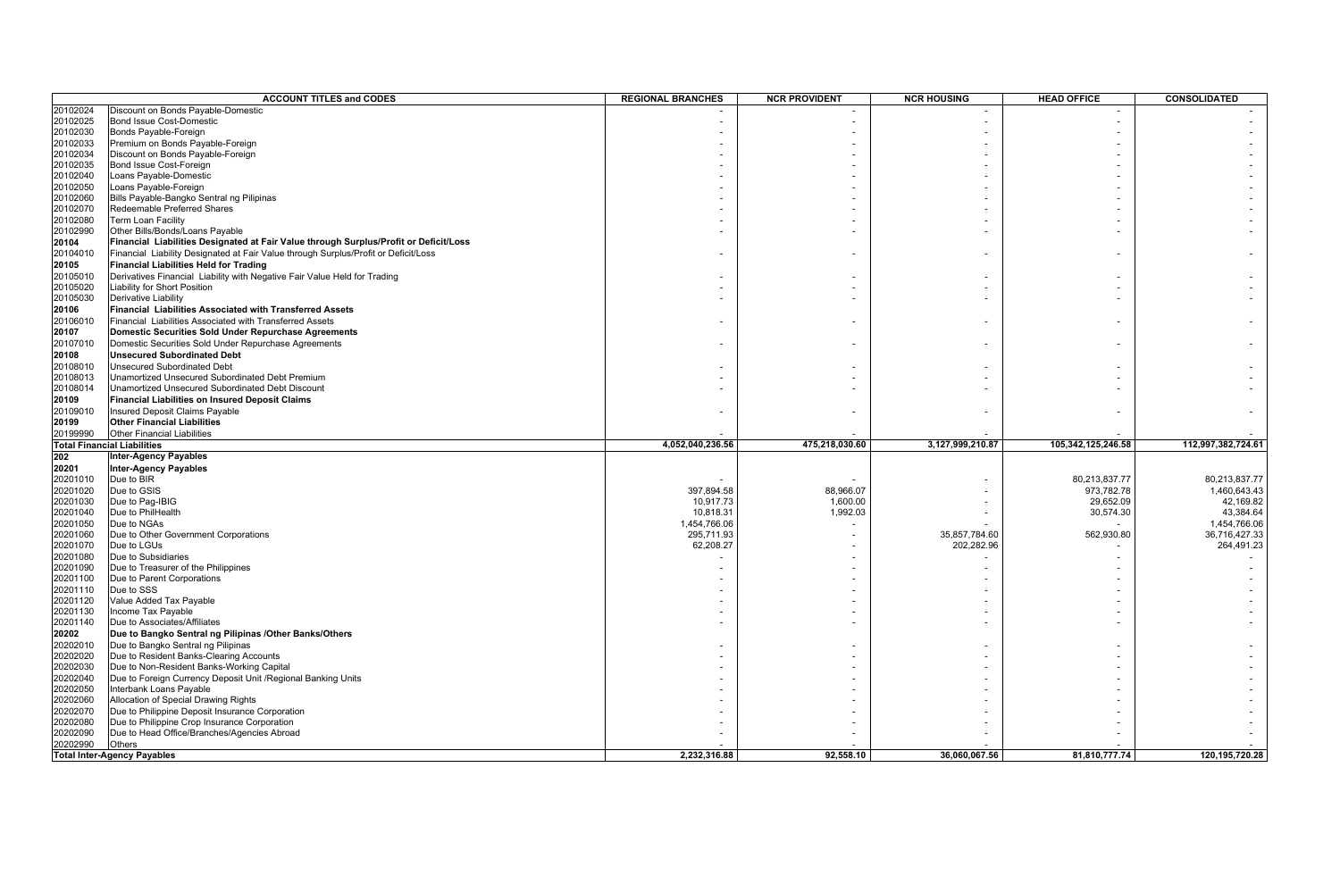|          | <b>ACCOUNT TITLES and CODES</b>                                                       | <b>REGIONAL BRANCHES</b> | <b>NCR PROVIDENT</b> | <b>NCR HOUSING</b> | <b>HEAD OFFICE</b> | <b>CONSOLIDATED</b> |
|----------|---------------------------------------------------------------------------------------|--------------------------|----------------------|--------------------|--------------------|---------------------|
| 20102024 | Discount on Bonds Payable-Domestic                                                    |                          |                      |                    |                    |                     |
| 20102025 | <b>Bond Issue Cost-Domestic</b>                                                       |                          |                      |                    |                    |                     |
| 20102030 | Bonds Payable-Foreign                                                                 |                          |                      |                    |                    |                     |
| 20102033 | Premium on Bonds Payable-Foreign                                                      |                          |                      |                    |                    |                     |
| 20102034 | Discount on Bonds Payable-Foreign                                                     |                          |                      |                    |                    |                     |
| 20102035 | Bond Issue Cost-Foreign                                                               |                          |                      |                    |                    |                     |
| 20102040 | Loans Payable-Domestic                                                                |                          |                      |                    |                    |                     |
| 20102050 | Loans Payable-Foreign                                                                 |                          |                      |                    |                    |                     |
| 20102060 | Bills Payable-Bangko Sentral ng Pilipinas                                             |                          |                      |                    |                    |                     |
| 20102070 | Redeemable Preferred Shares                                                           |                          |                      |                    |                    |                     |
| 20102080 | <b>Term Loan Facility</b>                                                             |                          |                      |                    |                    |                     |
| 20102990 | Other Bills/Bonds/Loans Payable                                                       |                          |                      |                    |                    |                     |
| 20104    | Financial Liabilities Designated at Fair Value through Surplus/Profit or Deficit/Loss |                          |                      |                    |                    |                     |
| 20104010 | Financial Liability Designated at Fair Value through Surplus/Profit or Deficit/Loss   |                          |                      |                    |                    |                     |
| 20105    | <b>Financial Liabilities Held for Trading</b>                                         |                          |                      |                    |                    |                     |
| 20105010 | Derivatives Financial Liability with Negative Fair Value Held for Trading             |                          |                      |                    |                    |                     |
| 20105020 | Liability for Short Position                                                          |                          |                      |                    |                    |                     |
| 20105030 | Derivative Liability                                                                  |                          |                      |                    |                    |                     |
| 20106    | <b>Financial Liabilities Associated with Transferred Assets</b>                       |                          |                      |                    |                    |                     |
| 20106010 | Financial Liabilities Associated with Transferred Assets                              |                          |                      |                    |                    |                     |
| 20107    | Domestic Securities Sold Under Repurchase Agreements                                  |                          |                      |                    |                    |                     |
| 20107010 | Domestic Securities Sold Under Repurchase Agreements                                  |                          |                      |                    |                    |                     |
| 20108    | <b>Unsecured Subordinated Debt</b>                                                    |                          |                      |                    |                    |                     |
| 20108010 | <b>Unsecured Subordinated Debt</b>                                                    |                          |                      |                    |                    |                     |
| 20108013 | Unamortized Unsecured Subordinated Debt Premium                                       |                          |                      |                    |                    |                     |
| 20108014 | Unamortized Unsecured Subordinated Debt Discount                                      |                          |                      |                    |                    |                     |
| 20109    | <b>Financial Liabilities on Insured Deposit Claims</b>                                |                          |                      |                    |                    |                     |
| 20109010 | Insured Deposit Claims Payable                                                        |                          |                      |                    |                    |                     |
| 20199    | <b>Other Financial Liabilities</b>                                                    |                          |                      |                    |                    |                     |
| 20199990 | <b>Other Financial Liabilities</b>                                                    |                          |                      |                    |                    |                     |
|          | <b>Total Financial Liabilities</b>                                                    | 4,052,040,236.56         | 475,218,030.60       | 3,127,999,210.87   | 105,342,125,246.58 | 112,997,382,724.61  |
| 202      | <b>Inter-Agency Payables</b>                                                          |                          |                      |                    |                    |                     |
| 20201    | <b>Inter-Agency Payables</b>                                                          |                          |                      |                    |                    |                     |
| 20201010 | Due to BIR                                                                            |                          |                      |                    | 80,213,837.77      | 80,213,837.77       |
| 20201020 | Due to GSIS                                                                           | 397,894.58               | 88,966.07            |                    | 973,782.78         | 1,460,643.43        |
| 20201030 | Due to Pag-IBIG                                                                       | 10,917.73                | 1,600.00             |                    | 29,652.09          | 42,169.82           |
| 20201040 | Due to PhilHealth                                                                     | 10,818.31                | 1,992.03             |                    | 30,574.30          | 43,384.64           |
| 20201050 | Due to NGAs                                                                           | 1,454,766.06             |                      |                    |                    | 1,454,766.06        |
| 20201060 | Due to Other Government Corporations                                                  | 295,711.93               |                      | 35,857,784.60      | 562,930.80         | 36,716,427.33       |
| 20201070 | Due to LGUs                                                                           | 62,208.27                |                      | 202,282.96         |                    | 264,491.23          |
| 20201080 | Due to Subsidiaries                                                                   |                          |                      |                    |                    |                     |
| 20201090 | Due to Treasurer of the Philippines                                                   |                          |                      |                    |                    |                     |
| 20201100 | Due to Parent Corporations                                                            |                          |                      |                    |                    |                     |
| 20201110 | Due to SSS                                                                            |                          |                      |                    |                    |                     |
| 20201120 | Value Added Tax Payable                                                               |                          |                      |                    |                    |                     |
| 20201130 | Income Tax Payable                                                                    |                          |                      |                    |                    |                     |
| 20201140 | Due to Associates/Affiliates                                                          |                          |                      |                    |                    |                     |
| 20202    | Due to Bangko Sentral ng Pilipinas / Other Banks/Others                               |                          |                      |                    |                    |                     |
| 20202010 | Due to Bangko Sentral ng Pilipinas                                                    |                          |                      |                    |                    |                     |
| 20202020 | Due to Resident Banks-Clearing Accounts                                               |                          |                      |                    |                    |                     |
| 20202030 | Due to Non-Resident Banks-Working Capital                                             |                          |                      |                    |                    |                     |
| 20202040 | Due to Foreign Currency Deposit Unit / Regional Banking Units                         |                          |                      |                    |                    |                     |
| 20202050 | Interbank Loans Payable                                                               |                          |                      |                    |                    |                     |
| 20202060 | Allocation of Special Drawing Rights                                                  |                          |                      |                    |                    |                     |
| 20202070 | Due to Philippine Deposit Insurance Corporation                                       |                          |                      |                    |                    |                     |
| 20202080 | Due to Philippine Crop Insurance Corporation                                          |                          |                      |                    |                    |                     |
| 20202090 | Due to Head Office/Branches/Agencies Abroad                                           |                          |                      |                    |                    |                     |
| 20202990 | <b>Others</b>                                                                         |                          |                      |                    |                    |                     |
|          | <b>Total Inter-Agency Payables</b>                                                    | 2,232,316.88             | 92,558.10            | 36,060,067.56      | 81,810,777.74      | 120,195,720.28      |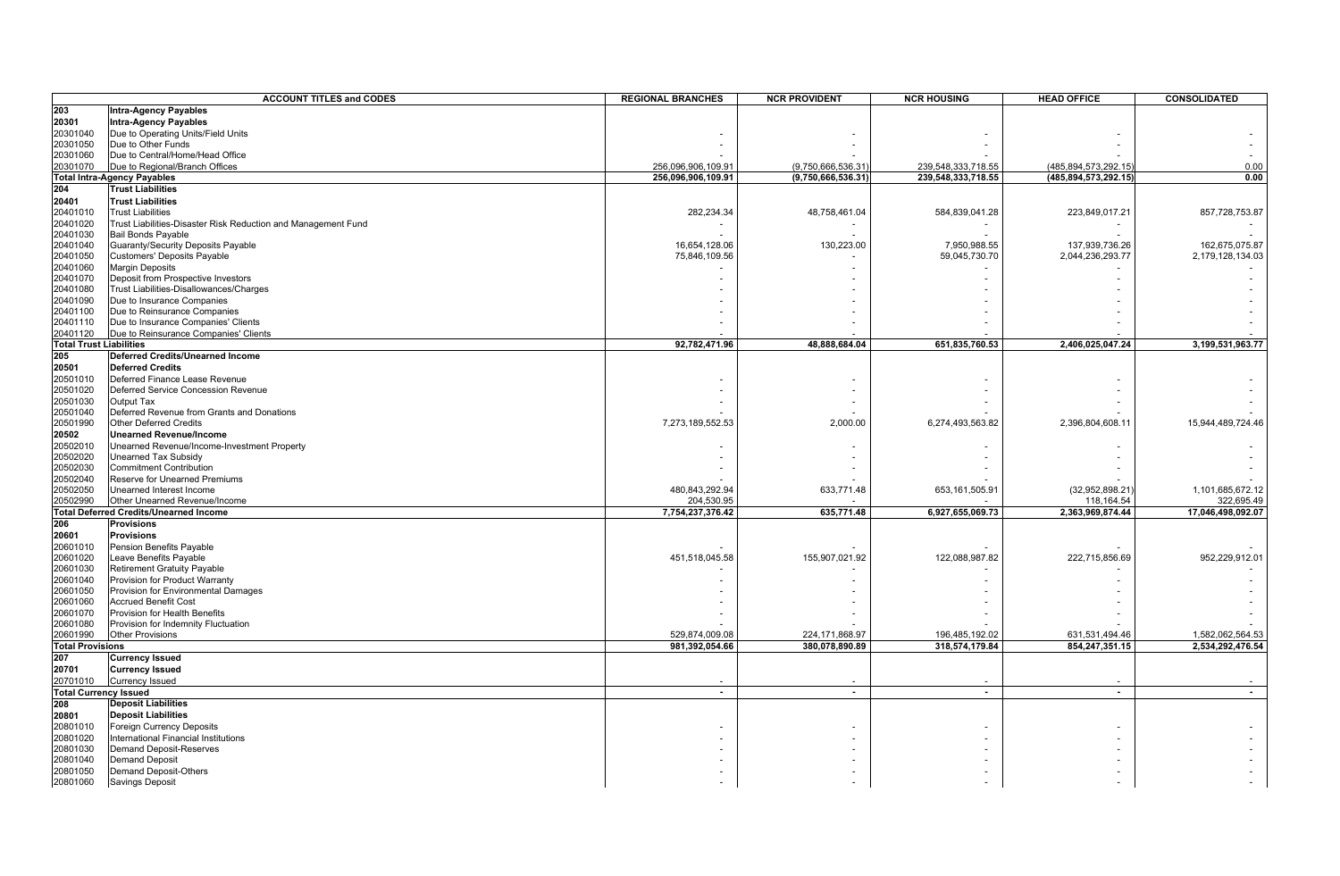|                                | <b>ACCOUNT TITLES and CODES</b>                                     | <b>REGIONAL BRANCHES</b> | <b>NCR PROVIDENT</b> | <b>NCR HOUSING</b> | <b>HEAD OFFICE</b>      | <b>CONSOLIDATED</b> |
|--------------------------------|---------------------------------------------------------------------|--------------------------|----------------------|--------------------|-------------------------|---------------------|
| 203                            | <b>Intra-Agency Payables</b>                                        |                          |                      |                    |                         |                     |
| 20301                          | <b>Intra-Agency Payables</b>                                        |                          |                      |                    |                         |                     |
| 20301040                       | Due to Operating Units/Field Units                                  |                          |                      |                    |                         |                     |
| 20301050                       | Due to Other Funds                                                  |                          |                      |                    |                         |                     |
| 20301060                       | Due to Central/Home/Head Office                                     |                          |                      |                    |                         |                     |
| 20301070                       | Due to Regional/Branch Offices                                      | 256,096,906,109.91       | (9,750,666,536.31    | 239,548,333,718.55 | (485, 894, 573, 292. 15 | 0.00                |
|                                | <b>Total Intra-Agency Payables</b>                                  | 256,096,906,109.91       | (9,750,666,536.31)   | 239,548,333,718.55 | (485,894,573,292.15)    | 0.00                |
| 204                            | <b>Trust Liabilities</b>                                            |                          |                      |                    |                         |                     |
| 20401                          | <b>Trust Liabilities</b>                                            |                          |                      |                    |                         |                     |
| 20401010                       | <b>Trust Liabilities</b>                                            | 282,234.34               | 48,758,461.04        | 584,839,041.28     | 223,849,017.21          | 857,728,753.87      |
| 20401020                       | Trust Liabilities-Disaster Risk Reduction and Management Fund       |                          |                      |                    |                         |                     |
| 20401030                       | <b>Bail Bonds Payable</b>                                           |                          |                      |                    |                         |                     |
| 20401040                       | Guaranty/Security Deposits Payable                                  | 16,654,128.06            | 130,223.00           | 7,950,988.55       | 137,939,736.26          | 162,675,075.87      |
| 20401050                       | Customers' Deposits Payable                                         | 75,846,109.56            |                      | 59,045,730.70      | 2,044,236,293.77        | 2,179,128,134.03    |
| 20401060                       | <b>Margin Deposits</b>                                              |                          |                      |                    |                         |                     |
| 20401070                       | Deposit from Prospective Investors                                  |                          |                      |                    |                         |                     |
| 20401080                       | Trust Liabilities-Disallowances/Charges                             |                          |                      |                    |                         |                     |
| 20401090<br>20401100           | Due to Insurance Companies                                          |                          |                      |                    |                         |                     |
| 20401110                       | Due to Reinsurance Companies<br>Due to Insurance Companies' Clients |                          |                      |                    |                         |                     |
| 20401120                       | Due to Reinsurance Companies' Clients                               |                          |                      |                    |                         |                     |
| <b>Total Trust Liabilities</b> |                                                                     | 92,782,471.96            | 48,888,684.04        | 651,835,760.53     | 2,406,025,047.24        | 3,199,531,963.77    |
| 205                            | Deferred Credits/Unearned Income                                    |                          |                      |                    |                         |                     |
| 20501                          | <b>Deferred Credits</b>                                             |                          |                      |                    |                         |                     |
| 20501010                       | Deferred Finance Lease Revenue                                      |                          |                      |                    |                         |                     |
| 20501020                       | Deferred Service Concession Revenue                                 |                          |                      |                    |                         |                     |
| 20501030                       | <b>Output Tax</b>                                                   |                          |                      |                    |                         |                     |
| 20501040                       | Deferred Revenue from Grants and Donations                          |                          |                      |                    |                         |                     |
| 20501990                       | Other Deferred Credits                                              | 7,273,189,552.53         | 2,000.00             | 6,274,493,563.82   | 2,396,804,608.11        | 15,944,489,724.46   |
| 20502                          | <b>Unearned Revenue/Income</b>                                      |                          |                      |                    |                         |                     |
| 20502010                       | Unearned Revenue/Income-Investment Property                         |                          |                      |                    |                         |                     |
| 20502020                       | Unearned Tax Subsidy                                                |                          |                      |                    |                         |                     |
| 20502030                       | <b>Commitment Contribution</b>                                      |                          |                      |                    |                         |                     |
| 20502040                       | <b>Reserve for Unearned Premiums</b>                                |                          |                      |                    |                         |                     |
| 20502050                       | Unearned Interest Income                                            | 480,843,292.94           | 633,771.48           | 653, 161, 505.91   | (32,952,898.21)         | 1,101,685,672.12    |
| 20502990                       | Other Unearned Revenue/Income                                       | 204,530.95               |                      |                    | 118,164.54              | 322,695.49          |
| 206                            | <b>Total Deferred Credits/Unearned Income</b><br><b>Provisions</b>  | 7,754,237,376.42         | 635,771.48           | 6,927,655,069.73   | 2,363,969,874.44        | 17,046,498,092.07   |
| 20601                          | <b>Provisions</b>                                                   |                          |                      |                    |                         |                     |
| 20601010                       |                                                                     |                          |                      |                    |                         |                     |
| 20601020                       | Pension Benefits Payable<br>Leave Benefits Payable                  | 451,518,045.58           | 155,907,021.92       | 122,088,987.82     | 222,715,856.69          | 952,229,912.01      |
| 20601030                       | <b>Retirement Gratuity Payable</b>                                  |                          |                      |                    |                         |                     |
| 20601040                       | Provision for Product Warranty                                      |                          |                      |                    |                         |                     |
| 20601050                       | Provision for Environmental Damages                                 |                          |                      |                    |                         |                     |
| 20601060                       | <b>Accrued Benefit Cost</b>                                         |                          |                      |                    |                         |                     |
| 20601070                       | Provision for Health Benefits                                       |                          |                      |                    |                         |                     |
| 20601080                       | Provision for Indemnity Fluctuation                                 |                          |                      |                    |                         |                     |
| 20601990                       | <b>Other Provisions</b>                                             | 529,874,009.08           | 224, 171, 868. 97    | 196,485,192.02     | 631,531,494.46          | 1,582,062,564.53    |
| <b>Total Provisions</b>        |                                                                     | 981,392,054.66           | 380,078,890.89       | 318,574,179.84     | 854,247,351.15          | 2,534,292,476.54    |
| 207                            | <b>Currency Issued</b>                                              |                          |                      |                    |                         |                     |
| 20701                          | <b>Currency Issued</b>                                              |                          |                      |                    |                         |                     |
| 20701010                       | <b>Currency Issued</b>                                              |                          |                      |                    |                         |                     |
| <b>Total Currency Issued</b>   |                                                                     | $\sim$                   | $\sim$               | $\sim$             | $\sim$                  | $\blacksquare$      |
| 208                            | <b>Deposit Liabilities</b>                                          |                          |                      |                    |                         |                     |
| 20801                          | <b>Deposit Liabilities</b>                                          |                          |                      |                    |                         |                     |
| 20801010                       | <b>Foreign Currency Deposits</b>                                    |                          |                      |                    |                         |                     |
| 20801020                       | International Financial Institutions                                |                          |                      |                    |                         |                     |
| 20801030                       | <b>Demand Deposit-Reserves</b>                                      |                          |                      |                    |                         |                     |
| 20801040                       | <b>Demand Deposit</b>                                               |                          |                      |                    |                         |                     |
| 20801050                       | Demand Deposit-Others                                               |                          |                      |                    |                         |                     |
| 20801060                       | <b>Savings Deposit</b>                                              |                          |                      |                    |                         |                     |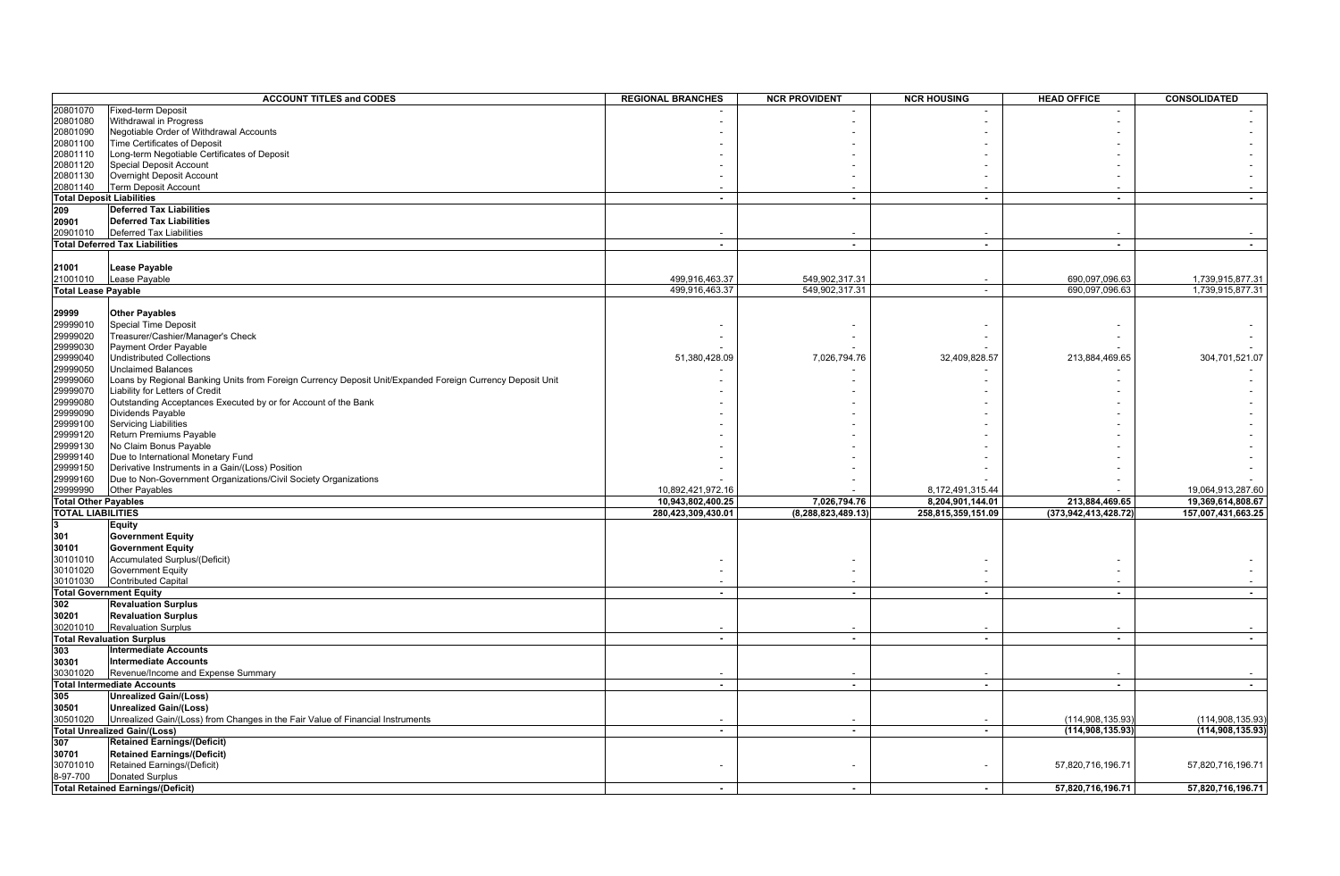|                             | <b>ACCOUNT TITLES and CODES</b>                                                                           | <b>REGIONAL BRANCHES</b> | <b>NCR PROVIDENT</b> | <b>NCR HOUSING</b> | <b>HEAD OFFICE</b>       | CONSOLIDATED       |
|-----------------------------|-----------------------------------------------------------------------------------------------------------|--------------------------|----------------------|--------------------|--------------------------|--------------------|
| 20801070                    | Fixed-term Deposit                                                                                        |                          |                      |                    |                          |                    |
| 20801080                    | Withdrawal in Progress                                                                                    |                          |                      |                    |                          |                    |
| 20801090                    | Negotiable Order of Withdrawal Accounts                                                                   |                          |                      |                    |                          |                    |
| 20801100                    | Time Certificates of Deposit                                                                              |                          |                      |                    |                          |                    |
| 20801110                    | Long-term Negotiable Certificates of Deposit                                                              |                          |                      |                    |                          |                    |
| 20801120                    | Special Deposit Account                                                                                   |                          |                      |                    |                          |                    |
| 20801130                    | Overnight Deposit Account                                                                                 |                          |                      |                    |                          |                    |
| 20801140                    | <b>Term Deposit Account</b>                                                                               |                          |                      |                    |                          |                    |
|                             | <b>Total Deposit Liabilities</b>                                                                          | $\blacksquare$           | $\sim$               | $\sim$             | $\sim$                   | $\sim$             |
| 209                         | <b>Deferred Tax Liabilities</b>                                                                           |                          |                      |                    |                          |                    |
| 20901                       | <b>Deferred Tax Liabilities</b>                                                                           |                          |                      |                    |                          |                    |
| 20901010                    | Deferred Tax Liabilities                                                                                  |                          |                      |                    |                          |                    |
|                             | <b>Total Deferred Tax Liabilities</b>                                                                     | $\overline{\phantom{a}}$ | $\sim$               | $\sim$             | $\overline{\phantom{a}}$ | $\sim$             |
|                             |                                                                                                           |                          |                      |                    |                          |                    |
|                             |                                                                                                           |                          |                      |                    |                          |                    |
| 21001                       | <b>Lease Payable</b>                                                                                      |                          |                      |                    |                          |                    |
| 21001010                    | Lease Payable                                                                                             | 499,916,463.37           | 549,902,317.31       |                    | 690,097,096.63           | 1,739,915,877.31   |
| <b>Total Lease Payable</b>  |                                                                                                           | 499,916,463.37           | 549,902,317.31       | $\sim$             | 690,097,096.63           | 1,739,915,877.31   |
|                             |                                                                                                           |                          |                      |                    |                          |                    |
| 29999                       | <b>Other Payables</b>                                                                                     |                          |                      |                    |                          |                    |
| 29999010                    | Special Time Deposit                                                                                      |                          |                      |                    |                          |                    |
| 29999020                    | Treasurer/Cashier/Manager's Check                                                                         |                          |                      |                    |                          |                    |
| 29999030                    | Payment Order Payable                                                                                     |                          |                      |                    |                          |                    |
| 29999040                    | <b>Undistributed Collections</b>                                                                          | 51,380,428.09            | 7,026,794.76         | 32,409,828.57      | 213,884,469.65           | 304,701,521.07     |
| 29999050                    | <b>Unclaimed Balances</b>                                                                                 |                          |                      |                    |                          |                    |
| 29999060                    | Loans by Regional Banking Units from Foreign Currency Deposit Unit/Expanded Foreign Currency Deposit Unit |                          |                      |                    |                          |                    |
| 29999070                    | Liability for Letters of Credit                                                                           |                          |                      |                    |                          |                    |
| 29999080                    | Outstanding Acceptances Executed by or for Account of the Bank                                            |                          |                      |                    |                          |                    |
| 29999090                    | Dividends Payable                                                                                         |                          |                      |                    |                          |                    |
| 29999100                    | Servicing Liabilities                                                                                     |                          |                      |                    |                          |                    |
| 29999120                    | Return Premiums Payable                                                                                   |                          |                      |                    |                          |                    |
| 29999130                    | No Claim Bonus Payable                                                                                    |                          |                      |                    |                          |                    |
| 29999140                    | Due to International Monetary Fund                                                                        |                          |                      |                    |                          |                    |
| 29999150                    | Derivative Instruments in a Gain/(Loss) Position                                                          |                          |                      |                    |                          |                    |
| 29999160                    | Due to Non-Government Organizations/Civil Society Organizations                                           |                          |                      |                    |                          |                    |
| 29999990                    | Other Payables                                                                                            | 10,892,421,972.16        |                      | 8,172,491,315.44   |                          | 19,064,913,287.60  |
| <b>Total Other Payables</b> |                                                                                                           | 10,943,802,400.25        | 7,026,794.76         | 8,204,901,144.01   | 213,884,469.65           | 19,369,614,808.67  |
| <b>TOTAL LIABILITIES</b>    |                                                                                                           | 280,423,309,430.01       | (8,288,823,489.13)   | 258,815,359,151.09 | (373,942,413,428.72)     | 157,007,431,663.25 |
| 3                           | <b>Equity</b>                                                                                             |                          |                      |                    |                          |                    |
| 301                         | <b>Government Equity</b>                                                                                  |                          |                      |                    |                          |                    |
| 30101                       | <b>Government Equity</b>                                                                                  |                          |                      |                    |                          |                    |
| 30101010                    | Accumulated Surplus/(Deficit)                                                                             |                          |                      |                    |                          |                    |
|                             |                                                                                                           |                          |                      |                    |                          |                    |
| 30101020                    | Government Equity                                                                                         |                          |                      |                    |                          |                    |
| 30101030                    | <b>Contributed Capital</b>                                                                                |                          |                      |                    |                          |                    |
| 302                         | <b>Total Government Equity</b>                                                                            | $\blacksquare$           | $\sim$               | $\blacksquare$     | $\overline{\phantom{a}}$ | $\sim$             |
|                             | <b>Revaluation Surplus</b>                                                                                |                          |                      |                    |                          |                    |
| 30201                       | <b>Revaluation Surplus</b>                                                                                |                          |                      |                    |                          |                    |
|                             | 30201010 Revaluation Sultion 1<br>Total Revaluation Surplus<br><b>Revaluation Surplus</b>                 |                          |                      |                    |                          |                    |
|                             |                                                                                                           | $\overline{\phantom{a}}$ | $\sim$               | $\mathbf{r}$       | $\overline{a}$           | $\sim$             |
| 303                         | <b>Intermediate Accounts</b>                                                                              |                          |                      |                    |                          |                    |
| 30301                       | <b>Intermediate Accounts</b>                                                                              |                          |                      |                    |                          |                    |
|                             | Revenue/Income and Expense Summary                                                                        |                          |                      |                    |                          |                    |
|                             | 30301020 Revenue/Income<br>Total Intermediate Accounts                                                    | $\sim$                   | $\sim$               | $\sim$             | $\sim$                   | $\sim$             |
| 305                         | Unrealized Gain/(Loss)                                                                                    |                          |                      |                    |                          |                    |
| 30501                       | <b>Unrealized Gain/(Loss)</b>                                                                             |                          |                      |                    |                          |                    |
| 30501020                    | Unrealized Gain/(Loss) from Changes in the Fair Value of Financial Instruments                            |                          |                      |                    | (114,908,135.93)         | (114, 908, 135.93) |
|                             | <b>Total Unrealized Gain/(Loss)</b>                                                                       | $\blacksquare$           | $\sim$               | $\blacksquare$     | (114, 908, 135.93)       | (114, 908, 135.93) |
| 307                         | <b>Retained Earnings/(Deficit)</b>                                                                        |                          |                      |                    |                          |                    |
| 30701                       | <b>Retained Earnings/(Deficit)</b>                                                                        |                          |                      |                    |                          |                    |
| 30701010                    | Retained Earnings/(Deficit)                                                                               |                          |                      |                    | 57,820,716,196.71        | 57,820,716,196.71  |
| 8-97-700                    | <b>Donated Surplus</b>                                                                                    |                          |                      |                    |                          |                    |
|                             |                                                                                                           | $\overline{a}$           | $\sim$               |                    |                          |                    |
|                             | <b>Total Retained Earnings/(Deficit)</b>                                                                  |                          |                      | $\sim$             | 57,820,716,196.71        | 57,820,716,196.71  |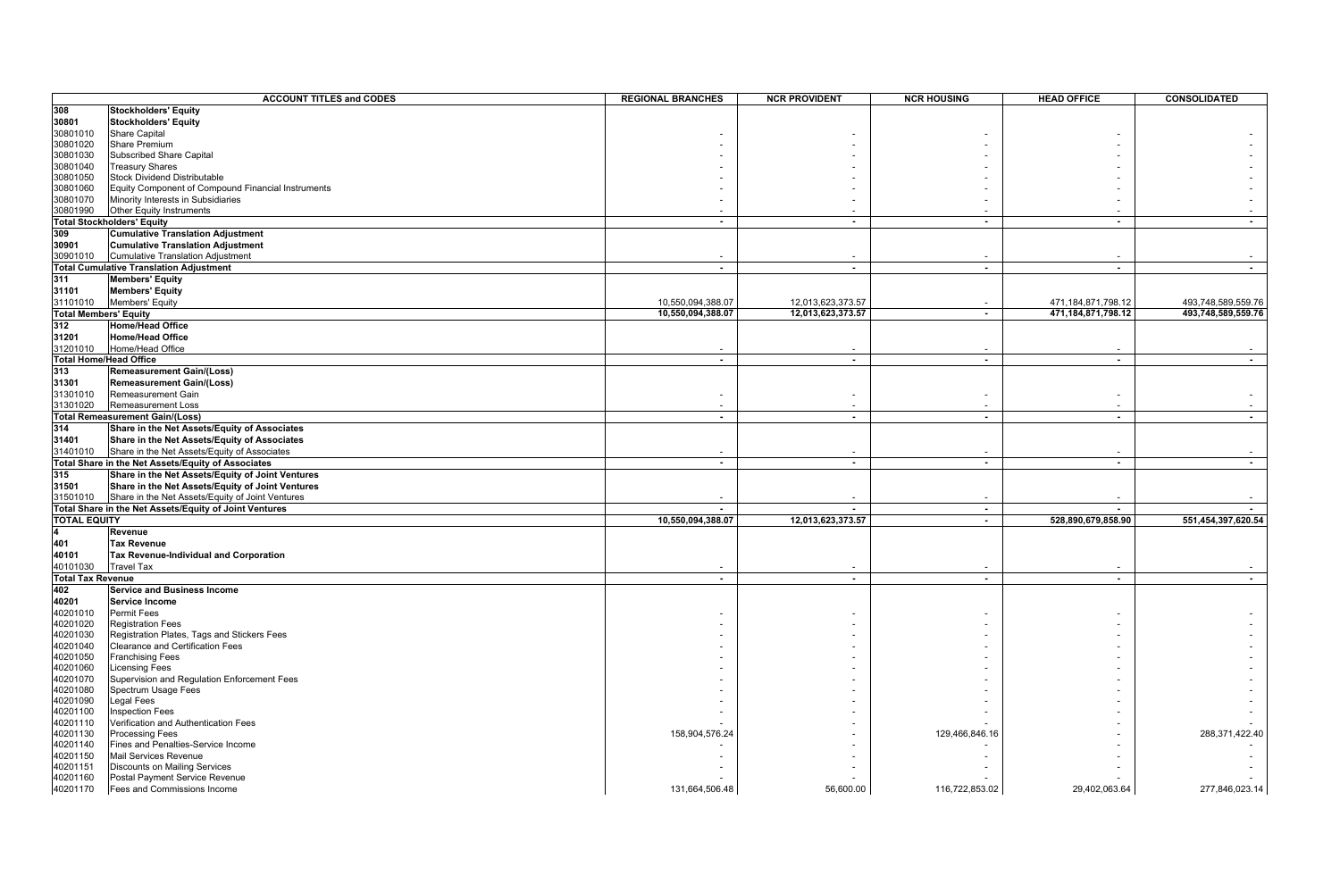|                              | <b>ACCOUNT TITLES and CODES</b>                        | <b>REGIONAL BRANCHES</b> | <b>NCR PROVIDENT</b> | <b>NCR HOUSING</b> | <b>HEAD OFFICE</b>       | <b>CONSOLIDATED</b> |
|------------------------------|--------------------------------------------------------|--------------------------|----------------------|--------------------|--------------------------|---------------------|
| 308                          | Stockholders' Equity                                   |                          |                      |                    |                          |                     |
| 30801                        | Stockholders' Equity                                   |                          |                      |                    |                          |                     |
| 30801010                     | <b>Share Capital</b>                                   |                          |                      |                    |                          |                     |
| 30801020                     | Share Premium                                          |                          |                      |                    |                          |                     |
| 30801030                     | <b>Subscribed Share Capital</b>                        |                          |                      |                    |                          |                     |
| 30801040                     | <b>Treasury Shares</b>                                 |                          |                      |                    |                          |                     |
| 30801050                     | <b>Stock Dividend Distributable</b>                    |                          |                      |                    |                          |                     |
| 30801060                     | Equity Component of Compound Financial Instruments     |                          |                      |                    |                          |                     |
| 30801070                     | Minority Interests in Subsidiaries                     |                          |                      |                    |                          |                     |
| 30801990                     | Other Equity Instruments                               |                          |                      |                    |                          |                     |
|                              | <b>Total Stockholders' Equity</b>                      | $\overline{\phantom{a}}$ | $\sim$               | $\blacksquare$     | $\sim$                   |                     |
| 309                          | <b>Cumulative Translation Adjustment</b>               |                          |                      |                    |                          |                     |
| 30901                        | <b>Cumulative Translation Adjustment</b>               |                          |                      |                    |                          |                     |
| 30901010                     | Cumulative Translation Adjustment                      |                          |                      |                    |                          |                     |
|                              | <b>Total Cumulative Translation Adjustment</b>         | $\mathbf{r}$             | $\sim$               | $\sim$             | $\overline{a}$           | $\blacksquare$      |
| 311                          | <b>Members' Equity</b>                                 |                          |                      |                    |                          |                     |
| 31101                        | <b>Members' Equity</b>                                 |                          |                      |                    |                          |                     |
| 31101010                     | Members' Equity                                        | 10,550,094,388.07        | 12,013,623,373.57    |                    | 471,184,871,798.12       | 493,748,589,559.76  |
| <b>Total Members' Equity</b> |                                                        | 10,550,094,388.07        | 12,013,623,373.57    | $\sim$             | 471,184,871,798.12       | 493,748,589,559.76  |
| 312                          | <b>Home/Head Office</b>                                |                          |                      |                    |                          |                     |
| 31201                        | <b>Home/Head Office</b>                                |                          |                      |                    |                          |                     |
|                              | Home/Head Office                                       |                          |                      |                    |                          |                     |
| 31201010                     | <b>Total Home/Head Office</b>                          |                          |                      |                    |                          | $\sim$              |
| 313                          |                                                        | $\sim$                   | $\sim$               | $\sim$             | $\sim$                   |                     |
|                              | <b>Remeasurement Gain/(Loss)</b>                       |                          |                      |                    |                          |                     |
| 31301                        | <b>Remeasurement Gain/(Loss)</b>                       |                          |                      |                    |                          |                     |
| 31301010                     | Remeasurement Gain                                     |                          |                      |                    |                          |                     |
| 31301020                     | Remeasurement Loss                                     |                          |                      |                    |                          |                     |
|                              | <b>Total Remeasurement Gain/(Loss)</b>                 | $\sim$                   | $\sim$               | $\sim$             | $\sim$                   | $\sim$              |
| 314                          | Share in the Net Assets/Equity of Associates           |                          |                      |                    |                          |                     |
| 31401                        | Share in the Net Assets/Equity of Associates           |                          |                      |                    |                          |                     |
| 31401010                     | Share in the Net Assets/Equity of Associates           |                          |                      |                    |                          |                     |
|                              | Total Share in the Net Assets/Equity of Associates     | $\blacksquare$           | $\sim$               | $\sim$             | $\blacksquare$           | $\blacksquare$      |
| 315                          | Share in the Net Assets/Equity of Joint Ventures       |                          |                      |                    |                          |                     |
| 31501                        | Share in the Net Assets/Equity of Joint Ventures       |                          |                      |                    |                          |                     |
| 31501010                     | Share in the Net Assets/Equity of Joint Ventures       |                          |                      |                    |                          |                     |
|                              | Total Share in the Net Assets/Equity of Joint Ventures |                          |                      | $\sim$             |                          |                     |
| <b>TOTAL EQUITY</b>          |                                                        | 10.550.094.388.07        | 12,013,623,373.57    | $\sim$             | 528,890,679,858.90       | 551.454.397.620.54  |
|                              | Revenue                                                |                          |                      |                    |                          |                     |
| 401                          | <b>Tax Revenue</b>                                     |                          |                      |                    |                          |                     |
| 40101                        | Tax Revenue-Individual and Corporation                 |                          |                      |                    |                          |                     |
| 40101030                     | <b>Travel Tax</b>                                      |                          |                      |                    |                          |                     |
| <b>Total Tax Revenue</b>     |                                                        | $\sim$                   | $\sim$               | $\sim$             | $\overline{\phantom{a}}$ | $\sim$              |
| 402                          | <b>Service and Business Income</b>                     |                          |                      |                    |                          |                     |
| 40201                        | Service Income                                         |                          |                      |                    |                          |                     |
| 40201010                     | <b>Permit Fees</b>                                     |                          |                      |                    |                          |                     |
| 40201020                     | <b>Registration Fees</b>                               |                          |                      |                    |                          |                     |
| 40201030                     | Registration Plates, Tags and Stickers Fees            |                          |                      |                    |                          |                     |
| 40201040                     | Clearance and Certification Fees                       |                          |                      |                    |                          |                     |
| 40201050                     | <b>Franchising Fees</b>                                |                          |                      |                    |                          |                     |
| 40201060                     | Licensing Fees                                         |                          |                      |                    |                          |                     |
| 40201070                     | Supervision and Regulation Enforcement Fees            |                          |                      |                    |                          |                     |
| 40201080                     | Spectrum Usage Fees                                    |                          |                      |                    |                          |                     |
| 40201090                     | Legal Fees                                             |                          |                      |                    |                          |                     |
| 40201100                     | nspection Fees                                         |                          |                      |                    |                          |                     |
| 40201110                     | Verification and Authentication Fees                   |                          |                      |                    |                          |                     |
| 40201130                     | Processing Fees                                        | 158,904,576.24           |                      | 129,466,846.16     |                          | 288,371,422.40      |
| 40201140                     | Fines and Penalties-Service Income                     |                          |                      |                    |                          |                     |
| 40201150                     | <b>Mail Services Revenue</b>                           |                          |                      |                    |                          |                     |
| 40201151                     | <b>Discounts on Mailing Services</b>                   |                          |                      |                    |                          |                     |
| 40201160                     | Postal Payment Service Revenue                         |                          |                      |                    |                          |                     |
| 40201170                     | Fees and Commissions Income                            | 131,664,506.48           | 56,600.00            | 116,722,853.02     | 29,402,063.64            | 277,846,023.14      |
|                              |                                                        |                          |                      |                    |                          |                     |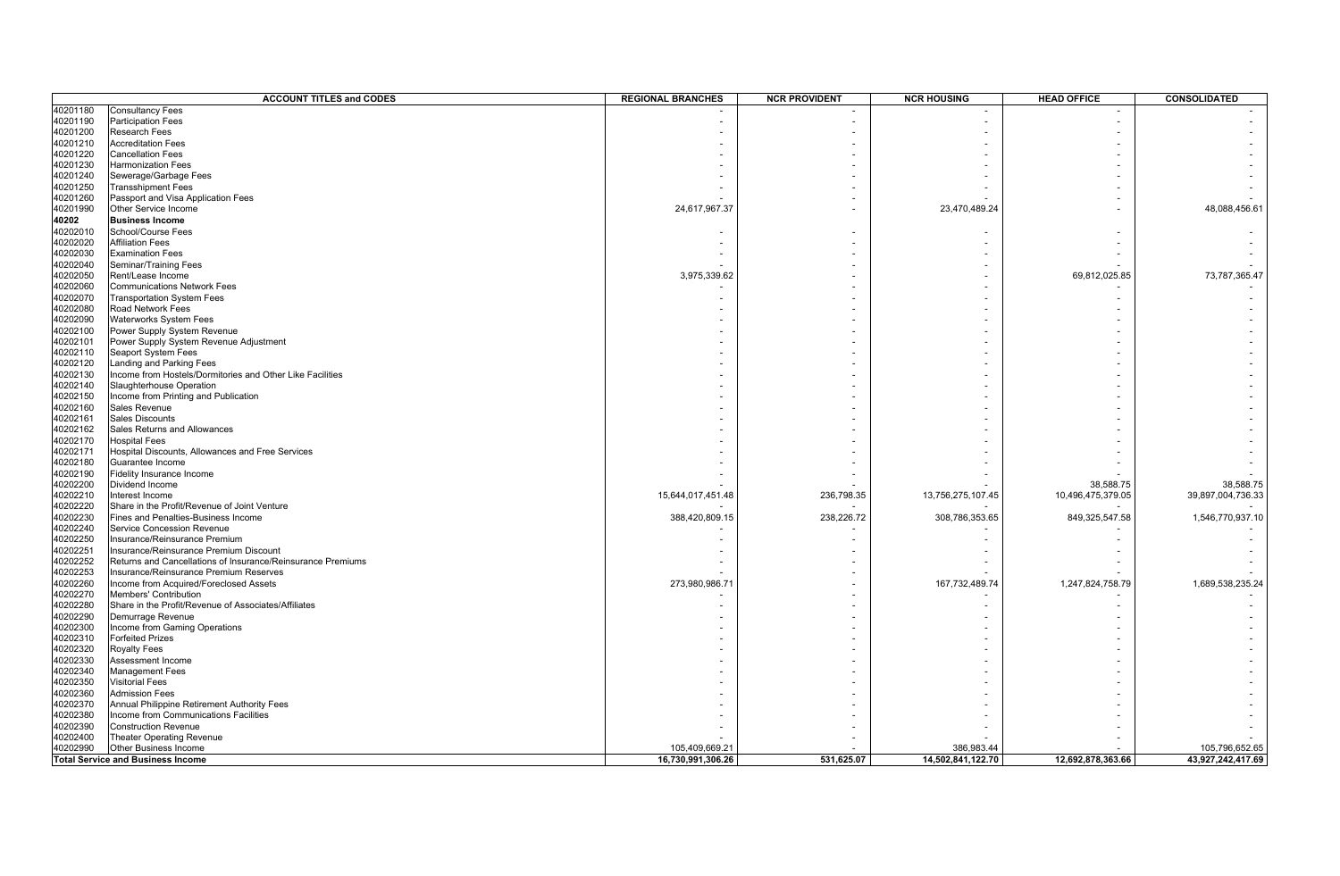|          | <b>ACCOUNT TITLES and CODES</b>                             | <b>REGIONAL BRANCHES</b> | <b>NCR PROVIDENT</b> | <b>NCR HOUSING</b> | <b>HEAD OFFICE</b> | CONSOLIDATED      |
|----------|-------------------------------------------------------------|--------------------------|----------------------|--------------------|--------------------|-------------------|
| 40201180 | <b>Consultancy Fees</b>                                     |                          |                      |                    |                    |                   |
| 40201190 | <b>Participation Fees</b>                                   |                          |                      |                    |                    |                   |
| 40201200 | <b>Research Fees</b>                                        |                          |                      |                    |                    |                   |
| 40201210 | <b>Accreditation Fees</b>                                   |                          |                      |                    |                    |                   |
| 40201220 | <b>Cancellation Fees</b>                                    |                          |                      |                    |                    |                   |
| 40201230 | <b>Harmonization Fees</b>                                   |                          |                      |                    |                    |                   |
| 40201240 | Sewerage/Garbage Fees                                       |                          |                      |                    |                    |                   |
| 40201250 | <b>Transshipment Fees</b>                                   |                          |                      |                    |                    |                   |
| 40201260 | Passport and Visa Application Fees                          |                          |                      |                    |                    |                   |
| 40201990 | Other Service Income                                        | 24,617,967.37            |                      | 23,470,489.24      |                    | 48,088,456.61     |
| 40202    | <b>Business Income</b>                                      |                          |                      |                    |                    |                   |
| 40202010 | School/Course Fees                                          |                          |                      |                    |                    |                   |
| 40202020 | <b>Affiliation Fees</b>                                     |                          |                      |                    |                    |                   |
| 40202030 | <b>Examination Fees</b>                                     |                          |                      |                    |                    |                   |
|          |                                                             |                          |                      |                    |                    |                   |
| 40202040 | Seminar/Training Fees                                       |                          |                      |                    |                    |                   |
| 40202050 | Rent/Lease Income                                           | 3,975,339.62             |                      |                    | 69,812,025.85      | 73,787,365.47     |
| 40202060 | <b>Communications Network Fees</b>                          |                          |                      |                    |                    |                   |
| 40202070 | <b>Transportation System Fees</b>                           |                          |                      |                    |                    |                   |
| 40202080 | Road Network Fees                                           |                          |                      |                    |                    |                   |
| 40202090 | <b>Waterworks System Fees</b>                               |                          |                      |                    |                    |                   |
| 40202100 | Power Supply System Revenue                                 |                          |                      |                    |                    |                   |
| 40202101 | Power Supply System Revenue Adjustment                      |                          |                      |                    |                    |                   |
| 40202110 | <b>Seaport System Fees</b>                                  |                          |                      |                    |                    |                   |
| 40202120 | Landing and Parking Fees                                    |                          |                      |                    |                    |                   |
| 40202130 | Income from Hostels/Dormitories and Other Like Facilities   |                          |                      |                    |                    |                   |
| 40202140 | Slaughterhouse Operation                                    |                          |                      |                    |                    |                   |
| 40202150 | Income from Printing and Publication                        |                          |                      |                    |                    |                   |
| 40202160 | Sales Revenue                                               |                          |                      |                    |                    |                   |
| 40202161 | <b>Sales Discounts</b>                                      |                          |                      |                    |                    |                   |
| 40202162 | Sales Returns and Allowances                                |                          |                      |                    |                    |                   |
| 40202170 | <b>Hospital Fees</b>                                        |                          |                      |                    |                    |                   |
| 40202171 | Hospital Discounts, Allowances and Free Services            |                          |                      |                    |                    |                   |
| 40202180 | Guarantee Income                                            |                          |                      |                    |                    |                   |
| 40202190 | Fidelity Insurance Income                                   |                          |                      |                    |                    |                   |
| 40202200 | Dividend Income                                             |                          |                      |                    | 38,588.75          | 38,588.75         |
| 40202210 | Interest Income                                             | 15,644,017,451.48        | 236,798.35           | 13,756,275,107.45  | 10,496,475,379.05  | 39,897,004,736.33 |
| 40202220 | Share in the Profit/Revenue of Joint Venture                |                          |                      |                    |                    |                   |
| 40202230 | Fines and Penalties-Business Income                         | 388,420,809.15           | 238,226.72           | 308,786,353.65     | 849,325,547.58     | 1,546,770,937.10  |
| 40202240 | Service Concession Revenue                                  |                          |                      |                    |                    |                   |
| 40202250 | Insurance/Reinsurance Premium                               |                          |                      |                    |                    |                   |
| 40202251 | Insurance/Reinsurance Premium Discount                      |                          |                      |                    |                    |                   |
| 40202252 | Returns and Cancellations of Insurance/Reinsurance Premiums |                          |                      |                    |                    |                   |
| 40202253 | Insurance/Reinsurance Premium Reserves                      |                          |                      |                    |                    |                   |
| 40202260 | Income from Acquired/Foreclosed Assets                      | 273,980,986.71           |                      | 167,732,489.74     | 1,247,824,758.79   | 1,689,538,235.24  |
|          |                                                             |                          |                      |                    |                    |                   |
| 40202270 | Members' Contribution                                       |                          |                      |                    |                    |                   |
| 40202280 | Share in the Profit/Revenue of Associates/Affiliates        |                          |                      |                    |                    |                   |
| 40202290 | Demurrage Revenue                                           |                          |                      |                    |                    |                   |
| 40202300 | Income from Gaming Operations                               |                          |                      |                    |                    |                   |
| 40202310 | <b>Forfeited Prizes</b>                                     |                          |                      |                    |                    |                   |
| 40202320 | <b>Royalty Fees</b>                                         |                          |                      |                    |                    |                   |
| 40202330 | Assessment Income                                           |                          |                      |                    |                    |                   |
| 40202340 | <b>Management Fees</b>                                      |                          |                      |                    |                    |                   |
| 40202350 | <b>Visitorial Fees</b>                                      |                          |                      |                    |                    |                   |
| 40202360 | <b>Admission Fees</b>                                       |                          |                      |                    |                    |                   |
| 40202370 | Annual Philippine Retirement Authority Fees                 |                          |                      |                    |                    |                   |
| 40202380 | Income from Communications Facilities                       |                          |                      |                    |                    |                   |
| 40202390 | <b>Construction Revenue</b>                                 |                          |                      |                    |                    |                   |
| 40202400 | Theater Operating Revenue                                   |                          |                      |                    |                    |                   |
| 40202990 | Other Business Income                                       | 105.409.669.21           |                      | 386.983.44         |                    | 105.796.652.65    |
|          | <b>Total Service and Business Income</b>                    | 16,730,991,306.26        | 531,625.07           | 14,502,841,122.70  | 12,692,878,363.66  | 43,927,242,417.69 |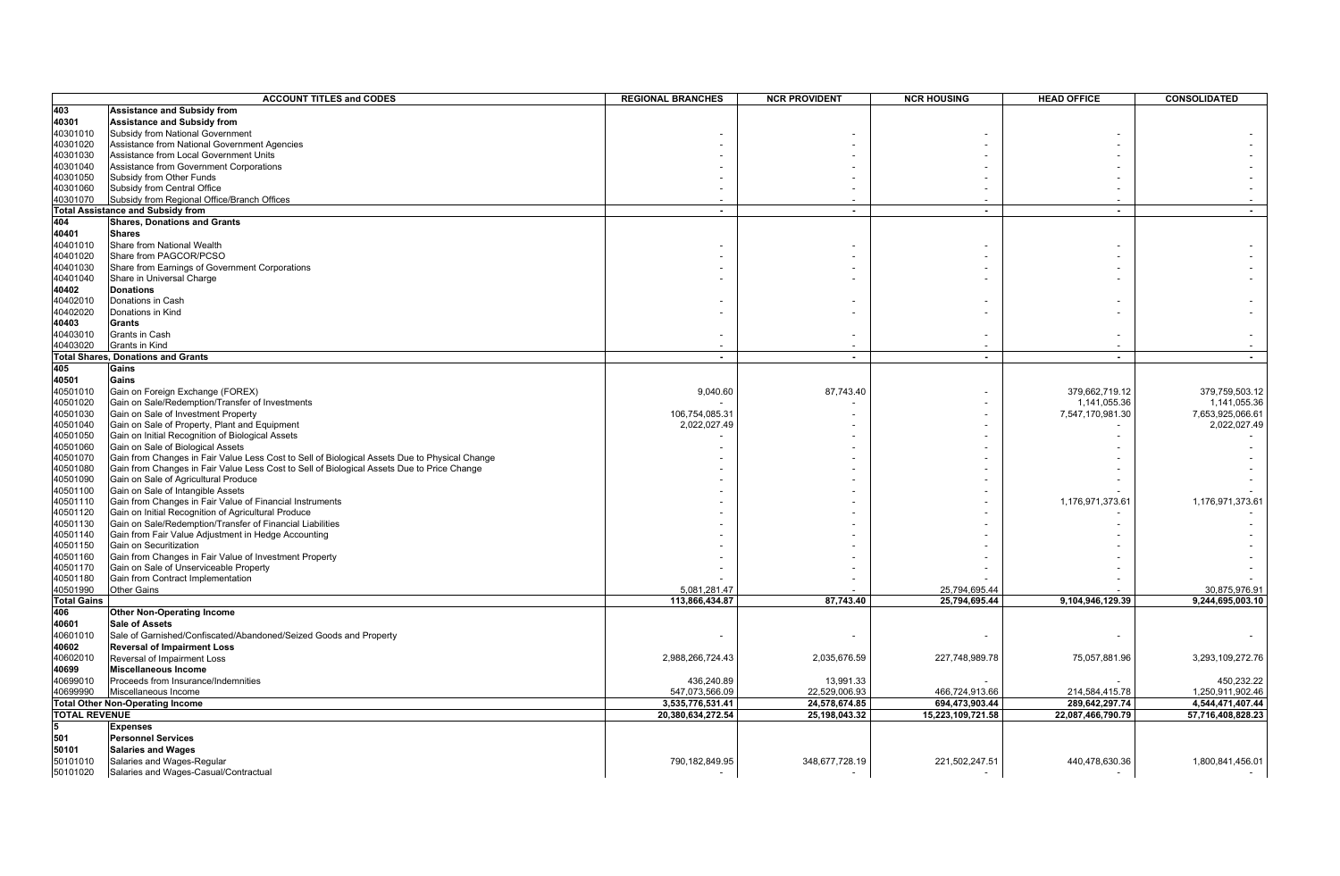| 403<br><b>Assistance and Subsidy from</b><br>40301<br><b>Assistance and Subsidy from</b><br>40301010<br>Subsidy from National Government<br>40301020<br>Assistance from National Government Agencies<br>40301030<br>Assistance from Local Government Units<br>40301040<br>Assistance from Government Corporations<br>40301050<br>Subsidy from Other Funds<br>40301060<br>Subsidy from Central Office<br>40301070<br>Subsidy from Regional Office/Branch Offices<br>Total Assistance and Subsidy from<br>$\blacksquare$<br>$\sim$<br>$\blacksquare$<br>$\overline{\phantom{a}}$<br>404<br><b>Shares, Donations and Grants</b><br>40401<br><b>Shares</b><br>40401010<br>Share from National Wealth<br>40401020<br>Share from PAGCOR/PCSO<br>40401030<br>Share from Earnings of Government Corporations<br>40401040<br>Share in Universal Charge<br>40402<br><b>Donations</b><br>40402010<br>Donations in Cash<br>40402020<br>Donations in Kind<br>40403<br>Grants<br>40403010<br>Grants in Cash<br>40403020<br>Grants in Kind<br><b>Total Shares, Donations and Grants</b><br>$\sim$<br>$\sim$<br>$\blacksquare$<br>$\sim$<br>405<br>Gains<br>40501<br>Gains<br>40501010<br>Gain on Foreign Exchange (FOREX)<br>9,040.60<br>87,743.40<br>379,662,719.12<br>379,759,503.12<br>40501020<br>Gain on Sale/Redemption/Transfer of Investments<br>1,141,055.36<br>1,141,055.36<br>40501030<br>Gain on Sale of Investment Property<br>106,754,085.31<br>7,547,170,981.30<br>7,653,925,066.61<br>40501040<br>Gain on Sale of Property, Plant and Equipment<br>2,022,027.49<br>2,022,027.49<br>40501050<br>Gain on Initial Recognition of Biological Assets<br>Gain on Sale of Biological Assets<br>40501060<br>40501070<br>Gain from Changes in Fair Value Less Cost to Sell of Biological Assets Due to Physical Change<br>40501080<br>Gain from Changes in Fair Value Less Cost to Sell of Biological Assets Due to Price Change<br>Gain on Sale of Agricultural Produce<br>40501090<br>40501100<br>Gain on Sale of Intangible Assets<br>Gain from Changes in Fair Value of Financial Instruments<br>40501110<br>1,176,971,373.61<br>1,176,971,373.61<br>40501120<br>Gain on Initial Recognition of Agricultural Produce<br>40501130<br>Gain on Sale/Redemption/Transfer of Financial Liabilities<br>40501140<br>Gain from Fair Value Adjustment in Hedge Accounting<br>40501150<br>Gain on Securitization<br>Gain from Changes in Fair Value of Investment Property<br>40501160<br>40501170<br>Gain on Sale of Unserviceable Property<br>40501180<br>Gain from Contract Implementation<br>40501990<br>Other Gains<br>5.081.281.47<br>30,875,976.91<br>25,794,695.44<br><b>Total Gains</b><br>87,743.40<br>9,104,946,129.39<br>9,244,695,003.10<br>113,866,434.87<br>25,794,695.44<br>406<br><b>Other Non-Operating Income</b><br>40601<br><b>Sale of Assets</b><br>40601010<br>Sale of Garnished/Confiscated/Abandoned/Seized Goods and Property<br>40602<br><b>Reversal of Impairment Loss</b><br>40602010<br>3,293,109,272.76<br>Reversal of Impairment Loss<br>2,988,266,724.43<br>2,035,676.59<br>227,748,989.78<br>75,057,881.96<br>40699<br><b>Miscellaneous Income</b><br>40699010<br>450,232.22<br>Proceeds from Insurance/Indemnities<br>436,240.89<br>13,991.33<br>1,250,911,902.46<br>40699990<br>Miscellaneous Income<br>547,073,566.09<br>22,529,006.93<br>466,724,913.66<br>214,584,415.78<br>3,535,776,531.41<br>24,578,674.85<br>694,473,903.44<br>289,642,297.74<br>4,544,471,407.44<br><b>Total Other Non-Operating Income</b><br>20,380,634,272.54<br>25,198,043.32<br>15,223,109,721.58<br>22,087,466,790.79<br>57,716,408,828.23<br><b>TOTAL REVENUE</b><br><b>Expenses</b><br>501<br><b>Personnel Services</b><br>50101<br><b>Salaries and Wages</b><br>50101010<br>Salaries and Wages-Regular<br>790,182,849.95<br>348,677,728.19<br>221,502,247.51<br>440,478,630.36<br>1,800,841,456.01 |          | <b>ACCOUNT TITLES and CODES</b>       | <b>REGIONAL BRANCHES</b> | <b>NCR PROVIDENT</b> | <b>NCR HOUSING</b> | <b>HEAD OFFICE</b> | CONSOLIDATED |
|-----------------------------------------------------------------------------------------------------------------------------------------------------------------------------------------------------------------------------------------------------------------------------------------------------------------------------------------------------------------------------------------------------------------------------------------------------------------------------------------------------------------------------------------------------------------------------------------------------------------------------------------------------------------------------------------------------------------------------------------------------------------------------------------------------------------------------------------------------------------------------------------------------------------------------------------------------------------------------------------------------------------------------------------------------------------------------------------------------------------------------------------------------------------------------------------------------------------------------------------------------------------------------------------------------------------------------------------------------------------------------------------------------------------------------------------------------------------------------------------------------------------------------------------------------------------------------------------------------------------------------------------------------------------------------------------------------------------------------------------------------------------------------------------------------------------------------------------------------------------------------------------------------------------------------------------------------------------------------------------------------------------------------------------------------------------------------------------------------------------------------------------------------------------------------------------------------------------------------------------------------------------------------------------------------------------------------------------------------------------------------------------------------------------------------------------------------------------------------------------------------------------------------------------------------------------------------------------------------------------------------------------------------------------------------------------------------------------------------------------------------------------------------------------------------------------------------------------------------------------------------------------------------------------------------------------------------------------------------------------------------------------------------------------------------------------------------------------------------------------------------------------------------------------------------------------------------------------------------------------------------------------------------------------------------------------------------------------------------------------------------------------------------------------------------------------------------------------------------------------------------------------------------------------------------------------------------------------------------------------------------------------------------------------------------------------------------------------------------------------------------------------------------------------------------------------------------------------------------------------------------------------------------------|----------|---------------------------------------|--------------------------|----------------------|--------------------|--------------------|--------------|
|                                                                                                                                                                                                                                                                                                                                                                                                                                                                                                                                                                                                                                                                                                                                                                                                                                                                                                                                                                                                                                                                                                                                                                                                                                                                                                                                                                                                                                                                                                                                                                                                                                                                                                                                                                                                                                                                                                                                                                                                                                                                                                                                                                                                                                                                                                                                                                                                                                                                                                                                                                                                                                                                                                                                                                                                                                                                                                                                                                                                                                                                                                                                                                                                                                                                                                                                                                                                                                                                                                                                                                                                                                                                                                                                                                                                                                                                                                           |          |                                       |                          |                      |                    |                    |              |
|                                                                                                                                                                                                                                                                                                                                                                                                                                                                                                                                                                                                                                                                                                                                                                                                                                                                                                                                                                                                                                                                                                                                                                                                                                                                                                                                                                                                                                                                                                                                                                                                                                                                                                                                                                                                                                                                                                                                                                                                                                                                                                                                                                                                                                                                                                                                                                                                                                                                                                                                                                                                                                                                                                                                                                                                                                                                                                                                                                                                                                                                                                                                                                                                                                                                                                                                                                                                                                                                                                                                                                                                                                                                                                                                                                                                                                                                                                           |          |                                       |                          |                      |                    |                    |              |
|                                                                                                                                                                                                                                                                                                                                                                                                                                                                                                                                                                                                                                                                                                                                                                                                                                                                                                                                                                                                                                                                                                                                                                                                                                                                                                                                                                                                                                                                                                                                                                                                                                                                                                                                                                                                                                                                                                                                                                                                                                                                                                                                                                                                                                                                                                                                                                                                                                                                                                                                                                                                                                                                                                                                                                                                                                                                                                                                                                                                                                                                                                                                                                                                                                                                                                                                                                                                                                                                                                                                                                                                                                                                                                                                                                                                                                                                                                           |          |                                       |                          |                      |                    |                    |              |
|                                                                                                                                                                                                                                                                                                                                                                                                                                                                                                                                                                                                                                                                                                                                                                                                                                                                                                                                                                                                                                                                                                                                                                                                                                                                                                                                                                                                                                                                                                                                                                                                                                                                                                                                                                                                                                                                                                                                                                                                                                                                                                                                                                                                                                                                                                                                                                                                                                                                                                                                                                                                                                                                                                                                                                                                                                                                                                                                                                                                                                                                                                                                                                                                                                                                                                                                                                                                                                                                                                                                                                                                                                                                                                                                                                                                                                                                                                           |          |                                       |                          |                      |                    |                    |              |
|                                                                                                                                                                                                                                                                                                                                                                                                                                                                                                                                                                                                                                                                                                                                                                                                                                                                                                                                                                                                                                                                                                                                                                                                                                                                                                                                                                                                                                                                                                                                                                                                                                                                                                                                                                                                                                                                                                                                                                                                                                                                                                                                                                                                                                                                                                                                                                                                                                                                                                                                                                                                                                                                                                                                                                                                                                                                                                                                                                                                                                                                                                                                                                                                                                                                                                                                                                                                                                                                                                                                                                                                                                                                                                                                                                                                                                                                                                           |          |                                       |                          |                      |                    |                    |              |
|                                                                                                                                                                                                                                                                                                                                                                                                                                                                                                                                                                                                                                                                                                                                                                                                                                                                                                                                                                                                                                                                                                                                                                                                                                                                                                                                                                                                                                                                                                                                                                                                                                                                                                                                                                                                                                                                                                                                                                                                                                                                                                                                                                                                                                                                                                                                                                                                                                                                                                                                                                                                                                                                                                                                                                                                                                                                                                                                                                                                                                                                                                                                                                                                                                                                                                                                                                                                                                                                                                                                                                                                                                                                                                                                                                                                                                                                                                           |          |                                       |                          |                      |                    |                    |              |
|                                                                                                                                                                                                                                                                                                                                                                                                                                                                                                                                                                                                                                                                                                                                                                                                                                                                                                                                                                                                                                                                                                                                                                                                                                                                                                                                                                                                                                                                                                                                                                                                                                                                                                                                                                                                                                                                                                                                                                                                                                                                                                                                                                                                                                                                                                                                                                                                                                                                                                                                                                                                                                                                                                                                                                                                                                                                                                                                                                                                                                                                                                                                                                                                                                                                                                                                                                                                                                                                                                                                                                                                                                                                                                                                                                                                                                                                                                           |          |                                       |                          |                      |                    |                    |              |
|                                                                                                                                                                                                                                                                                                                                                                                                                                                                                                                                                                                                                                                                                                                                                                                                                                                                                                                                                                                                                                                                                                                                                                                                                                                                                                                                                                                                                                                                                                                                                                                                                                                                                                                                                                                                                                                                                                                                                                                                                                                                                                                                                                                                                                                                                                                                                                                                                                                                                                                                                                                                                                                                                                                                                                                                                                                                                                                                                                                                                                                                                                                                                                                                                                                                                                                                                                                                                                                                                                                                                                                                                                                                                                                                                                                                                                                                                                           |          |                                       |                          |                      |                    |                    |              |
|                                                                                                                                                                                                                                                                                                                                                                                                                                                                                                                                                                                                                                                                                                                                                                                                                                                                                                                                                                                                                                                                                                                                                                                                                                                                                                                                                                                                                                                                                                                                                                                                                                                                                                                                                                                                                                                                                                                                                                                                                                                                                                                                                                                                                                                                                                                                                                                                                                                                                                                                                                                                                                                                                                                                                                                                                                                                                                                                                                                                                                                                                                                                                                                                                                                                                                                                                                                                                                                                                                                                                                                                                                                                                                                                                                                                                                                                                                           |          |                                       |                          |                      |                    |                    |              |
|                                                                                                                                                                                                                                                                                                                                                                                                                                                                                                                                                                                                                                                                                                                                                                                                                                                                                                                                                                                                                                                                                                                                                                                                                                                                                                                                                                                                                                                                                                                                                                                                                                                                                                                                                                                                                                                                                                                                                                                                                                                                                                                                                                                                                                                                                                                                                                                                                                                                                                                                                                                                                                                                                                                                                                                                                                                                                                                                                                                                                                                                                                                                                                                                                                                                                                                                                                                                                                                                                                                                                                                                                                                                                                                                                                                                                                                                                                           |          |                                       |                          |                      |                    |                    |              |
|                                                                                                                                                                                                                                                                                                                                                                                                                                                                                                                                                                                                                                                                                                                                                                                                                                                                                                                                                                                                                                                                                                                                                                                                                                                                                                                                                                                                                                                                                                                                                                                                                                                                                                                                                                                                                                                                                                                                                                                                                                                                                                                                                                                                                                                                                                                                                                                                                                                                                                                                                                                                                                                                                                                                                                                                                                                                                                                                                                                                                                                                                                                                                                                                                                                                                                                                                                                                                                                                                                                                                                                                                                                                                                                                                                                                                                                                                                           |          |                                       |                          |                      |                    |                    |              |
|                                                                                                                                                                                                                                                                                                                                                                                                                                                                                                                                                                                                                                                                                                                                                                                                                                                                                                                                                                                                                                                                                                                                                                                                                                                                                                                                                                                                                                                                                                                                                                                                                                                                                                                                                                                                                                                                                                                                                                                                                                                                                                                                                                                                                                                                                                                                                                                                                                                                                                                                                                                                                                                                                                                                                                                                                                                                                                                                                                                                                                                                                                                                                                                                                                                                                                                                                                                                                                                                                                                                                                                                                                                                                                                                                                                                                                                                                                           |          |                                       |                          |                      |                    |                    |              |
|                                                                                                                                                                                                                                                                                                                                                                                                                                                                                                                                                                                                                                                                                                                                                                                                                                                                                                                                                                                                                                                                                                                                                                                                                                                                                                                                                                                                                                                                                                                                                                                                                                                                                                                                                                                                                                                                                                                                                                                                                                                                                                                                                                                                                                                                                                                                                                                                                                                                                                                                                                                                                                                                                                                                                                                                                                                                                                                                                                                                                                                                                                                                                                                                                                                                                                                                                                                                                                                                                                                                                                                                                                                                                                                                                                                                                                                                                                           |          |                                       |                          |                      |                    |                    |              |
|                                                                                                                                                                                                                                                                                                                                                                                                                                                                                                                                                                                                                                                                                                                                                                                                                                                                                                                                                                                                                                                                                                                                                                                                                                                                                                                                                                                                                                                                                                                                                                                                                                                                                                                                                                                                                                                                                                                                                                                                                                                                                                                                                                                                                                                                                                                                                                                                                                                                                                                                                                                                                                                                                                                                                                                                                                                                                                                                                                                                                                                                                                                                                                                                                                                                                                                                                                                                                                                                                                                                                                                                                                                                                                                                                                                                                                                                                                           |          |                                       |                          |                      |                    |                    |              |
|                                                                                                                                                                                                                                                                                                                                                                                                                                                                                                                                                                                                                                                                                                                                                                                                                                                                                                                                                                                                                                                                                                                                                                                                                                                                                                                                                                                                                                                                                                                                                                                                                                                                                                                                                                                                                                                                                                                                                                                                                                                                                                                                                                                                                                                                                                                                                                                                                                                                                                                                                                                                                                                                                                                                                                                                                                                                                                                                                                                                                                                                                                                                                                                                                                                                                                                                                                                                                                                                                                                                                                                                                                                                                                                                                                                                                                                                                                           |          |                                       |                          |                      |                    |                    |              |
|                                                                                                                                                                                                                                                                                                                                                                                                                                                                                                                                                                                                                                                                                                                                                                                                                                                                                                                                                                                                                                                                                                                                                                                                                                                                                                                                                                                                                                                                                                                                                                                                                                                                                                                                                                                                                                                                                                                                                                                                                                                                                                                                                                                                                                                                                                                                                                                                                                                                                                                                                                                                                                                                                                                                                                                                                                                                                                                                                                                                                                                                                                                                                                                                                                                                                                                                                                                                                                                                                                                                                                                                                                                                                                                                                                                                                                                                                                           |          |                                       |                          |                      |                    |                    |              |
|                                                                                                                                                                                                                                                                                                                                                                                                                                                                                                                                                                                                                                                                                                                                                                                                                                                                                                                                                                                                                                                                                                                                                                                                                                                                                                                                                                                                                                                                                                                                                                                                                                                                                                                                                                                                                                                                                                                                                                                                                                                                                                                                                                                                                                                                                                                                                                                                                                                                                                                                                                                                                                                                                                                                                                                                                                                                                                                                                                                                                                                                                                                                                                                                                                                                                                                                                                                                                                                                                                                                                                                                                                                                                                                                                                                                                                                                                                           |          |                                       |                          |                      |                    |                    |              |
|                                                                                                                                                                                                                                                                                                                                                                                                                                                                                                                                                                                                                                                                                                                                                                                                                                                                                                                                                                                                                                                                                                                                                                                                                                                                                                                                                                                                                                                                                                                                                                                                                                                                                                                                                                                                                                                                                                                                                                                                                                                                                                                                                                                                                                                                                                                                                                                                                                                                                                                                                                                                                                                                                                                                                                                                                                                                                                                                                                                                                                                                                                                                                                                                                                                                                                                                                                                                                                                                                                                                                                                                                                                                                                                                                                                                                                                                                                           |          |                                       |                          |                      |                    |                    |              |
|                                                                                                                                                                                                                                                                                                                                                                                                                                                                                                                                                                                                                                                                                                                                                                                                                                                                                                                                                                                                                                                                                                                                                                                                                                                                                                                                                                                                                                                                                                                                                                                                                                                                                                                                                                                                                                                                                                                                                                                                                                                                                                                                                                                                                                                                                                                                                                                                                                                                                                                                                                                                                                                                                                                                                                                                                                                                                                                                                                                                                                                                                                                                                                                                                                                                                                                                                                                                                                                                                                                                                                                                                                                                                                                                                                                                                                                                                                           |          |                                       |                          |                      |                    |                    |              |
|                                                                                                                                                                                                                                                                                                                                                                                                                                                                                                                                                                                                                                                                                                                                                                                                                                                                                                                                                                                                                                                                                                                                                                                                                                                                                                                                                                                                                                                                                                                                                                                                                                                                                                                                                                                                                                                                                                                                                                                                                                                                                                                                                                                                                                                                                                                                                                                                                                                                                                                                                                                                                                                                                                                                                                                                                                                                                                                                                                                                                                                                                                                                                                                                                                                                                                                                                                                                                                                                                                                                                                                                                                                                                                                                                                                                                                                                                                           |          |                                       |                          |                      |                    |                    |              |
|                                                                                                                                                                                                                                                                                                                                                                                                                                                                                                                                                                                                                                                                                                                                                                                                                                                                                                                                                                                                                                                                                                                                                                                                                                                                                                                                                                                                                                                                                                                                                                                                                                                                                                                                                                                                                                                                                                                                                                                                                                                                                                                                                                                                                                                                                                                                                                                                                                                                                                                                                                                                                                                                                                                                                                                                                                                                                                                                                                                                                                                                                                                                                                                                                                                                                                                                                                                                                                                                                                                                                                                                                                                                                                                                                                                                                                                                                                           |          |                                       |                          |                      |                    |                    |              |
|                                                                                                                                                                                                                                                                                                                                                                                                                                                                                                                                                                                                                                                                                                                                                                                                                                                                                                                                                                                                                                                                                                                                                                                                                                                                                                                                                                                                                                                                                                                                                                                                                                                                                                                                                                                                                                                                                                                                                                                                                                                                                                                                                                                                                                                                                                                                                                                                                                                                                                                                                                                                                                                                                                                                                                                                                                                                                                                                                                                                                                                                                                                                                                                                                                                                                                                                                                                                                                                                                                                                                                                                                                                                                                                                                                                                                                                                                                           |          |                                       |                          |                      |                    |                    |              |
|                                                                                                                                                                                                                                                                                                                                                                                                                                                                                                                                                                                                                                                                                                                                                                                                                                                                                                                                                                                                                                                                                                                                                                                                                                                                                                                                                                                                                                                                                                                                                                                                                                                                                                                                                                                                                                                                                                                                                                                                                                                                                                                                                                                                                                                                                                                                                                                                                                                                                                                                                                                                                                                                                                                                                                                                                                                                                                                                                                                                                                                                                                                                                                                                                                                                                                                                                                                                                                                                                                                                                                                                                                                                                                                                                                                                                                                                                                           |          |                                       |                          |                      |                    |                    |              |
|                                                                                                                                                                                                                                                                                                                                                                                                                                                                                                                                                                                                                                                                                                                                                                                                                                                                                                                                                                                                                                                                                                                                                                                                                                                                                                                                                                                                                                                                                                                                                                                                                                                                                                                                                                                                                                                                                                                                                                                                                                                                                                                                                                                                                                                                                                                                                                                                                                                                                                                                                                                                                                                                                                                                                                                                                                                                                                                                                                                                                                                                                                                                                                                                                                                                                                                                                                                                                                                                                                                                                                                                                                                                                                                                                                                                                                                                                                           |          |                                       |                          |                      |                    |                    |              |
|                                                                                                                                                                                                                                                                                                                                                                                                                                                                                                                                                                                                                                                                                                                                                                                                                                                                                                                                                                                                                                                                                                                                                                                                                                                                                                                                                                                                                                                                                                                                                                                                                                                                                                                                                                                                                                                                                                                                                                                                                                                                                                                                                                                                                                                                                                                                                                                                                                                                                                                                                                                                                                                                                                                                                                                                                                                                                                                                                                                                                                                                                                                                                                                                                                                                                                                                                                                                                                                                                                                                                                                                                                                                                                                                                                                                                                                                                                           |          |                                       |                          |                      |                    |                    |              |
|                                                                                                                                                                                                                                                                                                                                                                                                                                                                                                                                                                                                                                                                                                                                                                                                                                                                                                                                                                                                                                                                                                                                                                                                                                                                                                                                                                                                                                                                                                                                                                                                                                                                                                                                                                                                                                                                                                                                                                                                                                                                                                                                                                                                                                                                                                                                                                                                                                                                                                                                                                                                                                                                                                                                                                                                                                                                                                                                                                                                                                                                                                                                                                                                                                                                                                                                                                                                                                                                                                                                                                                                                                                                                                                                                                                                                                                                                                           |          |                                       |                          |                      |                    |                    |              |
|                                                                                                                                                                                                                                                                                                                                                                                                                                                                                                                                                                                                                                                                                                                                                                                                                                                                                                                                                                                                                                                                                                                                                                                                                                                                                                                                                                                                                                                                                                                                                                                                                                                                                                                                                                                                                                                                                                                                                                                                                                                                                                                                                                                                                                                                                                                                                                                                                                                                                                                                                                                                                                                                                                                                                                                                                                                                                                                                                                                                                                                                                                                                                                                                                                                                                                                                                                                                                                                                                                                                                                                                                                                                                                                                                                                                                                                                                                           |          |                                       |                          |                      |                    |                    |              |
|                                                                                                                                                                                                                                                                                                                                                                                                                                                                                                                                                                                                                                                                                                                                                                                                                                                                                                                                                                                                                                                                                                                                                                                                                                                                                                                                                                                                                                                                                                                                                                                                                                                                                                                                                                                                                                                                                                                                                                                                                                                                                                                                                                                                                                                                                                                                                                                                                                                                                                                                                                                                                                                                                                                                                                                                                                                                                                                                                                                                                                                                                                                                                                                                                                                                                                                                                                                                                                                                                                                                                                                                                                                                                                                                                                                                                                                                                                           |          |                                       |                          |                      |                    |                    |              |
|                                                                                                                                                                                                                                                                                                                                                                                                                                                                                                                                                                                                                                                                                                                                                                                                                                                                                                                                                                                                                                                                                                                                                                                                                                                                                                                                                                                                                                                                                                                                                                                                                                                                                                                                                                                                                                                                                                                                                                                                                                                                                                                                                                                                                                                                                                                                                                                                                                                                                                                                                                                                                                                                                                                                                                                                                                                                                                                                                                                                                                                                                                                                                                                                                                                                                                                                                                                                                                                                                                                                                                                                                                                                                                                                                                                                                                                                                                           |          |                                       |                          |                      |                    |                    |              |
|                                                                                                                                                                                                                                                                                                                                                                                                                                                                                                                                                                                                                                                                                                                                                                                                                                                                                                                                                                                                                                                                                                                                                                                                                                                                                                                                                                                                                                                                                                                                                                                                                                                                                                                                                                                                                                                                                                                                                                                                                                                                                                                                                                                                                                                                                                                                                                                                                                                                                                                                                                                                                                                                                                                                                                                                                                                                                                                                                                                                                                                                                                                                                                                                                                                                                                                                                                                                                                                                                                                                                                                                                                                                                                                                                                                                                                                                                                           |          |                                       |                          |                      |                    |                    |              |
|                                                                                                                                                                                                                                                                                                                                                                                                                                                                                                                                                                                                                                                                                                                                                                                                                                                                                                                                                                                                                                                                                                                                                                                                                                                                                                                                                                                                                                                                                                                                                                                                                                                                                                                                                                                                                                                                                                                                                                                                                                                                                                                                                                                                                                                                                                                                                                                                                                                                                                                                                                                                                                                                                                                                                                                                                                                                                                                                                                                                                                                                                                                                                                                                                                                                                                                                                                                                                                                                                                                                                                                                                                                                                                                                                                                                                                                                                                           |          |                                       |                          |                      |                    |                    |              |
|                                                                                                                                                                                                                                                                                                                                                                                                                                                                                                                                                                                                                                                                                                                                                                                                                                                                                                                                                                                                                                                                                                                                                                                                                                                                                                                                                                                                                                                                                                                                                                                                                                                                                                                                                                                                                                                                                                                                                                                                                                                                                                                                                                                                                                                                                                                                                                                                                                                                                                                                                                                                                                                                                                                                                                                                                                                                                                                                                                                                                                                                                                                                                                                                                                                                                                                                                                                                                                                                                                                                                                                                                                                                                                                                                                                                                                                                                                           |          |                                       |                          |                      |                    |                    |              |
|                                                                                                                                                                                                                                                                                                                                                                                                                                                                                                                                                                                                                                                                                                                                                                                                                                                                                                                                                                                                                                                                                                                                                                                                                                                                                                                                                                                                                                                                                                                                                                                                                                                                                                                                                                                                                                                                                                                                                                                                                                                                                                                                                                                                                                                                                                                                                                                                                                                                                                                                                                                                                                                                                                                                                                                                                                                                                                                                                                                                                                                                                                                                                                                                                                                                                                                                                                                                                                                                                                                                                                                                                                                                                                                                                                                                                                                                                                           |          |                                       |                          |                      |                    |                    |              |
|                                                                                                                                                                                                                                                                                                                                                                                                                                                                                                                                                                                                                                                                                                                                                                                                                                                                                                                                                                                                                                                                                                                                                                                                                                                                                                                                                                                                                                                                                                                                                                                                                                                                                                                                                                                                                                                                                                                                                                                                                                                                                                                                                                                                                                                                                                                                                                                                                                                                                                                                                                                                                                                                                                                                                                                                                                                                                                                                                                                                                                                                                                                                                                                                                                                                                                                                                                                                                                                                                                                                                                                                                                                                                                                                                                                                                                                                                                           |          |                                       |                          |                      |                    |                    |              |
|                                                                                                                                                                                                                                                                                                                                                                                                                                                                                                                                                                                                                                                                                                                                                                                                                                                                                                                                                                                                                                                                                                                                                                                                                                                                                                                                                                                                                                                                                                                                                                                                                                                                                                                                                                                                                                                                                                                                                                                                                                                                                                                                                                                                                                                                                                                                                                                                                                                                                                                                                                                                                                                                                                                                                                                                                                                                                                                                                                                                                                                                                                                                                                                                                                                                                                                                                                                                                                                                                                                                                                                                                                                                                                                                                                                                                                                                                                           |          |                                       |                          |                      |                    |                    |              |
|                                                                                                                                                                                                                                                                                                                                                                                                                                                                                                                                                                                                                                                                                                                                                                                                                                                                                                                                                                                                                                                                                                                                                                                                                                                                                                                                                                                                                                                                                                                                                                                                                                                                                                                                                                                                                                                                                                                                                                                                                                                                                                                                                                                                                                                                                                                                                                                                                                                                                                                                                                                                                                                                                                                                                                                                                                                                                                                                                                                                                                                                                                                                                                                                                                                                                                                                                                                                                                                                                                                                                                                                                                                                                                                                                                                                                                                                                                           |          |                                       |                          |                      |                    |                    |              |
|                                                                                                                                                                                                                                                                                                                                                                                                                                                                                                                                                                                                                                                                                                                                                                                                                                                                                                                                                                                                                                                                                                                                                                                                                                                                                                                                                                                                                                                                                                                                                                                                                                                                                                                                                                                                                                                                                                                                                                                                                                                                                                                                                                                                                                                                                                                                                                                                                                                                                                                                                                                                                                                                                                                                                                                                                                                                                                                                                                                                                                                                                                                                                                                                                                                                                                                                                                                                                                                                                                                                                                                                                                                                                                                                                                                                                                                                                                           |          |                                       |                          |                      |                    |                    |              |
|                                                                                                                                                                                                                                                                                                                                                                                                                                                                                                                                                                                                                                                                                                                                                                                                                                                                                                                                                                                                                                                                                                                                                                                                                                                                                                                                                                                                                                                                                                                                                                                                                                                                                                                                                                                                                                                                                                                                                                                                                                                                                                                                                                                                                                                                                                                                                                                                                                                                                                                                                                                                                                                                                                                                                                                                                                                                                                                                                                                                                                                                                                                                                                                                                                                                                                                                                                                                                                                                                                                                                                                                                                                                                                                                                                                                                                                                                                           |          |                                       |                          |                      |                    |                    |              |
|                                                                                                                                                                                                                                                                                                                                                                                                                                                                                                                                                                                                                                                                                                                                                                                                                                                                                                                                                                                                                                                                                                                                                                                                                                                                                                                                                                                                                                                                                                                                                                                                                                                                                                                                                                                                                                                                                                                                                                                                                                                                                                                                                                                                                                                                                                                                                                                                                                                                                                                                                                                                                                                                                                                                                                                                                                                                                                                                                                                                                                                                                                                                                                                                                                                                                                                                                                                                                                                                                                                                                                                                                                                                                                                                                                                                                                                                                                           |          |                                       |                          |                      |                    |                    |              |
|                                                                                                                                                                                                                                                                                                                                                                                                                                                                                                                                                                                                                                                                                                                                                                                                                                                                                                                                                                                                                                                                                                                                                                                                                                                                                                                                                                                                                                                                                                                                                                                                                                                                                                                                                                                                                                                                                                                                                                                                                                                                                                                                                                                                                                                                                                                                                                                                                                                                                                                                                                                                                                                                                                                                                                                                                                                                                                                                                                                                                                                                                                                                                                                                                                                                                                                                                                                                                                                                                                                                                                                                                                                                                                                                                                                                                                                                                                           |          |                                       |                          |                      |                    |                    |              |
|                                                                                                                                                                                                                                                                                                                                                                                                                                                                                                                                                                                                                                                                                                                                                                                                                                                                                                                                                                                                                                                                                                                                                                                                                                                                                                                                                                                                                                                                                                                                                                                                                                                                                                                                                                                                                                                                                                                                                                                                                                                                                                                                                                                                                                                                                                                                                                                                                                                                                                                                                                                                                                                                                                                                                                                                                                                                                                                                                                                                                                                                                                                                                                                                                                                                                                                                                                                                                                                                                                                                                                                                                                                                                                                                                                                                                                                                                                           |          |                                       |                          |                      |                    |                    |              |
|                                                                                                                                                                                                                                                                                                                                                                                                                                                                                                                                                                                                                                                                                                                                                                                                                                                                                                                                                                                                                                                                                                                                                                                                                                                                                                                                                                                                                                                                                                                                                                                                                                                                                                                                                                                                                                                                                                                                                                                                                                                                                                                                                                                                                                                                                                                                                                                                                                                                                                                                                                                                                                                                                                                                                                                                                                                                                                                                                                                                                                                                                                                                                                                                                                                                                                                                                                                                                                                                                                                                                                                                                                                                                                                                                                                                                                                                                                           |          |                                       |                          |                      |                    |                    |              |
|                                                                                                                                                                                                                                                                                                                                                                                                                                                                                                                                                                                                                                                                                                                                                                                                                                                                                                                                                                                                                                                                                                                                                                                                                                                                                                                                                                                                                                                                                                                                                                                                                                                                                                                                                                                                                                                                                                                                                                                                                                                                                                                                                                                                                                                                                                                                                                                                                                                                                                                                                                                                                                                                                                                                                                                                                                                                                                                                                                                                                                                                                                                                                                                                                                                                                                                                                                                                                                                                                                                                                                                                                                                                                                                                                                                                                                                                                                           |          |                                       |                          |                      |                    |                    |              |
|                                                                                                                                                                                                                                                                                                                                                                                                                                                                                                                                                                                                                                                                                                                                                                                                                                                                                                                                                                                                                                                                                                                                                                                                                                                                                                                                                                                                                                                                                                                                                                                                                                                                                                                                                                                                                                                                                                                                                                                                                                                                                                                                                                                                                                                                                                                                                                                                                                                                                                                                                                                                                                                                                                                                                                                                                                                                                                                                                                                                                                                                                                                                                                                                                                                                                                                                                                                                                                                                                                                                                                                                                                                                                                                                                                                                                                                                                                           |          |                                       |                          |                      |                    |                    |              |
|                                                                                                                                                                                                                                                                                                                                                                                                                                                                                                                                                                                                                                                                                                                                                                                                                                                                                                                                                                                                                                                                                                                                                                                                                                                                                                                                                                                                                                                                                                                                                                                                                                                                                                                                                                                                                                                                                                                                                                                                                                                                                                                                                                                                                                                                                                                                                                                                                                                                                                                                                                                                                                                                                                                                                                                                                                                                                                                                                                                                                                                                                                                                                                                                                                                                                                                                                                                                                                                                                                                                                                                                                                                                                                                                                                                                                                                                                                           |          |                                       |                          |                      |                    |                    |              |
|                                                                                                                                                                                                                                                                                                                                                                                                                                                                                                                                                                                                                                                                                                                                                                                                                                                                                                                                                                                                                                                                                                                                                                                                                                                                                                                                                                                                                                                                                                                                                                                                                                                                                                                                                                                                                                                                                                                                                                                                                                                                                                                                                                                                                                                                                                                                                                                                                                                                                                                                                                                                                                                                                                                                                                                                                                                                                                                                                                                                                                                                                                                                                                                                                                                                                                                                                                                                                                                                                                                                                                                                                                                                                                                                                                                                                                                                                                           |          |                                       |                          |                      |                    |                    |              |
|                                                                                                                                                                                                                                                                                                                                                                                                                                                                                                                                                                                                                                                                                                                                                                                                                                                                                                                                                                                                                                                                                                                                                                                                                                                                                                                                                                                                                                                                                                                                                                                                                                                                                                                                                                                                                                                                                                                                                                                                                                                                                                                                                                                                                                                                                                                                                                                                                                                                                                                                                                                                                                                                                                                                                                                                                                                                                                                                                                                                                                                                                                                                                                                                                                                                                                                                                                                                                                                                                                                                                                                                                                                                                                                                                                                                                                                                                                           |          |                                       |                          |                      |                    |                    |              |
|                                                                                                                                                                                                                                                                                                                                                                                                                                                                                                                                                                                                                                                                                                                                                                                                                                                                                                                                                                                                                                                                                                                                                                                                                                                                                                                                                                                                                                                                                                                                                                                                                                                                                                                                                                                                                                                                                                                                                                                                                                                                                                                                                                                                                                                                                                                                                                                                                                                                                                                                                                                                                                                                                                                                                                                                                                                                                                                                                                                                                                                                                                                                                                                                                                                                                                                                                                                                                                                                                                                                                                                                                                                                                                                                                                                                                                                                                                           |          |                                       |                          |                      |                    |                    |              |
|                                                                                                                                                                                                                                                                                                                                                                                                                                                                                                                                                                                                                                                                                                                                                                                                                                                                                                                                                                                                                                                                                                                                                                                                                                                                                                                                                                                                                                                                                                                                                                                                                                                                                                                                                                                                                                                                                                                                                                                                                                                                                                                                                                                                                                                                                                                                                                                                                                                                                                                                                                                                                                                                                                                                                                                                                                                                                                                                                                                                                                                                                                                                                                                                                                                                                                                                                                                                                                                                                                                                                                                                                                                                                                                                                                                                                                                                                                           |          |                                       |                          |                      |                    |                    |              |
|                                                                                                                                                                                                                                                                                                                                                                                                                                                                                                                                                                                                                                                                                                                                                                                                                                                                                                                                                                                                                                                                                                                                                                                                                                                                                                                                                                                                                                                                                                                                                                                                                                                                                                                                                                                                                                                                                                                                                                                                                                                                                                                                                                                                                                                                                                                                                                                                                                                                                                                                                                                                                                                                                                                                                                                                                                                                                                                                                                                                                                                                                                                                                                                                                                                                                                                                                                                                                                                                                                                                                                                                                                                                                                                                                                                                                                                                                                           |          |                                       |                          |                      |                    |                    |              |
|                                                                                                                                                                                                                                                                                                                                                                                                                                                                                                                                                                                                                                                                                                                                                                                                                                                                                                                                                                                                                                                                                                                                                                                                                                                                                                                                                                                                                                                                                                                                                                                                                                                                                                                                                                                                                                                                                                                                                                                                                                                                                                                                                                                                                                                                                                                                                                                                                                                                                                                                                                                                                                                                                                                                                                                                                                                                                                                                                                                                                                                                                                                                                                                                                                                                                                                                                                                                                                                                                                                                                                                                                                                                                                                                                                                                                                                                                                           |          |                                       |                          |                      |                    |                    |              |
|                                                                                                                                                                                                                                                                                                                                                                                                                                                                                                                                                                                                                                                                                                                                                                                                                                                                                                                                                                                                                                                                                                                                                                                                                                                                                                                                                                                                                                                                                                                                                                                                                                                                                                                                                                                                                                                                                                                                                                                                                                                                                                                                                                                                                                                                                                                                                                                                                                                                                                                                                                                                                                                                                                                                                                                                                                                                                                                                                                                                                                                                                                                                                                                                                                                                                                                                                                                                                                                                                                                                                                                                                                                                                                                                                                                                                                                                                                           |          |                                       |                          |                      |                    |                    |              |
|                                                                                                                                                                                                                                                                                                                                                                                                                                                                                                                                                                                                                                                                                                                                                                                                                                                                                                                                                                                                                                                                                                                                                                                                                                                                                                                                                                                                                                                                                                                                                                                                                                                                                                                                                                                                                                                                                                                                                                                                                                                                                                                                                                                                                                                                                                                                                                                                                                                                                                                                                                                                                                                                                                                                                                                                                                                                                                                                                                                                                                                                                                                                                                                                                                                                                                                                                                                                                                                                                                                                                                                                                                                                                                                                                                                                                                                                                                           |          |                                       |                          |                      |                    |                    |              |
|                                                                                                                                                                                                                                                                                                                                                                                                                                                                                                                                                                                                                                                                                                                                                                                                                                                                                                                                                                                                                                                                                                                                                                                                                                                                                                                                                                                                                                                                                                                                                                                                                                                                                                                                                                                                                                                                                                                                                                                                                                                                                                                                                                                                                                                                                                                                                                                                                                                                                                                                                                                                                                                                                                                                                                                                                                                                                                                                                                                                                                                                                                                                                                                                                                                                                                                                                                                                                                                                                                                                                                                                                                                                                                                                                                                                                                                                                                           |          |                                       |                          |                      |                    |                    |              |
|                                                                                                                                                                                                                                                                                                                                                                                                                                                                                                                                                                                                                                                                                                                                                                                                                                                                                                                                                                                                                                                                                                                                                                                                                                                                                                                                                                                                                                                                                                                                                                                                                                                                                                                                                                                                                                                                                                                                                                                                                                                                                                                                                                                                                                                                                                                                                                                                                                                                                                                                                                                                                                                                                                                                                                                                                                                                                                                                                                                                                                                                                                                                                                                                                                                                                                                                                                                                                                                                                                                                                                                                                                                                                                                                                                                                                                                                                                           |          |                                       |                          |                      |                    |                    |              |
|                                                                                                                                                                                                                                                                                                                                                                                                                                                                                                                                                                                                                                                                                                                                                                                                                                                                                                                                                                                                                                                                                                                                                                                                                                                                                                                                                                                                                                                                                                                                                                                                                                                                                                                                                                                                                                                                                                                                                                                                                                                                                                                                                                                                                                                                                                                                                                                                                                                                                                                                                                                                                                                                                                                                                                                                                                                                                                                                                                                                                                                                                                                                                                                                                                                                                                                                                                                                                                                                                                                                                                                                                                                                                                                                                                                                                                                                                                           |          |                                       |                          |                      |                    |                    |              |
|                                                                                                                                                                                                                                                                                                                                                                                                                                                                                                                                                                                                                                                                                                                                                                                                                                                                                                                                                                                                                                                                                                                                                                                                                                                                                                                                                                                                                                                                                                                                                                                                                                                                                                                                                                                                                                                                                                                                                                                                                                                                                                                                                                                                                                                                                                                                                                                                                                                                                                                                                                                                                                                                                                                                                                                                                                                                                                                                                                                                                                                                                                                                                                                                                                                                                                                                                                                                                                                                                                                                                                                                                                                                                                                                                                                                                                                                                                           |          |                                       |                          |                      |                    |                    |              |
|                                                                                                                                                                                                                                                                                                                                                                                                                                                                                                                                                                                                                                                                                                                                                                                                                                                                                                                                                                                                                                                                                                                                                                                                                                                                                                                                                                                                                                                                                                                                                                                                                                                                                                                                                                                                                                                                                                                                                                                                                                                                                                                                                                                                                                                                                                                                                                                                                                                                                                                                                                                                                                                                                                                                                                                                                                                                                                                                                                                                                                                                                                                                                                                                                                                                                                                                                                                                                                                                                                                                                                                                                                                                                                                                                                                                                                                                                                           |          |                                       |                          |                      |                    |                    |              |
|                                                                                                                                                                                                                                                                                                                                                                                                                                                                                                                                                                                                                                                                                                                                                                                                                                                                                                                                                                                                                                                                                                                                                                                                                                                                                                                                                                                                                                                                                                                                                                                                                                                                                                                                                                                                                                                                                                                                                                                                                                                                                                                                                                                                                                                                                                                                                                                                                                                                                                                                                                                                                                                                                                                                                                                                                                                                                                                                                                                                                                                                                                                                                                                                                                                                                                                                                                                                                                                                                                                                                                                                                                                                                                                                                                                                                                                                                                           |          |                                       |                          |                      |                    |                    |              |
|                                                                                                                                                                                                                                                                                                                                                                                                                                                                                                                                                                                                                                                                                                                                                                                                                                                                                                                                                                                                                                                                                                                                                                                                                                                                                                                                                                                                                                                                                                                                                                                                                                                                                                                                                                                                                                                                                                                                                                                                                                                                                                                                                                                                                                                                                                                                                                                                                                                                                                                                                                                                                                                                                                                                                                                                                                                                                                                                                                                                                                                                                                                                                                                                                                                                                                                                                                                                                                                                                                                                                                                                                                                                                                                                                                                                                                                                                                           |          |                                       |                          |                      |                    |                    |              |
|                                                                                                                                                                                                                                                                                                                                                                                                                                                                                                                                                                                                                                                                                                                                                                                                                                                                                                                                                                                                                                                                                                                                                                                                                                                                                                                                                                                                                                                                                                                                                                                                                                                                                                                                                                                                                                                                                                                                                                                                                                                                                                                                                                                                                                                                                                                                                                                                                                                                                                                                                                                                                                                                                                                                                                                                                                                                                                                                                                                                                                                                                                                                                                                                                                                                                                                                                                                                                                                                                                                                                                                                                                                                                                                                                                                                                                                                                                           | 50101020 | Salaries and Wages-Casual/Contractual |                          |                      |                    |                    |              |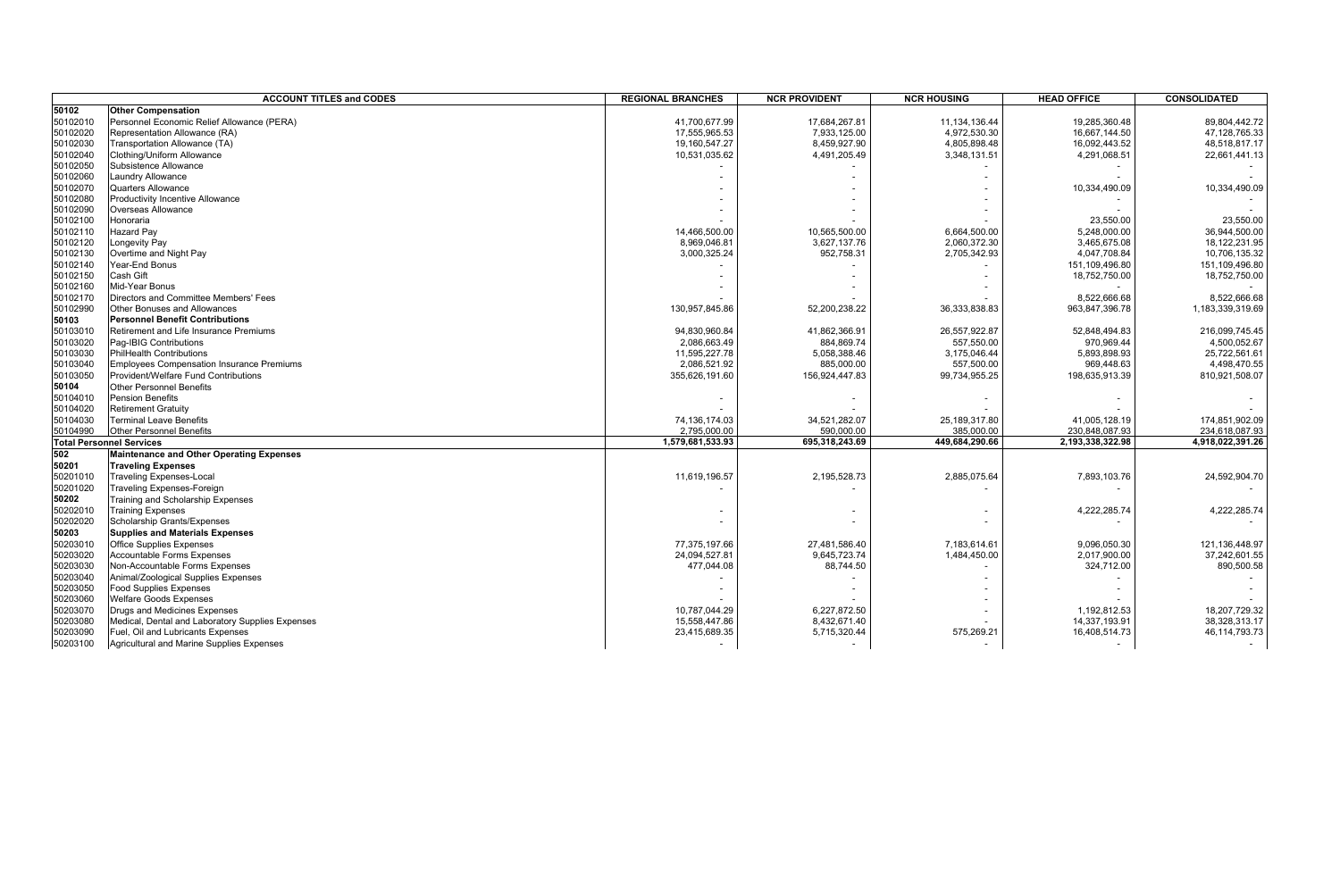| 50102<br><b>Other Compensation</b><br>50102010<br>Personnel Economic Relief Allowance (PERA)<br>41,700,677.99<br>17,684,267.81<br>11, 134, 136.44<br>19,285,360.48<br>89,804,442.72<br>50102020<br>Representation Allowance (RA)<br>4,972,530.30<br>17,555,965.53<br>7,933,125.00<br>16,667,144.50<br>47,128,765.33<br>50102030<br>Transportation Allowance (TA)<br>19,160,547.27<br>8,459,927.90<br>4,805,898.48<br>16,092,443.52<br>48,518,817.17<br>50102040<br>Clothing/Uniform Allowance<br>10,531,035.62<br>4,491,205.49<br>3,348,131.51<br>4,291,068.51<br>22,661,441.13<br>50102050<br>Subsistence Allowance<br>50102060<br><b>Laundry Allowance</b><br>50102070<br><b>Quarters Allowance</b><br>10,334,490.09<br>10,334,490.09<br>50102080<br><b>Productivity Incentive Allowance</b><br>50102090<br>Overseas Allowance<br>23,550.00<br>50102100<br>Honoraria<br>23,550.00<br>50102110<br><b>Hazard Pay</b><br>14,466,500.00<br>10,565,500.00<br>6,664,500.00<br>5,248,000.00<br>36,944,500.00<br>50102120<br>ongevity Pay<br>8,969,046.81<br>3,627,137.76<br>2,060,372.30<br>3,465,675.08<br>18, 122, 231. 95<br>50102130<br>Overtime and Night Pay<br>3,000,325.24<br>952,758.31<br>2,705,342.93<br>4,047,708.84<br>10,706,135.32<br>50102140<br>Year-End Bonus<br>151,109,496.80<br>151,109,496.80<br>50102150<br>Cash Gift<br>18,752,750.00<br>18,752,750.00<br>Mid-Year Bonus<br>50102160<br>50102170<br>Directors and Committee Members' Fees<br>8,522,666.68<br>8,522,666.68<br>50102990<br>Other Bonuses and Allowances<br>130,957,845.86<br>52,200,238.22<br>36, 333, 838.83<br>963,847,396.78<br>1,183,339,319.69<br><b>Personnel Benefit Contributions</b><br>50103<br>Retirement and Life Insurance Premiums<br>50103010<br>26,557,922.87<br>52,848,494.83<br>216,099,745.45<br>94.830.960.84<br>41,862,366.91<br>Pag-IBIG Contributions<br>557,550.00<br>50103020<br>2,086,663.49<br>884,869.74<br>970,969.44<br>4,500,052.67<br>50103030<br><b>PhilHealth Contributions</b><br>11,595,227.78<br>5,058,388.46<br>3,175,046.44<br>5,893,898.93<br>25,722,561.61<br>4,498,470.55<br>50103040<br><b>Employees Compensation Insurance Premiums</b><br>2,086,521.92<br>885,000.00<br>557,500.00<br>969,448.63<br>50103050<br>Provident/Welfare Fund Contributions<br>156,924,447.83<br>99,734,955.25<br>198,635,913.39<br>355,626,191.60<br>810,921,508.07<br>50104<br><b>Other Personnel Benefits</b><br>50104010<br>Pension Benefits<br><b>Retirement Gratuity</b><br>50104030<br><b>Terminal Leave Benefits</b><br>74,136,174.03<br>34,521,282.07<br>25, 189, 317.80<br>41,005,128.19<br>174,851,902.09<br>50104990<br><b>Other Personnel Benefits</b><br>2.795.000.00<br>590.000.00<br>385.000.00<br>230.848.087.93<br>234.618.087.93<br><b>Total Personnel Services</b><br>1.579.681.533.93<br>449,684,290.66<br>2,193,338,322.98<br>4.918.022.391.26<br>695.318.243.69<br>502<br><b>Maintenance and Other Operating Expenses</b><br>50201<br><b>Traveling Expenses</b><br><b>Traveling Expenses-Local</b><br>50201010<br>11,619,196.57<br>2,195,528.73<br>2,885,075.64<br>7,893,103.76<br>24,592,904.70<br>50201020<br>Traveling Expenses-Foreign<br>50202<br>Training and Scholarship Expenses<br>50202010<br><b>Training Expenses</b><br>4,222,285.74<br>4,222,285.74<br>50202020<br>Scholarship Grants/Expenses<br>50203<br><b>Supplies and Materials Expenses</b><br><b>Office Supplies Expenses</b><br>50203010<br>77,375,197.66<br>27,481,586.40<br>7,183,614.61<br>9,096,050.30<br>121,136,448.97<br>50203020<br>Accountable Forms Expenses<br>24.094.527.81<br>9.645.723.74<br>1,484,450.00<br>2,017,900.00<br>37.242.601.55<br>50203030<br>Non-Accountable Forms Expenses<br>890,500.58<br>477,044.08<br>88,744.50<br>324,712.00<br>50203040<br>Animal/Zoological Supplies Expenses<br>50203050<br><b>Food Supplies Expenses</b><br>50203060<br><b>Welfare Goods Expenses</b><br>50203070<br>Drugs and Medicines Expenses<br>10,787,044.29<br>6,227,872.50<br>1,192,812.53<br>18,207,729.32<br>50203080<br>Medical, Dental and Laboratory Supplies Expenses<br>15,558,447.86<br>8,432,671.40<br>14,337,193.91<br>38,328,313.17<br>50203090<br>Fuel, Oil and Lubricants Expenses<br>575,269.21<br>46, 114, 793. 73<br>23,415,689.35<br>5,715,320.44<br>16,408,514.73<br>50203100<br>Agricultural and Marine Supplies Expenses<br>$\sim$<br>$\sim$ |          | <b>ACCOUNT TITLES and CODES</b> | <b>REGIONAL BRANCHES</b> | <b>NCR PROVIDENT</b> | <b>NCR HOUSING</b> | <b>HEAD OFFICE</b> | <b>CONSOLIDATED</b> |
|----------------------------------------------------------------------------------------------------------------------------------------------------------------------------------------------------------------------------------------------------------------------------------------------------------------------------------------------------------------------------------------------------------------------------------------------------------------------------------------------------------------------------------------------------------------------------------------------------------------------------------------------------------------------------------------------------------------------------------------------------------------------------------------------------------------------------------------------------------------------------------------------------------------------------------------------------------------------------------------------------------------------------------------------------------------------------------------------------------------------------------------------------------------------------------------------------------------------------------------------------------------------------------------------------------------------------------------------------------------------------------------------------------------------------------------------------------------------------------------------------------------------------------------------------------------------------------------------------------------------------------------------------------------------------------------------------------------------------------------------------------------------------------------------------------------------------------------------------------------------------------------------------------------------------------------------------------------------------------------------------------------------------------------------------------------------------------------------------------------------------------------------------------------------------------------------------------------------------------------------------------------------------------------------------------------------------------------------------------------------------------------------------------------------------------------------------------------------------------------------------------------------------------------------------------------------------------------------------------------------------------------------------------------------------------------------------------------------------------------------------------------------------------------------------------------------------------------------------------------------------------------------------------------------------------------------------------------------------------------------------------------------------------------------------------------------------------------------------------------------------------------------------------------------------------------------------------------------------------------------------------------------------------------------------------------------------------------------------------------------------------------------------------------------------------------------------------------------------------------------------------------------------------------------------------------------------------------------------------------------------------------------------------------------------------------------------------------------------------------------------------------------------------------------------------------------------------------------------------------------------------------------------------------------------------------------------------------------------------------------------------------------------------------------------------------------------------------------------------------------------------------------------------------------------------------------------------------------------------------------------------------------------------------------------------------------------------------------------------------------------------|----------|---------------------------------|--------------------------|----------------------|--------------------|--------------------|---------------------|
|                                                                                                                                                                                                                                                                                                                                                                                                                                                                                                                                                                                                                                                                                                                                                                                                                                                                                                                                                                                                                                                                                                                                                                                                                                                                                                                                                                                                                                                                                                                                                                                                                                                                                                                                                                                                                                                                                                                                                                                                                                                                                                                                                                                                                                                                                                                                                                                                                                                                                                                                                                                                                                                                                                                                                                                                                                                                                                                                                                                                                                                                                                                                                                                                                                                                                                                                                                                                                                                                                                                                                                                                                                                                                                                                                                                                                                                                                                                                                                                                                                                                                                                                                                                                                                                                                                                                                                                  |          |                                 |                          |                      |                    |                    |                     |
|                                                                                                                                                                                                                                                                                                                                                                                                                                                                                                                                                                                                                                                                                                                                                                                                                                                                                                                                                                                                                                                                                                                                                                                                                                                                                                                                                                                                                                                                                                                                                                                                                                                                                                                                                                                                                                                                                                                                                                                                                                                                                                                                                                                                                                                                                                                                                                                                                                                                                                                                                                                                                                                                                                                                                                                                                                                                                                                                                                                                                                                                                                                                                                                                                                                                                                                                                                                                                                                                                                                                                                                                                                                                                                                                                                                                                                                                                                                                                                                                                                                                                                                                                                                                                                                                                                                                                                                  |          |                                 |                          |                      |                    |                    |                     |
|                                                                                                                                                                                                                                                                                                                                                                                                                                                                                                                                                                                                                                                                                                                                                                                                                                                                                                                                                                                                                                                                                                                                                                                                                                                                                                                                                                                                                                                                                                                                                                                                                                                                                                                                                                                                                                                                                                                                                                                                                                                                                                                                                                                                                                                                                                                                                                                                                                                                                                                                                                                                                                                                                                                                                                                                                                                                                                                                                                                                                                                                                                                                                                                                                                                                                                                                                                                                                                                                                                                                                                                                                                                                                                                                                                                                                                                                                                                                                                                                                                                                                                                                                                                                                                                                                                                                                                                  |          |                                 |                          |                      |                    |                    |                     |
|                                                                                                                                                                                                                                                                                                                                                                                                                                                                                                                                                                                                                                                                                                                                                                                                                                                                                                                                                                                                                                                                                                                                                                                                                                                                                                                                                                                                                                                                                                                                                                                                                                                                                                                                                                                                                                                                                                                                                                                                                                                                                                                                                                                                                                                                                                                                                                                                                                                                                                                                                                                                                                                                                                                                                                                                                                                                                                                                                                                                                                                                                                                                                                                                                                                                                                                                                                                                                                                                                                                                                                                                                                                                                                                                                                                                                                                                                                                                                                                                                                                                                                                                                                                                                                                                                                                                                                                  |          |                                 |                          |                      |                    |                    |                     |
|                                                                                                                                                                                                                                                                                                                                                                                                                                                                                                                                                                                                                                                                                                                                                                                                                                                                                                                                                                                                                                                                                                                                                                                                                                                                                                                                                                                                                                                                                                                                                                                                                                                                                                                                                                                                                                                                                                                                                                                                                                                                                                                                                                                                                                                                                                                                                                                                                                                                                                                                                                                                                                                                                                                                                                                                                                                                                                                                                                                                                                                                                                                                                                                                                                                                                                                                                                                                                                                                                                                                                                                                                                                                                                                                                                                                                                                                                                                                                                                                                                                                                                                                                                                                                                                                                                                                                                                  |          |                                 |                          |                      |                    |                    |                     |
|                                                                                                                                                                                                                                                                                                                                                                                                                                                                                                                                                                                                                                                                                                                                                                                                                                                                                                                                                                                                                                                                                                                                                                                                                                                                                                                                                                                                                                                                                                                                                                                                                                                                                                                                                                                                                                                                                                                                                                                                                                                                                                                                                                                                                                                                                                                                                                                                                                                                                                                                                                                                                                                                                                                                                                                                                                                                                                                                                                                                                                                                                                                                                                                                                                                                                                                                                                                                                                                                                                                                                                                                                                                                                                                                                                                                                                                                                                                                                                                                                                                                                                                                                                                                                                                                                                                                                                                  |          |                                 |                          |                      |                    |                    |                     |
|                                                                                                                                                                                                                                                                                                                                                                                                                                                                                                                                                                                                                                                                                                                                                                                                                                                                                                                                                                                                                                                                                                                                                                                                                                                                                                                                                                                                                                                                                                                                                                                                                                                                                                                                                                                                                                                                                                                                                                                                                                                                                                                                                                                                                                                                                                                                                                                                                                                                                                                                                                                                                                                                                                                                                                                                                                                                                                                                                                                                                                                                                                                                                                                                                                                                                                                                                                                                                                                                                                                                                                                                                                                                                                                                                                                                                                                                                                                                                                                                                                                                                                                                                                                                                                                                                                                                                                                  |          |                                 |                          |                      |                    |                    |                     |
|                                                                                                                                                                                                                                                                                                                                                                                                                                                                                                                                                                                                                                                                                                                                                                                                                                                                                                                                                                                                                                                                                                                                                                                                                                                                                                                                                                                                                                                                                                                                                                                                                                                                                                                                                                                                                                                                                                                                                                                                                                                                                                                                                                                                                                                                                                                                                                                                                                                                                                                                                                                                                                                                                                                                                                                                                                                                                                                                                                                                                                                                                                                                                                                                                                                                                                                                                                                                                                                                                                                                                                                                                                                                                                                                                                                                                                                                                                                                                                                                                                                                                                                                                                                                                                                                                                                                                                                  |          |                                 |                          |                      |                    |                    |                     |
|                                                                                                                                                                                                                                                                                                                                                                                                                                                                                                                                                                                                                                                                                                                                                                                                                                                                                                                                                                                                                                                                                                                                                                                                                                                                                                                                                                                                                                                                                                                                                                                                                                                                                                                                                                                                                                                                                                                                                                                                                                                                                                                                                                                                                                                                                                                                                                                                                                                                                                                                                                                                                                                                                                                                                                                                                                                                                                                                                                                                                                                                                                                                                                                                                                                                                                                                                                                                                                                                                                                                                                                                                                                                                                                                                                                                                                                                                                                                                                                                                                                                                                                                                                                                                                                                                                                                                                                  |          |                                 |                          |                      |                    |                    |                     |
|                                                                                                                                                                                                                                                                                                                                                                                                                                                                                                                                                                                                                                                                                                                                                                                                                                                                                                                                                                                                                                                                                                                                                                                                                                                                                                                                                                                                                                                                                                                                                                                                                                                                                                                                                                                                                                                                                                                                                                                                                                                                                                                                                                                                                                                                                                                                                                                                                                                                                                                                                                                                                                                                                                                                                                                                                                                                                                                                                                                                                                                                                                                                                                                                                                                                                                                                                                                                                                                                                                                                                                                                                                                                                                                                                                                                                                                                                                                                                                                                                                                                                                                                                                                                                                                                                                                                                                                  |          |                                 |                          |                      |                    |                    |                     |
|                                                                                                                                                                                                                                                                                                                                                                                                                                                                                                                                                                                                                                                                                                                                                                                                                                                                                                                                                                                                                                                                                                                                                                                                                                                                                                                                                                                                                                                                                                                                                                                                                                                                                                                                                                                                                                                                                                                                                                                                                                                                                                                                                                                                                                                                                                                                                                                                                                                                                                                                                                                                                                                                                                                                                                                                                                                                                                                                                                                                                                                                                                                                                                                                                                                                                                                                                                                                                                                                                                                                                                                                                                                                                                                                                                                                                                                                                                                                                                                                                                                                                                                                                                                                                                                                                                                                                                                  |          |                                 |                          |                      |                    |                    |                     |
|                                                                                                                                                                                                                                                                                                                                                                                                                                                                                                                                                                                                                                                                                                                                                                                                                                                                                                                                                                                                                                                                                                                                                                                                                                                                                                                                                                                                                                                                                                                                                                                                                                                                                                                                                                                                                                                                                                                                                                                                                                                                                                                                                                                                                                                                                                                                                                                                                                                                                                                                                                                                                                                                                                                                                                                                                                                                                                                                                                                                                                                                                                                                                                                                                                                                                                                                                                                                                                                                                                                                                                                                                                                                                                                                                                                                                                                                                                                                                                                                                                                                                                                                                                                                                                                                                                                                                                                  |          |                                 |                          |                      |                    |                    |                     |
|                                                                                                                                                                                                                                                                                                                                                                                                                                                                                                                                                                                                                                                                                                                                                                                                                                                                                                                                                                                                                                                                                                                                                                                                                                                                                                                                                                                                                                                                                                                                                                                                                                                                                                                                                                                                                                                                                                                                                                                                                                                                                                                                                                                                                                                                                                                                                                                                                                                                                                                                                                                                                                                                                                                                                                                                                                                                                                                                                                                                                                                                                                                                                                                                                                                                                                                                                                                                                                                                                                                                                                                                                                                                                                                                                                                                                                                                                                                                                                                                                                                                                                                                                                                                                                                                                                                                                                                  |          |                                 |                          |                      |                    |                    |                     |
|                                                                                                                                                                                                                                                                                                                                                                                                                                                                                                                                                                                                                                                                                                                                                                                                                                                                                                                                                                                                                                                                                                                                                                                                                                                                                                                                                                                                                                                                                                                                                                                                                                                                                                                                                                                                                                                                                                                                                                                                                                                                                                                                                                                                                                                                                                                                                                                                                                                                                                                                                                                                                                                                                                                                                                                                                                                                                                                                                                                                                                                                                                                                                                                                                                                                                                                                                                                                                                                                                                                                                                                                                                                                                                                                                                                                                                                                                                                                                                                                                                                                                                                                                                                                                                                                                                                                                                                  |          |                                 |                          |                      |                    |                    |                     |
|                                                                                                                                                                                                                                                                                                                                                                                                                                                                                                                                                                                                                                                                                                                                                                                                                                                                                                                                                                                                                                                                                                                                                                                                                                                                                                                                                                                                                                                                                                                                                                                                                                                                                                                                                                                                                                                                                                                                                                                                                                                                                                                                                                                                                                                                                                                                                                                                                                                                                                                                                                                                                                                                                                                                                                                                                                                                                                                                                                                                                                                                                                                                                                                                                                                                                                                                                                                                                                                                                                                                                                                                                                                                                                                                                                                                                                                                                                                                                                                                                                                                                                                                                                                                                                                                                                                                                                                  |          |                                 |                          |                      |                    |                    |                     |
|                                                                                                                                                                                                                                                                                                                                                                                                                                                                                                                                                                                                                                                                                                                                                                                                                                                                                                                                                                                                                                                                                                                                                                                                                                                                                                                                                                                                                                                                                                                                                                                                                                                                                                                                                                                                                                                                                                                                                                                                                                                                                                                                                                                                                                                                                                                                                                                                                                                                                                                                                                                                                                                                                                                                                                                                                                                                                                                                                                                                                                                                                                                                                                                                                                                                                                                                                                                                                                                                                                                                                                                                                                                                                                                                                                                                                                                                                                                                                                                                                                                                                                                                                                                                                                                                                                                                                                                  |          |                                 |                          |                      |                    |                    |                     |
|                                                                                                                                                                                                                                                                                                                                                                                                                                                                                                                                                                                                                                                                                                                                                                                                                                                                                                                                                                                                                                                                                                                                                                                                                                                                                                                                                                                                                                                                                                                                                                                                                                                                                                                                                                                                                                                                                                                                                                                                                                                                                                                                                                                                                                                                                                                                                                                                                                                                                                                                                                                                                                                                                                                                                                                                                                                                                                                                                                                                                                                                                                                                                                                                                                                                                                                                                                                                                                                                                                                                                                                                                                                                                                                                                                                                                                                                                                                                                                                                                                                                                                                                                                                                                                                                                                                                                                                  |          |                                 |                          |                      |                    |                    |                     |
|                                                                                                                                                                                                                                                                                                                                                                                                                                                                                                                                                                                                                                                                                                                                                                                                                                                                                                                                                                                                                                                                                                                                                                                                                                                                                                                                                                                                                                                                                                                                                                                                                                                                                                                                                                                                                                                                                                                                                                                                                                                                                                                                                                                                                                                                                                                                                                                                                                                                                                                                                                                                                                                                                                                                                                                                                                                                                                                                                                                                                                                                                                                                                                                                                                                                                                                                                                                                                                                                                                                                                                                                                                                                                                                                                                                                                                                                                                                                                                                                                                                                                                                                                                                                                                                                                                                                                                                  |          |                                 |                          |                      |                    |                    |                     |
|                                                                                                                                                                                                                                                                                                                                                                                                                                                                                                                                                                                                                                                                                                                                                                                                                                                                                                                                                                                                                                                                                                                                                                                                                                                                                                                                                                                                                                                                                                                                                                                                                                                                                                                                                                                                                                                                                                                                                                                                                                                                                                                                                                                                                                                                                                                                                                                                                                                                                                                                                                                                                                                                                                                                                                                                                                                                                                                                                                                                                                                                                                                                                                                                                                                                                                                                                                                                                                                                                                                                                                                                                                                                                                                                                                                                                                                                                                                                                                                                                                                                                                                                                                                                                                                                                                                                                                                  |          |                                 |                          |                      |                    |                    |                     |
|                                                                                                                                                                                                                                                                                                                                                                                                                                                                                                                                                                                                                                                                                                                                                                                                                                                                                                                                                                                                                                                                                                                                                                                                                                                                                                                                                                                                                                                                                                                                                                                                                                                                                                                                                                                                                                                                                                                                                                                                                                                                                                                                                                                                                                                                                                                                                                                                                                                                                                                                                                                                                                                                                                                                                                                                                                                                                                                                                                                                                                                                                                                                                                                                                                                                                                                                                                                                                                                                                                                                                                                                                                                                                                                                                                                                                                                                                                                                                                                                                                                                                                                                                                                                                                                                                                                                                                                  |          |                                 |                          |                      |                    |                    |                     |
|                                                                                                                                                                                                                                                                                                                                                                                                                                                                                                                                                                                                                                                                                                                                                                                                                                                                                                                                                                                                                                                                                                                                                                                                                                                                                                                                                                                                                                                                                                                                                                                                                                                                                                                                                                                                                                                                                                                                                                                                                                                                                                                                                                                                                                                                                                                                                                                                                                                                                                                                                                                                                                                                                                                                                                                                                                                                                                                                                                                                                                                                                                                                                                                                                                                                                                                                                                                                                                                                                                                                                                                                                                                                                                                                                                                                                                                                                                                                                                                                                                                                                                                                                                                                                                                                                                                                                                                  |          |                                 |                          |                      |                    |                    |                     |
|                                                                                                                                                                                                                                                                                                                                                                                                                                                                                                                                                                                                                                                                                                                                                                                                                                                                                                                                                                                                                                                                                                                                                                                                                                                                                                                                                                                                                                                                                                                                                                                                                                                                                                                                                                                                                                                                                                                                                                                                                                                                                                                                                                                                                                                                                                                                                                                                                                                                                                                                                                                                                                                                                                                                                                                                                                                                                                                                                                                                                                                                                                                                                                                                                                                                                                                                                                                                                                                                                                                                                                                                                                                                                                                                                                                                                                                                                                                                                                                                                                                                                                                                                                                                                                                                                                                                                                                  |          |                                 |                          |                      |                    |                    |                     |
|                                                                                                                                                                                                                                                                                                                                                                                                                                                                                                                                                                                                                                                                                                                                                                                                                                                                                                                                                                                                                                                                                                                                                                                                                                                                                                                                                                                                                                                                                                                                                                                                                                                                                                                                                                                                                                                                                                                                                                                                                                                                                                                                                                                                                                                                                                                                                                                                                                                                                                                                                                                                                                                                                                                                                                                                                                                                                                                                                                                                                                                                                                                                                                                                                                                                                                                                                                                                                                                                                                                                                                                                                                                                                                                                                                                                                                                                                                                                                                                                                                                                                                                                                                                                                                                                                                                                                                                  |          |                                 |                          |                      |                    |                    |                     |
|                                                                                                                                                                                                                                                                                                                                                                                                                                                                                                                                                                                                                                                                                                                                                                                                                                                                                                                                                                                                                                                                                                                                                                                                                                                                                                                                                                                                                                                                                                                                                                                                                                                                                                                                                                                                                                                                                                                                                                                                                                                                                                                                                                                                                                                                                                                                                                                                                                                                                                                                                                                                                                                                                                                                                                                                                                                                                                                                                                                                                                                                                                                                                                                                                                                                                                                                                                                                                                                                                                                                                                                                                                                                                                                                                                                                                                                                                                                                                                                                                                                                                                                                                                                                                                                                                                                                                                                  |          |                                 |                          |                      |                    |                    |                     |
|                                                                                                                                                                                                                                                                                                                                                                                                                                                                                                                                                                                                                                                                                                                                                                                                                                                                                                                                                                                                                                                                                                                                                                                                                                                                                                                                                                                                                                                                                                                                                                                                                                                                                                                                                                                                                                                                                                                                                                                                                                                                                                                                                                                                                                                                                                                                                                                                                                                                                                                                                                                                                                                                                                                                                                                                                                                                                                                                                                                                                                                                                                                                                                                                                                                                                                                                                                                                                                                                                                                                                                                                                                                                                                                                                                                                                                                                                                                                                                                                                                                                                                                                                                                                                                                                                                                                                                                  |          |                                 |                          |                      |                    |                    |                     |
|                                                                                                                                                                                                                                                                                                                                                                                                                                                                                                                                                                                                                                                                                                                                                                                                                                                                                                                                                                                                                                                                                                                                                                                                                                                                                                                                                                                                                                                                                                                                                                                                                                                                                                                                                                                                                                                                                                                                                                                                                                                                                                                                                                                                                                                                                                                                                                                                                                                                                                                                                                                                                                                                                                                                                                                                                                                                                                                                                                                                                                                                                                                                                                                                                                                                                                                                                                                                                                                                                                                                                                                                                                                                                                                                                                                                                                                                                                                                                                                                                                                                                                                                                                                                                                                                                                                                                                                  |          |                                 |                          |                      |                    |                    |                     |
|                                                                                                                                                                                                                                                                                                                                                                                                                                                                                                                                                                                                                                                                                                                                                                                                                                                                                                                                                                                                                                                                                                                                                                                                                                                                                                                                                                                                                                                                                                                                                                                                                                                                                                                                                                                                                                                                                                                                                                                                                                                                                                                                                                                                                                                                                                                                                                                                                                                                                                                                                                                                                                                                                                                                                                                                                                                                                                                                                                                                                                                                                                                                                                                                                                                                                                                                                                                                                                                                                                                                                                                                                                                                                                                                                                                                                                                                                                                                                                                                                                                                                                                                                                                                                                                                                                                                                                                  |          |                                 |                          |                      |                    |                    |                     |
|                                                                                                                                                                                                                                                                                                                                                                                                                                                                                                                                                                                                                                                                                                                                                                                                                                                                                                                                                                                                                                                                                                                                                                                                                                                                                                                                                                                                                                                                                                                                                                                                                                                                                                                                                                                                                                                                                                                                                                                                                                                                                                                                                                                                                                                                                                                                                                                                                                                                                                                                                                                                                                                                                                                                                                                                                                                                                                                                                                                                                                                                                                                                                                                                                                                                                                                                                                                                                                                                                                                                                                                                                                                                                                                                                                                                                                                                                                                                                                                                                                                                                                                                                                                                                                                                                                                                                                                  | 50104020 |                                 |                          |                      |                    |                    |                     |
|                                                                                                                                                                                                                                                                                                                                                                                                                                                                                                                                                                                                                                                                                                                                                                                                                                                                                                                                                                                                                                                                                                                                                                                                                                                                                                                                                                                                                                                                                                                                                                                                                                                                                                                                                                                                                                                                                                                                                                                                                                                                                                                                                                                                                                                                                                                                                                                                                                                                                                                                                                                                                                                                                                                                                                                                                                                                                                                                                                                                                                                                                                                                                                                                                                                                                                                                                                                                                                                                                                                                                                                                                                                                                                                                                                                                                                                                                                                                                                                                                                                                                                                                                                                                                                                                                                                                                                                  |          |                                 |                          |                      |                    |                    |                     |
|                                                                                                                                                                                                                                                                                                                                                                                                                                                                                                                                                                                                                                                                                                                                                                                                                                                                                                                                                                                                                                                                                                                                                                                                                                                                                                                                                                                                                                                                                                                                                                                                                                                                                                                                                                                                                                                                                                                                                                                                                                                                                                                                                                                                                                                                                                                                                                                                                                                                                                                                                                                                                                                                                                                                                                                                                                                                                                                                                                                                                                                                                                                                                                                                                                                                                                                                                                                                                                                                                                                                                                                                                                                                                                                                                                                                                                                                                                                                                                                                                                                                                                                                                                                                                                                                                                                                                                                  |          |                                 |                          |                      |                    |                    |                     |
|                                                                                                                                                                                                                                                                                                                                                                                                                                                                                                                                                                                                                                                                                                                                                                                                                                                                                                                                                                                                                                                                                                                                                                                                                                                                                                                                                                                                                                                                                                                                                                                                                                                                                                                                                                                                                                                                                                                                                                                                                                                                                                                                                                                                                                                                                                                                                                                                                                                                                                                                                                                                                                                                                                                                                                                                                                                                                                                                                                                                                                                                                                                                                                                                                                                                                                                                                                                                                                                                                                                                                                                                                                                                                                                                                                                                                                                                                                                                                                                                                                                                                                                                                                                                                                                                                                                                                                                  |          |                                 |                          |                      |                    |                    |                     |
|                                                                                                                                                                                                                                                                                                                                                                                                                                                                                                                                                                                                                                                                                                                                                                                                                                                                                                                                                                                                                                                                                                                                                                                                                                                                                                                                                                                                                                                                                                                                                                                                                                                                                                                                                                                                                                                                                                                                                                                                                                                                                                                                                                                                                                                                                                                                                                                                                                                                                                                                                                                                                                                                                                                                                                                                                                                                                                                                                                                                                                                                                                                                                                                                                                                                                                                                                                                                                                                                                                                                                                                                                                                                                                                                                                                                                                                                                                                                                                                                                                                                                                                                                                                                                                                                                                                                                                                  |          |                                 |                          |                      |                    |                    |                     |
|                                                                                                                                                                                                                                                                                                                                                                                                                                                                                                                                                                                                                                                                                                                                                                                                                                                                                                                                                                                                                                                                                                                                                                                                                                                                                                                                                                                                                                                                                                                                                                                                                                                                                                                                                                                                                                                                                                                                                                                                                                                                                                                                                                                                                                                                                                                                                                                                                                                                                                                                                                                                                                                                                                                                                                                                                                                                                                                                                                                                                                                                                                                                                                                                                                                                                                                                                                                                                                                                                                                                                                                                                                                                                                                                                                                                                                                                                                                                                                                                                                                                                                                                                                                                                                                                                                                                                                                  |          |                                 |                          |                      |                    |                    |                     |
|                                                                                                                                                                                                                                                                                                                                                                                                                                                                                                                                                                                                                                                                                                                                                                                                                                                                                                                                                                                                                                                                                                                                                                                                                                                                                                                                                                                                                                                                                                                                                                                                                                                                                                                                                                                                                                                                                                                                                                                                                                                                                                                                                                                                                                                                                                                                                                                                                                                                                                                                                                                                                                                                                                                                                                                                                                                                                                                                                                                                                                                                                                                                                                                                                                                                                                                                                                                                                                                                                                                                                                                                                                                                                                                                                                                                                                                                                                                                                                                                                                                                                                                                                                                                                                                                                                                                                                                  |          |                                 |                          |                      |                    |                    |                     |
|                                                                                                                                                                                                                                                                                                                                                                                                                                                                                                                                                                                                                                                                                                                                                                                                                                                                                                                                                                                                                                                                                                                                                                                                                                                                                                                                                                                                                                                                                                                                                                                                                                                                                                                                                                                                                                                                                                                                                                                                                                                                                                                                                                                                                                                                                                                                                                                                                                                                                                                                                                                                                                                                                                                                                                                                                                                                                                                                                                                                                                                                                                                                                                                                                                                                                                                                                                                                                                                                                                                                                                                                                                                                                                                                                                                                                                                                                                                                                                                                                                                                                                                                                                                                                                                                                                                                                                                  |          |                                 |                          |                      |                    |                    |                     |
|                                                                                                                                                                                                                                                                                                                                                                                                                                                                                                                                                                                                                                                                                                                                                                                                                                                                                                                                                                                                                                                                                                                                                                                                                                                                                                                                                                                                                                                                                                                                                                                                                                                                                                                                                                                                                                                                                                                                                                                                                                                                                                                                                                                                                                                                                                                                                                                                                                                                                                                                                                                                                                                                                                                                                                                                                                                                                                                                                                                                                                                                                                                                                                                                                                                                                                                                                                                                                                                                                                                                                                                                                                                                                                                                                                                                                                                                                                                                                                                                                                                                                                                                                                                                                                                                                                                                                                                  |          |                                 |                          |                      |                    |                    |                     |
|                                                                                                                                                                                                                                                                                                                                                                                                                                                                                                                                                                                                                                                                                                                                                                                                                                                                                                                                                                                                                                                                                                                                                                                                                                                                                                                                                                                                                                                                                                                                                                                                                                                                                                                                                                                                                                                                                                                                                                                                                                                                                                                                                                                                                                                                                                                                                                                                                                                                                                                                                                                                                                                                                                                                                                                                                                                                                                                                                                                                                                                                                                                                                                                                                                                                                                                                                                                                                                                                                                                                                                                                                                                                                                                                                                                                                                                                                                                                                                                                                                                                                                                                                                                                                                                                                                                                                                                  |          |                                 |                          |                      |                    |                    |                     |
|                                                                                                                                                                                                                                                                                                                                                                                                                                                                                                                                                                                                                                                                                                                                                                                                                                                                                                                                                                                                                                                                                                                                                                                                                                                                                                                                                                                                                                                                                                                                                                                                                                                                                                                                                                                                                                                                                                                                                                                                                                                                                                                                                                                                                                                                                                                                                                                                                                                                                                                                                                                                                                                                                                                                                                                                                                                                                                                                                                                                                                                                                                                                                                                                                                                                                                                                                                                                                                                                                                                                                                                                                                                                                                                                                                                                                                                                                                                                                                                                                                                                                                                                                                                                                                                                                                                                                                                  |          |                                 |                          |                      |                    |                    |                     |
|                                                                                                                                                                                                                                                                                                                                                                                                                                                                                                                                                                                                                                                                                                                                                                                                                                                                                                                                                                                                                                                                                                                                                                                                                                                                                                                                                                                                                                                                                                                                                                                                                                                                                                                                                                                                                                                                                                                                                                                                                                                                                                                                                                                                                                                                                                                                                                                                                                                                                                                                                                                                                                                                                                                                                                                                                                                                                                                                                                                                                                                                                                                                                                                                                                                                                                                                                                                                                                                                                                                                                                                                                                                                                                                                                                                                                                                                                                                                                                                                                                                                                                                                                                                                                                                                                                                                                                                  |          |                                 |                          |                      |                    |                    |                     |
|                                                                                                                                                                                                                                                                                                                                                                                                                                                                                                                                                                                                                                                                                                                                                                                                                                                                                                                                                                                                                                                                                                                                                                                                                                                                                                                                                                                                                                                                                                                                                                                                                                                                                                                                                                                                                                                                                                                                                                                                                                                                                                                                                                                                                                                                                                                                                                                                                                                                                                                                                                                                                                                                                                                                                                                                                                                                                                                                                                                                                                                                                                                                                                                                                                                                                                                                                                                                                                                                                                                                                                                                                                                                                                                                                                                                                                                                                                                                                                                                                                                                                                                                                                                                                                                                                                                                                                                  |          |                                 |                          |                      |                    |                    |                     |
|                                                                                                                                                                                                                                                                                                                                                                                                                                                                                                                                                                                                                                                                                                                                                                                                                                                                                                                                                                                                                                                                                                                                                                                                                                                                                                                                                                                                                                                                                                                                                                                                                                                                                                                                                                                                                                                                                                                                                                                                                                                                                                                                                                                                                                                                                                                                                                                                                                                                                                                                                                                                                                                                                                                                                                                                                                                                                                                                                                                                                                                                                                                                                                                                                                                                                                                                                                                                                                                                                                                                                                                                                                                                                                                                                                                                                                                                                                                                                                                                                                                                                                                                                                                                                                                                                                                                                                                  |          |                                 |                          |                      |                    |                    |                     |
|                                                                                                                                                                                                                                                                                                                                                                                                                                                                                                                                                                                                                                                                                                                                                                                                                                                                                                                                                                                                                                                                                                                                                                                                                                                                                                                                                                                                                                                                                                                                                                                                                                                                                                                                                                                                                                                                                                                                                                                                                                                                                                                                                                                                                                                                                                                                                                                                                                                                                                                                                                                                                                                                                                                                                                                                                                                                                                                                                                                                                                                                                                                                                                                                                                                                                                                                                                                                                                                                                                                                                                                                                                                                                                                                                                                                                                                                                                                                                                                                                                                                                                                                                                                                                                                                                                                                                                                  |          |                                 |                          |                      |                    |                    |                     |
|                                                                                                                                                                                                                                                                                                                                                                                                                                                                                                                                                                                                                                                                                                                                                                                                                                                                                                                                                                                                                                                                                                                                                                                                                                                                                                                                                                                                                                                                                                                                                                                                                                                                                                                                                                                                                                                                                                                                                                                                                                                                                                                                                                                                                                                                                                                                                                                                                                                                                                                                                                                                                                                                                                                                                                                                                                                                                                                                                                                                                                                                                                                                                                                                                                                                                                                                                                                                                                                                                                                                                                                                                                                                                                                                                                                                                                                                                                                                                                                                                                                                                                                                                                                                                                                                                                                                                                                  |          |                                 |                          |                      |                    |                    |                     |
|                                                                                                                                                                                                                                                                                                                                                                                                                                                                                                                                                                                                                                                                                                                                                                                                                                                                                                                                                                                                                                                                                                                                                                                                                                                                                                                                                                                                                                                                                                                                                                                                                                                                                                                                                                                                                                                                                                                                                                                                                                                                                                                                                                                                                                                                                                                                                                                                                                                                                                                                                                                                                                                                                                                                                                                                                                                                                                                                                                                                                                                                                                                                                                                                                                                                                                                                                                                                                                                                                                                                                                                                                                                                                                                                                                                                                                                                                                                                                                                                                                                                                                                                                                                                                                                                                                                                                                                  |          |                                 |                          |                      |                    |                    |                     |
|                                                                                                                                                                                                                                                                                                                                                                                                                                                                                                                                                                                                                                                                                                                                                                                                                                                                                                                                                                                                                                                                                                                                                                                                                                                                                                                                                                                                                                                                                                                                                                                                                                                                                                                                                                                                                                                                                                                                                                                                                                                                                                                                                                                                                                                                                                                                                                                                                                                                                                                                                                                                                                                                                                                                                                                                                                                                                                                                                                                                                                                                                                                                                                                                                                                                                                                                                                                                                                                                                                                                                                                                                                                                                                                                                                                                                                                                                                                                                                                                                                                                                                                                                                                                                                                                                                                                                                                  |          |                                 |                          |                      |                    |                    |                     |
|                                                                                                                                                                                                                                                                                                                                                                                                                                                                                                                                                                                                                                                                                                                                                                                                                                                                                                                                                                                                                                                                                                                                                                                                                                                                                                                                                                                                                                                                                                                                                                                                                                                                                                                                                                                                                                                                                                                                                                                                                                                                                                                                                                                                                                                                                                                                                                                                                                                                                                                                                                                                                                                                                                                                                                                                                                                                                                                                                                                                                                                                                                                                                                                                                                                                                                                                                                                                                                                                                                                                                                                                                                                                                                                                                                                                                                                                                                                                                                                                                                                                                                                                                                                                                                                                                                                                                                                  |          |                                 |                          |                      |                    |                    |                     |
|                                                                                                                                                                                                                                                                                                                                                                                                                                                                                                                                                                                                                                                                                                                                                                                                                                                                                                                                                                                                                                                                                                                                                                                                                                                                                                                                                                                                                                                                                                                                                                                                                                                                                                                                                                                                                                                                                                                                                                                                                                                                                                                                                                                                                                                                                                                                                                                                                                                                                                                                                                                                                                                                                                                                                                                                                                                                                                                                                                                                                                                                                                                                                                                                                                                                                                                                                                                                                                                                                                                                                                                                                                                                                                                                                                                                                                                                                                                                                                                                                                                                                                                                                                                                                                                                                                                                                                                  |          |                                 |                          |                      |                    |                    |                     |
|                                                                                                                                                                                                                                                                                                                                                                                                                                                                                                                                                                                                                                                                                                                                                                                                                                                                                                                                                                                                                                                                                                                                                                                                                                                                                                                                                                                                                                                                                                                                                                                                                                                                                                                                                                                                                                                                                                                                                                                                                                                                                                                                                                                                                                                                                                                                                                                                                                                                                                                                                                                                                                                                                                                                                                                                                                                                                                                                                                                                                                                                                                                                                                                                                                                                                                                                                                                                                                                                                                                                                                                                                                                                                                                                                                                                                                                                                                                                                                                                                                                                                                                                                                                                                                                                                                                                                                                  |          |                                 |                          |                      |                    |                    |                     |
|                                                                                                                                                                                                                                                                                                                                                                                                                                                                                                                                                                                                                                                                                                                                                                                                                                                                                                                                                                                                                                                                                                                                                                                                                                                                                                                                                                                                                                                                                                                                                                                                                                                                                                                                                                                                                                                                                                                                                                                                                                                                                                                                                                                                                                                                                                                                                                                                                                                                                                                                                                                                                                                                                                                                                                                                                                                                                                                                                                                                                                                                                                                                                                                                                                                                                                                                                                                                                                                                                                                                                                                                                                                                                                                                                                                                                                                                                                                                                                                                                                                                                                                                                                                                                                                                                                                                                                                  |          |                                 |                          |                      |                    |                    |                     |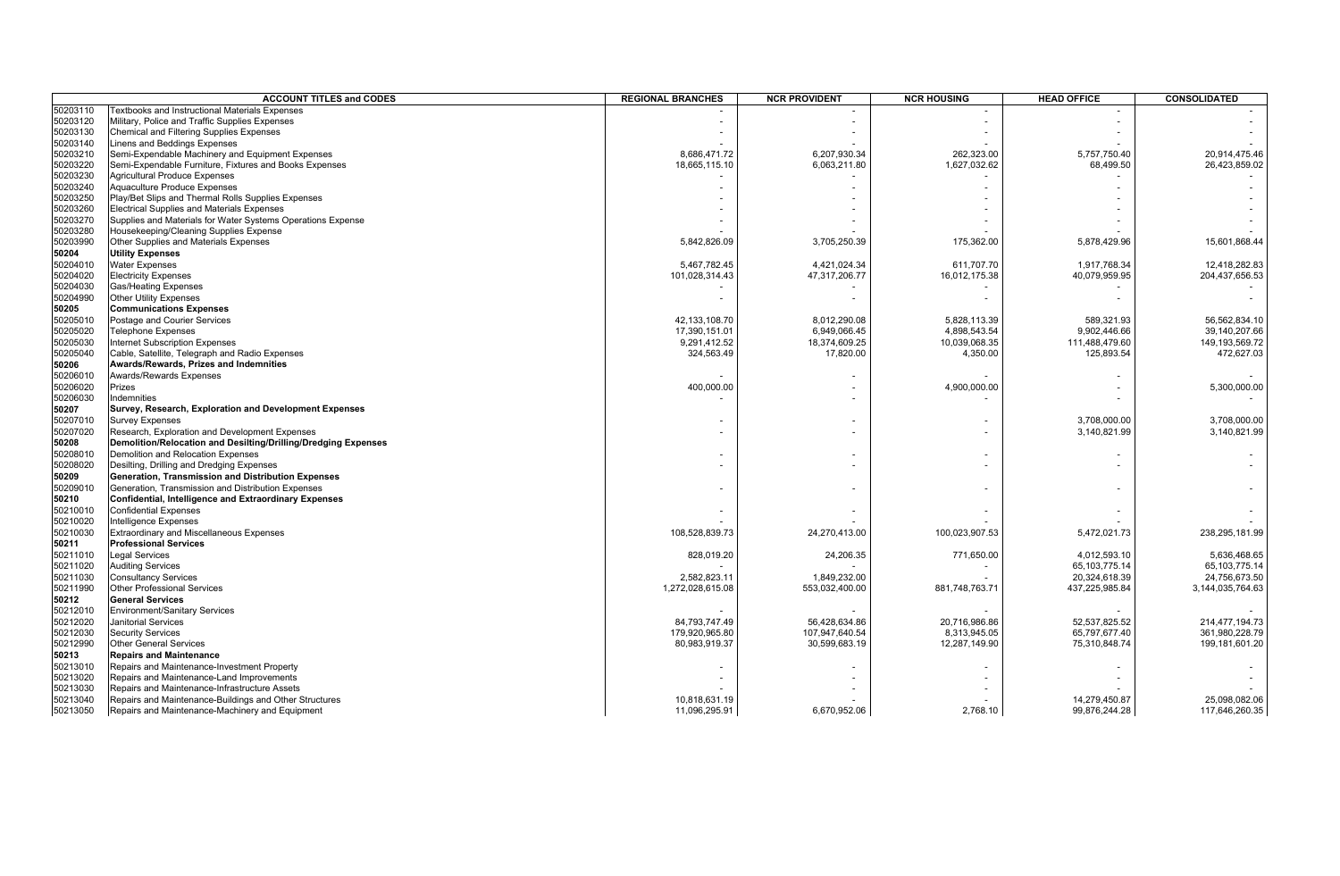|          | <b>ACCOUNT TITLES and CODES</b>                                | <b>REGIONAL BRANCHES</b> | <b>NCR PROVIDENT</b> | <b>NCR HOUSING</b> | <b>HEAD OFFICE</b> | CONSOLIDATED      |
|----------|----------------------------------------------------------------|--------------------------|----------------------|--------------------|--------------------|-------------------|
| 50203110 | <b>Fextbooks and Instructional Materials Expenses</b>          |                          |                      |                    |                    |                   |
| 50203120 | Military, Police and Traffic Supplies Expenses                 |                          |                      |                    |                    |                   |
| 50203130 | <b>Chemical and Filtering Supplies Expenses</b>                |                          |                      |                    |                    |                   |
| 50203140 | <b>Linens and Beddings Expenses</b>                            |                          |                      |                    |                    |                   |
| 50203210 | Semi-Expendable Machinery and Equipment Expenses               | 8,686,471.72             | 6,207,930.34         | 262,323.00         | 5,757,750.40       | 20,914,475.46     |
| 50203220 | Semi-Expendable Furniture, Fixtures and Books Expenses         | 18,665,115.10            | 6,063,211.80         | 1,627,032.62       | 68,499.50          | 26,423,859.02     |
| 50203230 | <b>Agricultural Produce Expenses</b>                           |                          |                      |                    |                    |                   |
| 50203240 | Aquaculture Produce Expenses                                   |                          |                      |                    |                    |                   |
| 50203250 | Play/Bet Slips and Thermal Rolls Supplies Expenses             |                          |                      |                    |                    |                   |
| 50203260 | <b>Electrical Supplies and Materials Expenses</b>              |                          |                      |                    |                    |                   |
| 50203270 | Supplies and Materials for Water Systems Operations Expense    |                          |                      |                    |                    |                   |
| 50203280 | Housekeeping/Cleaning Supplies Expense                         |                          |                      |                    |                    |                   |
| 50203990 | Other Supplies and Materials Expenses                          | 5,842,826.09             | 3,705,250.39         | 175,362.00         | 5,878,429.96       | 15,601,868.44     |
|          |                                                                |                          |                      |                    |                    |                   |
| 50204    | <b>Utility Expenses</b>                                        |                          |                      |                    |                    |                   |
| 50204010 | <b>Water Expenses</b>                                          | 5,467,782.45             | 4,421,024.34         | 611,707.70         | 1,917,768.34       | 12,418,282.83     |
| 50204020 | <b>Electricity Expenses</b>                                    | 101,028,314.43           | 47,317,206.77        | 16,012,175.38      | 40,079,959.95      | 204,437,656.53    |
| 50204030 | <b>Gas/Heating Expenses</b>                                    |                          |                      |                    |                    |                   |
| 50204990 | <b>Other Utility Expenses</b>                                  |                          |                      |                    |                    |                   |
| 50205    | <b>Communications Expenses</b>                                 |                          |                      |                    |                    |                   |
| 50205010 | Postage and Courier Services                                   | 42, 133, 108.70          | 8,012,290.08         | 5,828,113.39       | 589,321.93         | 56.562.834.10     |
| 50205020 | <b>Telephone Expenses</b>                                      | 17,390,151.01            | 6,949,066.45         | 4,898,543.54       | 9,902,446.66       | 39,140,207.66     |
| 50205030 | <b>Internet Subscription Expenses</b>                          | 9,291,412.52             | 18,374,609.25        | 10,039,068.35      | 111,488,479.60     | 149, 193, 569. 72 |
| 50205040 | Cable, Satellite, Telegraph and Radio Expenses                 | 324,563.49               | 17,820.00            | 4,350.00           | 125,893.54         | 472,627.03        |
| 50206    | Awards/Rewards, Prizes and Indemnities                         |                          |                      |                    |                    |                   |
| 50206010 | <b>Awards/Rewards Expenses</b>                                 |                          |                      |                    |                    |                   |
| 50206020 | Prizes                                                         | 400,000.00               |                      | 4,900,000.00       |                    | 5,300,000.00      |
| 50206030 | Indemnities                                                    |                          |                      |                    |                    |                   |
| 50207    | Survey, Research, Exploration and Development Expenses         |                          |                      |                    |                    |                   |
| 50207010 | <b>Survey Expenses</b>                                         |                          |                      |                    | 3,708,000.00       | 3,708,000.00      |
| 50207020 | Research, Exploration and Development Expenses                 |                          |                      |                    | 3,140,821.99       | 3,140,821.99      |
|          | Demolition/Relocation and Desilting/Drilling/Dredging Expenses |                          |                      |                    |                    |                   |
| 50208    |                                                                |                          |                      |                    |                    |                   |
| 50208010 | Demolition and Relocation Expenses                             |                          |                      |                    |                    |                   |
| 50208020 | Desilting, Drilling and Dredging Expenses                      |                          |                      |                    |                    |                   |
| 50209    | Generation, Transmission and Distribution Expenses             |                          |                      |                    |                    |                   |
| 50209010 | Generation, Transmission and Distribution Expenses             |                          |                      |                    |                    |                   |
| 50210    | <b>Confidential, Intelligence and Extraordinary Expenses</b>   |                          |                      |                    |                    |                   |
| 50210010 | <b>Confidential Expenses</b>                                   |                          |                      |                    |                    |                   |
| 50210020 | Intelligence Expenses                                          |                          |                      |                    |                    |                   |
| 50210030 | Extraordinary and Miscellaneous Expenses                       | 108,528,839.73           | 24,270,413.00        | 100,023,907.53     | 5,472,021.73       | 238,295,181.99    |
| 50211    | <b>Professional Services</b>                                   |                          |                      |                    |                    |                   |
| 50211010 | Legal Services                                                 | 828,019.20               | 24,206.35            | 771,650.00         | 4,012,593.10       | 5,636,468.65      |
| 50211020 | <b>Auditing Services</b>                                       |                          |                      |                    | 65, 103, 775. 14   | 65, 103, 775. 14  |
| 50211030 | <b>Consultancy Services</b>                                    | 2,582,823.11             | 1,849,232.00         |                    | 20,324,618.39      | 24,756,673.50     |
| 50211990 | <b>Other Professional Services</b>                             | 1,272,028,615.08         | 553,032,400.00       | 881,748,763.71     | 437,225,985.84     | 3,144,035,764.63  |
| 50212    | <b>General Services</b>                                        |                          |                      |                    |                    |                   |
| 50212010 | <b>Environment/Sanitary Services</b>                           |                          |                      |                    |                    |                   |
| 50212020 | Janitorial Services                                            | 84,793,747.49            | 56,428,634.86        | 20,716,986.86      | 52,537,825.52      | 214,477,194.73    |
| 50212030 | <b>Security Services</b>                                       | 179,920,965.80           | 107,947,640.54       | 8,313,945.05       | 65,797,677.40      | 361,980,228.79    |
| 50212990 | <b>Other General Services</b>                                  | 80,983,919.37            | 30,599,683.19        | 12,287,149.90      | 75,310,848.74      | 199,181,601.20    |
| 50213    | <b>Repairs and Maintenance</b>                                 |                          |                      |                    |                    |                   |
|          |                                                                |                          |                      |                    |                    |                   |
| 50213010 | Repairs and Maintenance-Investment Property                    |                          |                      |                    |                    |                   |
| 50213020 | Repairs and Maintenance-Land Improvements                      |                          |                      |                    |                    |                   |
| 50213030 | Repairs and Maintenance-Infrastructure Assets                  |                          |                      |                    |                    |                   |
| 50213040 | Repairs and Maintenance-Buildings and Other Structures         | 10,818,631.19            |                      |                    | 14,279,450.87      | 25,098,082.06     |
| 50213050 | Repairs and Maintenance-Machinery and Equipment                | 11,096,295.91            | 6,670,952.06         | 2,768.10           | 99,876,244.28      | 117,646,260.35    |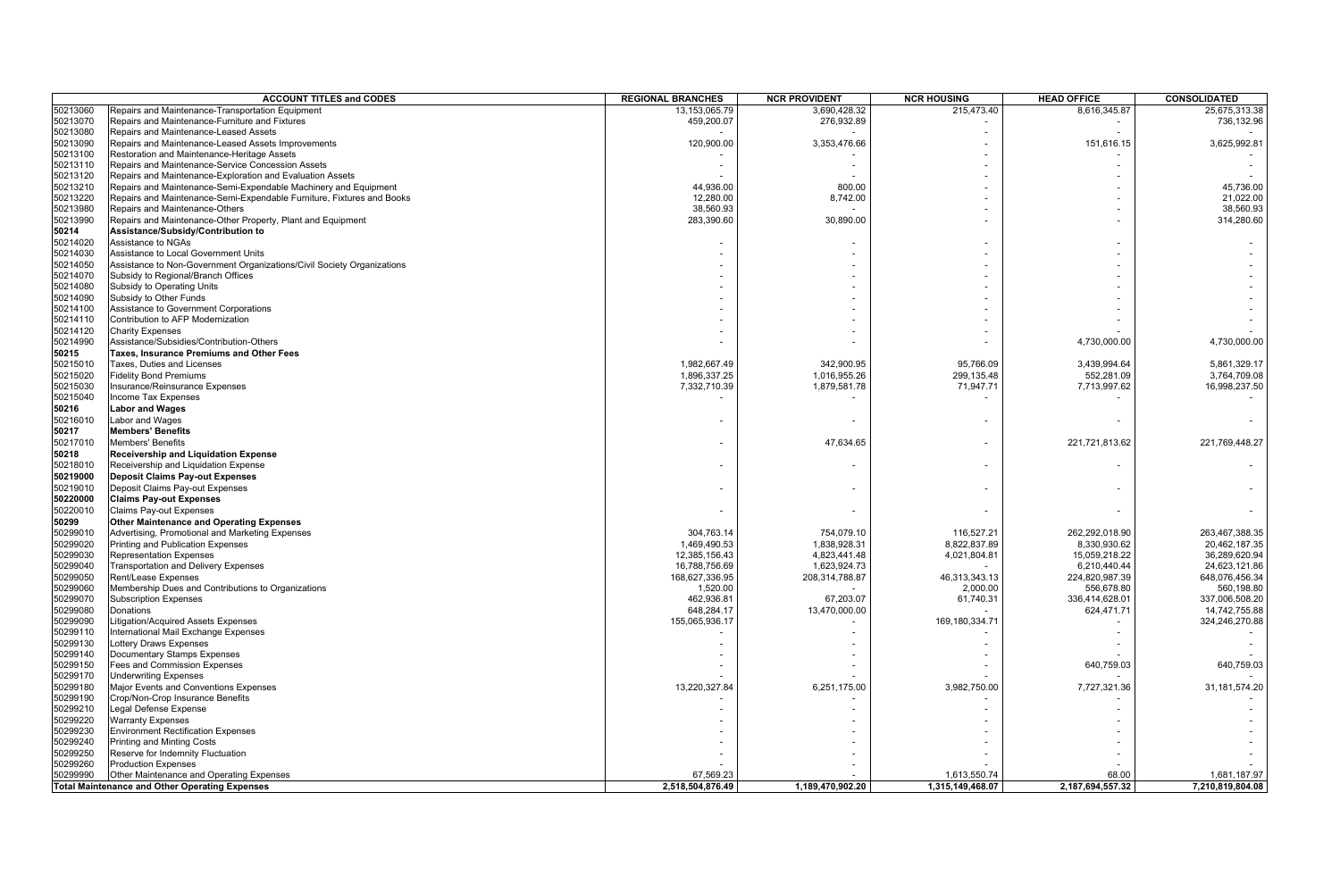|          | <b>ACCOUNT TITLES and CODES</b>                                                      | <b>REGIONAL BRANCHES</b> | <b>NCR PROVIDENT</b> | <b>NCR HOUSING</b> | <b>HEAD OFFICE</b> | <b>CONSOLIDATED</b> |
|----------|--------------------------------------------------------------------------------------|--------------------------|----------------------|--------------------|--------------------|---------------------|
| 50213060 | Repairs and Maintenance-Transportation Equipment                                     | 13,153,065.79            | 3,690,428.32         | 215,473.40         | 8,616,345.87       | 25,675,313.38       |
| 50213070 | Repairs and Maintenance-Furniture and Fixtures                                       | 459,200.07               | 276,932.89           |                    |                    | 736,132.96          |
| 50213080 | Repairs and Maintenance-Leased Assets                                                |                          |                      |                    |                    |                     |
| 50213090 | Repairs and Maintenance-Leased Assets Improvements                                   | 120,900.00               | 3,353,476.66         |                    | 151,616.15         | 3,625,992.8         |
| 50213100 | Restoration and Maintenance-Heritage Assets                                          |                          |                      |                    |                    |                     |
| 50213110 | Repairs and Maintenance-Service Concession Assets                                    |                          |                      |                    |                    |                     |
| 50213120 | Repairs and Maintenance-Exploration and Evaluation Assets                            |                          |                      |                    |                    |                     |
| 50213210 | Repairs and Maintenance-Semi-Expendable Machinery and Equipment                      | 44,936.00                | 800.00               |                    |                    | 45,736.00           |
| 50213220 | Repairs and Maintenance-Semi-Expendable Furniture, Fixtures and Books                | 12,280.00                | 8,742.00             |                    |                    | 21,022.00           |
| 50213980 | Repairs and Maintenance-Others                                                       | 38,560.93                |                      |                    |                    | 38,560.93           |
| 50213990 | Repairs and Maintenance-Other Property, Plant and Equipment                          | 283,390.60               | 30,890.00            |                    |                    | 314,280.60          |
| 50214    | Assistance/Subsidy/Contribution to                                                   |                          |                      |                    |                    |                     |
| 50214020 | Assistance to NGAs                                                                   |                          |                      |                    |                    |                     |
| 50214030 | Assistance to Local Government Units                                                 |                          |                      |                    |                    |                     |
| 50214050 | Assistance to Non-Government Organizations/Civil Society Organizations               |                          |                      |                    |                    |                     |
| 50214070 | Subsidy to Regional/Branch Offices                                                   |                          |                      |                    |                    |                     |
| 50214080 | Subsidy to Operating Units                                                           |                          |                      |                    |                    |                     |
| 50214090 | Subsidy to Other Funds                                                               |                          |                      |                    |                    |                     |
| 50214100 | Assistance to Government Corporations                                                |                          |                      |                    |                    |                     |
| 50214110 | Contribution to AFP Modernization                                                    |                          |                      |                    |                    |                     |
| 50214120 | <b>Charity Expenses</b>                                                              |                          |                      |                    |                    |                     |
| 50214990 |                                                                                      |                          |                      |                    |                    | 4,730,000.00        |
| 50215    | Assistance/Subsidies/Contribution-Others<br>Taxes, Insurance Premiums and Other Fees |                          |                      |                    | 4,730,000.00       |                     |
|          |                                                                                      |                          |                      |                    |                    |                     |
| 50215010 | Taxes, Duties and Licenses                                                           | 1,982,667.49             | 342,900.95           | 95,766.09          | 3,439,994.64       | 5,861,329.17        |
| 50215020 | <b>Fidelity Bond Premiums</b>                                                        | 1,896,337.25             | 1,016,955.26         | 299,135.48         | 552,281.09         | 3,764,709.08        |
| 50215030 | Insurance/Reinsurance Expenses                                                       | 7,332,710.39             | 1,879,581.78         | 71,947.71          | 7,713,997.62       | 16,998,237.50       |
| 50215040 | <b>Income Tax Expenses</b>                                                           |                          |                      |                    |                    |                     |
| 50216    | <b>Labor and Wages</b>                                                               |                          |                      |                    |                    |                     |
| 50216010 | Labor and Wages                                                                      |                          |                      |                    |                    |                     |
| 50217    | <b>Members' Benefits</b>                                                             |                          |                      |                    |                    |                     |
| 50217010 | <b>Members' Benefits</b>                                                             |                          | 47,634.65            |                    | 221,721,813.62     | 221,769,448.27      |
| 50218    | Receivership and Liquidation Expense                                                 |                          |                      |                    |                    |                     |
| 50218010 | Receivership and Liquidation Expense                                                 |                          |                      |                    |                    |                     |
| 50219000 | <b>Deposit Claims Pay-out Expenses</b>                                               |                          |                      |                    |                    |                     |
| 50219010 | Deposit Claims Pay-out Expenses                                                      |                          |                      |                    |                    |                     |
| 50220000 | <b>Claims Pay-out Expenses</b>                                                       |                          |                      |                    |                    |                     |
| 50220010 | <b>Claims Pay-out Expenses</b>                                                       |                          |                      |                    |                    |                     |
| 50299    | Other Maintenance and Operating Expenses                                             |                          |                      |                    |                    |                     |
| 50299010 | Advertising, Promotional and Marketing Expenses                                      | 304.763.14               | 754,079.10           | 116,527.21         | 262,292,018.90     | 263,467,388.35      |
| 50299020 | Printing and Publication Expenses                                                    | 1,469,490.53             | 1,838,928.31         | 8,822,837.89       | 8,330,930.62       | 20,462,187.35       |
| 50299030 | <b>Representation Expenses</b>                                                       | 12,385,156.43            | 4,823,441.48         | 4,021,804.81       | 15,059,218.22      | 36,289,620.94       |
| 50299040 | Transportation and Delivery Expenses                                                 | 16,788,756.69            | 1,623,924.73         |                    | 6,210,440.44       | 24,623,121.86       |
| 50299050 | Rent/Lease Expenses                                                                  | 168,627,336.95           | 208,314,788.87       | 46,313,343.13      | 224,820,987.39     | 648,076,456.34      |
| 50299060 | Membership Dues and Contributions to Organizations                                   | 1,520.00                 |                      | 2,000.00           | 556,678.80         | 560,198.80          |
| 50299070 | <b>Subscription Expenses</b>                                                         | 462,936.81               | 67,203.07            | 61,740.31          | 336,414,628.01     | 337,006,508.20      |
| 50299080 | Donations                                                                            | 648,284.17               | 13,470,000.00        |                    | 624,471.71         | 14,742,755.88       |
| 50299090 | Litigation/Acquired Assets Expenses                                                  | 155,065,936.17           |                      | 169,180,334.71     |                    | 324,246,270.88      |
| 50299110 | International Mail Exchange Expenses                                                 |                          |                      |                    |                    |                     |
| 50299130 | Lottery Draws Expenses                                                               |                          |                      |                    |                    |                     |
| 50299140 | Documentary Stamps Expenses                                                          |                          |                      |                    |                    |                     |
| 50299150 | <b>Fees and Commission Expenses</b>                                                  |                          |                      |                    | 640,759.03         | 640,759.03          |
| 50299170 | Underwriting Expenses                                                                |                          |                      |                    |                    |                     |
| 50299180 | Major Events and Conventions Expenses                                                | 13,220,327.84            | 6,251,175.00         | 3,982,750.00       | 7,727,321.36       | 31, 181, 574. 20    |
| 50299190 | Crop/Non-Crop Insurance Benefits                                                     |                          |                      |                    |                    |                     |
| 50299210 | Legal Defense Expense                                                                |                          |                      |                    |                    |                     |
| 50299220 | <b>Warranty Expenses</b>                                                             |                          |                      |                    |                    |                     |
| 50299230 | <b>Environment Rectification Expenses</b>                                            |                          |                      |                    |                    |                     |
| 50299240 | Printing and Minting Costs                                                           |                          |                      |                    |                    |                     |
| 50299250 | Reserve for Indemnity Fluctuation                                                    |                          |                      |                    |                    |                     |
| 50299260 |                                                                                      |                          |                      |                    |                    |                     |
| 50299990 | <b>Production Expenses</b>                                                           | 67.569.23                |                      | 1,613,550.74       | 68.00              | 1,681,187.97        |
|          | Other Maintenance and Operating Expenses                                             | 2,518,504,876.49         | 1,189,470,902.20     | 1,315,149,468.07   | 2,187,694,557.32   | 7,210,819,804.08    |
|          | <b>Total Maintenance and Other Operating Expenses</b>                                |                          |                      |                    |                    |                     |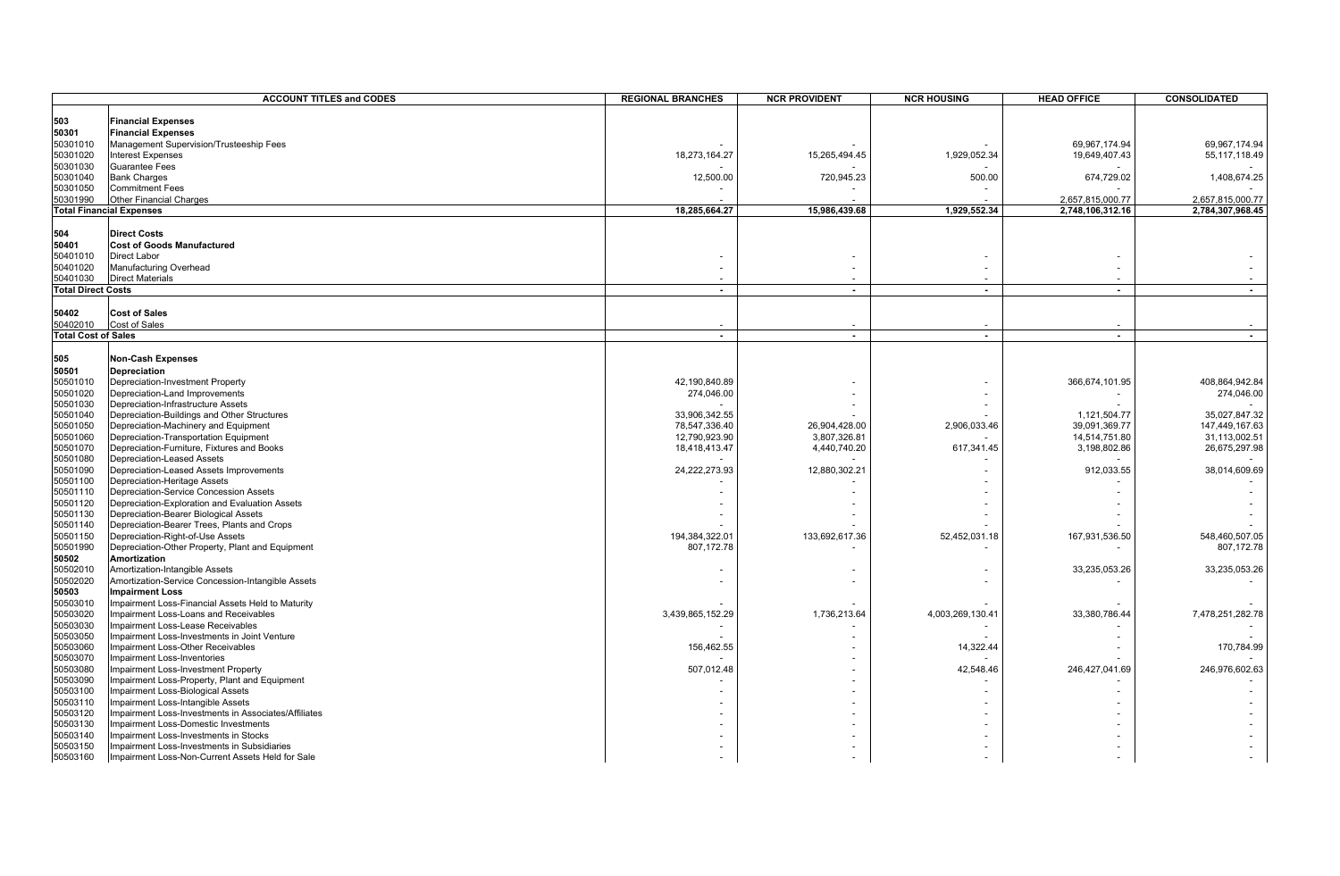|                            | <b>ACCOUNT TITLES and CODES</b>                                         | <b>REGIONAL BRANCHES</b> | <b>NCR PROVIDENT</b> | <b>NCR HOUSING</b> | <b>HEAD OFFICE</b> | <b>CONSOLIDATED</b> |
|----------------------------|-------------------------------------------------------------------------|--------------------------|----------------------|--------------------|--------------------|---------------------|
|                            |                                                                         |                          |                      |                    |                    |                     |
| 503                        | <b>Financial Expenses</b>                                               |                          |                      |                    |                    |                     |
| 50301                      | <b>Financial Expenses</b>                                               |                          |                      |                    |                    |                     |
| 50301010                   | Management Supervision/Trusteeship Fees                                 |                          |                      |                    | 69.967.174.94      | 69,967,174.94       |
| 50301020                   | <b>Interest Expenses</b>                                                | 18,273,164.27            | 15,265,494.45        | 1,929,052.34       | 19,649,407.43      | 55, 117, 118.49     |
| 50301030                   | <b>Guarantee Fees</b>                                                   |                          |                      |                    |                    |                     |
| 50301040                   | <b>Bank Charges</b>                                                     | 12,500.00                | 720,945.23           | 500.00             | 674,729.02         | 1,408,674.25        |
| 50301050                   | <b>Commitment Fees</b>                                                  |                          |                      |                    |                    |                     |
| 50301990                   | Other Financial Charges                                                 |                          |                      |                    | 2,657,815,000.77   | 2,657,815,000.77    |
|                            | <b>Total Financial Expenses</b>                                         | 18,285,664.27            | 15,986,439.68        | 1,929,552.34       | 2,748,106,312.16   | 2,784,307,968.45    |
|                            |                                                                         |                          |                      |                    |                    |                     |
| 504                        | <b>Direct Costs</b>                                                     |                          |                      |                    |                    |                     |
| 50401                      | <b>Cost of Goods Manufactured</b>                                       |                          |                      |                    |                    |                     |
| 50401010                   | <b>Direct Labor</b>                                                     |                          |                      |                    |                    |                     |
| 50401020                   | Manufacturing Overhead                                                  |                          |                      |                    |                    |                     |
| 50401030                   | <b>Direct Materials</b>                                                 |                          |                      |                    |                    |                     |
| <b>Total Direct Costs</b>  |                                                                         | $\blacksquare$           | $\sim$               | $\blacksquare$     | $\sim$             | $\blacksquare$      |
|                            |                                                                         |                          |                      |                    |                    |                     |
| 50402                      | <b>Cost of Sales</b>                                                    |                          |                      |                    |                    |                     |
| 50402010                   | <b>Cost of Sales</b>                                                    |                          |                      |                    |                    |                     |
| <b>Total Cost of Sales</b> |                                                                         | $\sim$                   | $\sim$               | $\overline{a}$     | $\sim$             | $\sim$              |
|                            |                                                                         |                          |                      |                    |                    |                     |
| 505                        | <b>Non-Cash Expenses</b>                                                |                          |                      |                    |                    |                     |
| 50501                      | Depreciation                                                            |                          |                      |                    |                    |                     |
| 50501010                   | Depreciation-Investment Property                                        | 42.190.840.89            |                      |                    | 366,674,101.95     | 408,864,942.84      |
| 50501020                   | Depreciation-Land Improvements                                          | 274,046.00               |                      |                    |                    | 274,046.00          |
| 50501030                   | Depreciation-Infrastructure Assets                                      |                          |                      |                    |                    |                     |
| 50501040                   | Depreciation-Buildings and Other Structures                             | 33,906,342.55            |                      |                    | 1,121,504.77       | 35,027,847.32       |
| 50501050                   | Depreciation-Machinery and Equipment                                    | 78,547,336.40            | 26,904,428.00        | 2,906,033.46       | 39,091,369.77      | 147,449,167.63      |
| 50501060                   | Depreciation-Transportation Equipment                                   | 12,790,923.90            | 3,807,326.81         |                    | 14,514,751.80      | 31,113,002.51       |
| 50501070                   | Depreciation-Furniture, Fixtures and Books                              | 18,418,413.47            | 4,440,740.20         | 617,341.45         | 3,198,802.86       | 26,675,297.98       |
| 50501080                   | Depreciation-Leased Assets                                              |                          |                      |                    |                    |                     |
| 50501090                   | Depreciation-Leased Assets Improvements<br>Depreciation-Heritage Assets | 24,222,273.93            | 12,880,302.2         |                    | 912,033.55         | 38,014,609.69       |
| 50501100<br>50501110       | Depreciation-Service Concession Assets                                  |                          |                      |                    |                    |                     |
| 50501120                   | Depreciation-Exploration and Evaluation Assets                          |                          |                      |                    |                    |                     |
| 50501130                   | Depreciation-Bearer Biological Assets                                   |                          |                      |                    |                    |                     |
| 50501140                   | Depreciation-Bearer Trees, Plants and Crops                             |                          |                      |                    |                    |                     |
| 50501150                   | Depreciation-Right-of-Use Assets                                        | 194,384,322.01           | 133,692,617.36       | 52,452,031.18      | 167,931,536.50     | 548,460,507.05      |
| 50501990                   | Depreciation-Other Property, Plant and Equipment                        | 807,172.78               |                      |                    |                    | 807,172.78          |
| 50502                      | Amortization                                                            |                          |                      |                    |                    |                     |
| 50502010                   | Amortization-Intangible Assets                                          |                          |                      |                    | 33,235,053.26      | 33,235,053.26       |
| 50502020                   | Amortization-Service Concession-Intangible Assets                       |                          |                      |                    |                    |                     |
| 50503                      | <b>Impairment Loss</b>                                                  |                          |                      |                    |                    |                     |
| 50503010                   | Impairment Loss-Financial Assets Held to Maturity                       |                          |                      |                    |                    |                     |
| 50503020                   | Impairment Loss-Loans and Receivables                                   | 3,439,865,152.29         | 1,736,213.64         | 4,003,269,130.41   | 33,380,786.44      | 7,478,251,282.78    |
| 50503030                   | Impairment Loss-Lease Receivables                                       |                          |                      |                    |                    |                     |
| 50503050                   | Impairment Loss-Investments in Joint Venture                            |                          |                      |                    |                    |                     |
| 50503060                   | Impairment Loss-Other Receivables                                       | 156,462.55               |                      | 14,322.44          |                    | 170,784.99          |
| 50503070                   | Impairment Loss-Inventories                                             |                          |                      |                    |                    |                     |
| 50503080                   | Impairment Loss-Investment Property                                     | 507,012.48               |                      | 42,548.46          | 246,427,041.69     | 246,976,602.63      |
| 50503090                   | Impairment Loss-Property, Plant and Equipment                           |                          |                      |                    |                    |                     |
| 50503100                   | Impairment Loss-Biological Assets                                       |                          |                      |                    |                    |                     |
| 50503110                   | Impairment Loss-Intangible Assets                                       |                          |                      |                    |                    |                     |
| 50503120                   | Impairment Loss-Investments in Associates/Affiliates                    |                          |                      |                    |                    |                     |
| 50503130                   | Impairment Loss-Domestic Investments                                    |                          |                      |                    |                    |                     |
| 50503140                   | Impairment Loss-Investments in Stocks                                   |                          |                      |                    |                    |                     |
| 50503150                   | Impairment Loss-Investments in Subsidiaries                             |                          |                      |                    |                    |                     |
| 50503160                   | Impairment Loss-Non-Current Assets Held for Sale                        |                          |                      |                    |                    |                     |